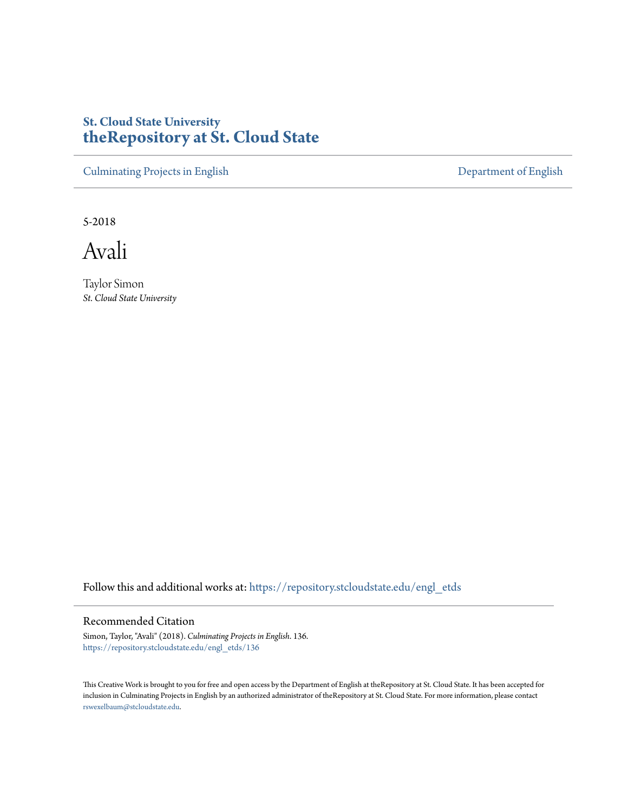# **St. Cloud State University [theRepository at St. Cloud State](https://repository.stcloudstate.edu?utm_source=repository.stcloudstate.edu%2Fengl_etds%2F136&utm_medium=PDF&utm_campaign=PDFCoverPages)**

[Culminating Projects in English](https://repository.stcloudstate.edu/engl_etds?utm_source=repository.stcloudstate.edu%2Fengl_etds%2F136&utm_medium=PDF&utm_campaign=PDFCoverPages) [Department of English](https://repository.stcloudstate.edu/engl?utm_source=repository.stcloudstate.edu%2Fengl_etds%2F136&utm_medium=PDF&utm_campaign=PDFCoverPages)

5-2018

Avali

Taylor Simon *St. Cloud State University*

Follow this and additional works at: [https://repository.stcloudstate.edu/engl\\_etds](https://repository.stcloudstate.edu/engl_etds?utm_source=repository.stcloudstate.edu%2Fengl_etds%2F136&utm_medium=PDF&utm_campaign=PDFCoverPages)

# Recommended Citation

Simon, Taylor, "Avali" (2018). *Culminating Projects in English*. 136. [https://repository.stcloudstate.edu/engl\\_etds/136](https://repository.stcloudstate.edu/engl_etds/136?utm_source=repository.stcloudstate.edu%2Fengl_etds%2F136&utm_medium=PDF&utm_campaign=PDFCoverPages)

This Creative Work is brought to you for free and open access by the Department of English at theRepository at St. Cloud State. It has been accepted for inclusion in Culminating Projects in English by an authorized administrator of theRepository at St. Cloud State. For more information, please contact [rswexelbaum@stcloudstate.edu](mailto:rswexelbaum@stcloudstate.edu).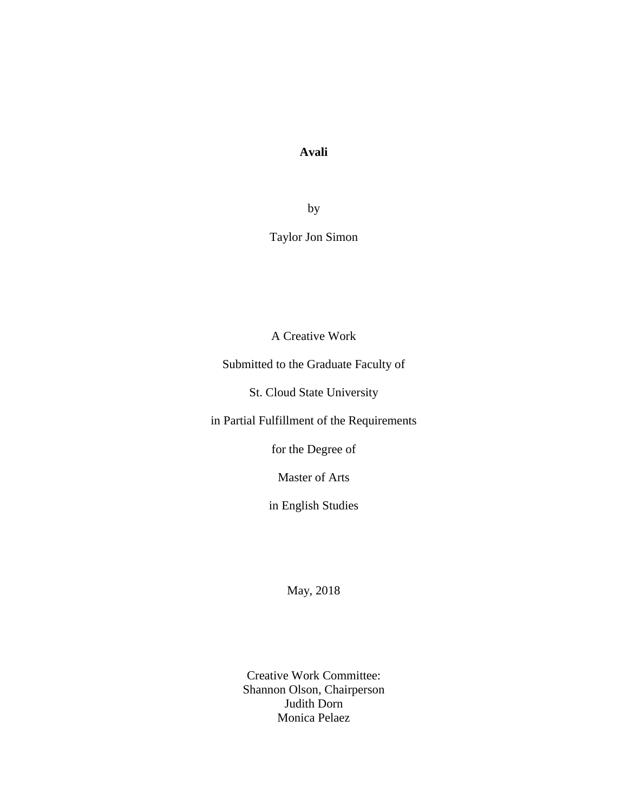# **Avali**

by

Taylor Jon Simon

A Creative Work

Submitted to the Graduate Faculty of

St. Cloud State University

in Partial Fulfillment of the Requirements

for the Degree of

Master of Arts

in English Studies

May, 2018

Creative Work Committee: Shannon Olson, Chairperson Judith Dorn Monica Pelaez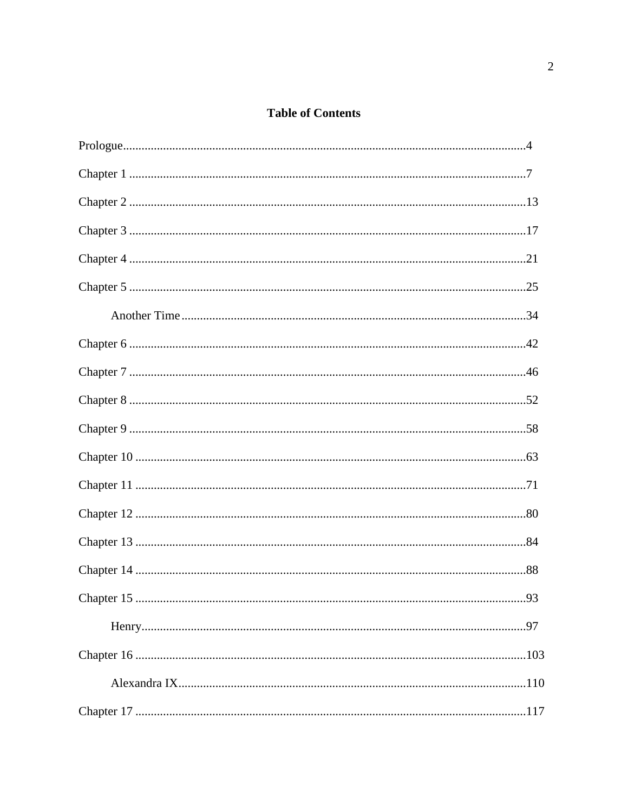# **Table of Contents**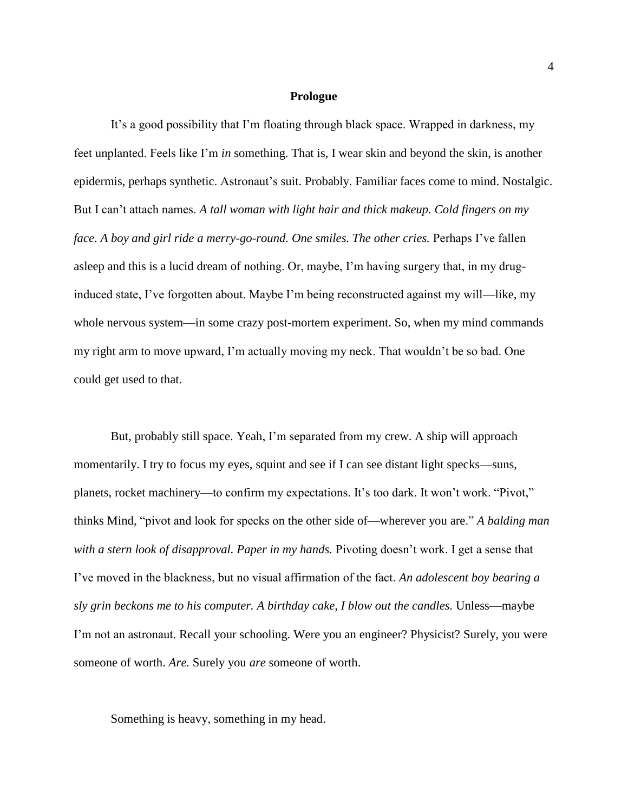#### **Prologue**

It's a good possibility that I'm floating through black space. Wrapped in darkness, my feet unplanted. Feels like I'm *in* something. That is, I wear skin and beyond the skin, is another epidermis, perhaps synthetic. Astronaut's suit. Probably. Familiar faces come to mind. Nostalgic. But I can't attach names. *A tall woman with light hair and thick makeup. Cold fingers on my face*. *A boy and girl ride a merry-go-round. One smiles. The other cries.* Perhaps I've fallen asleep and this is a lucid dream of nothing. Or, maybe, I'm having surgery that, in my druginduced state, I've forgotten about. Maybe I'm being reconstructed against my will—like, my whole nervous system—in some crazy post-mortem experiment. So, when my mind commands my right arm to move upward, I'm actually moving my neck. That wouldn't be so bad. One could get used to that.

But, probably still space. Yeah, I'm separated from my crew. A ship will approach momentarily. I try to focus my eyes, squint and see if I can see distant light specks—suns, planets, rocket machinery—to confirm my expectations. It's too dark. It won't work. "Pivot," thinks Mind, "pivot and look for specks on the other side of—wherever you are." *A balding man with a stern look of disapproval. Paper in my hands.* Pivoting doesn't work. I get a sense that I've moved in the blackness, but no visual affirmation of the fact. *An adolescent boy bearing a sly grin beckons me to his computer. A birthday cake, I blow out the candles.* Unless—maybe I'm not an astronaut. Recall your schooling. Were you an engineer? Physicist? Surely, you were someone of worth. *Are.* Surely you *are* someone of worth.

Something is heavy, something in my head.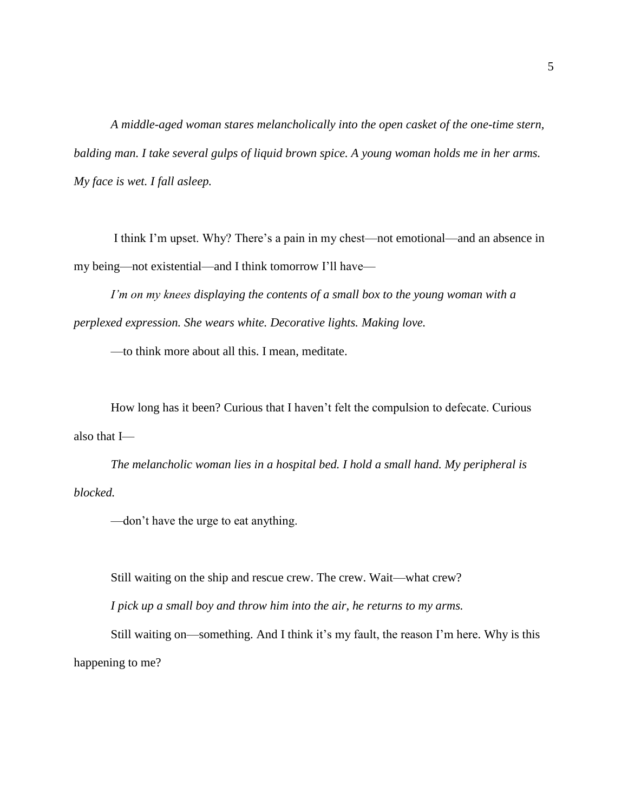*A middle-aged woman stares melancholically into the open casket of the one-time stern, balding man. I take several gulps of liquid brown spice. A young woman holds me in her arms. My face is wet. I fall asleep.*

I think I'm upset. Why? There's a pain in my chest—not emotional—and an absence in my being—not existential—and I think tomorrow I'll have—

*I'm on my knees displaying the contents of a small box to the young woman with a perplexed expression. She wears white. Decorative lights. Making love.*

—to think more about all this. I mean, meditate.

How long has it been? Curious that I haven't felt the compulsion to defecate. Curious also that I—

*The melancholic woman lies in a hospital bed. I hold a small hand. My peripheral is blocked.* 

—don't have the urge to eat anything.

Still waiting on the ship and rescue crew. The crew. Wait—what crew?

*I pick up a small boy and throw him into the air, he returns to my arms.*

Still waiting on—something. And I think it's my fault, the reason I'm here. Why is this happening to me?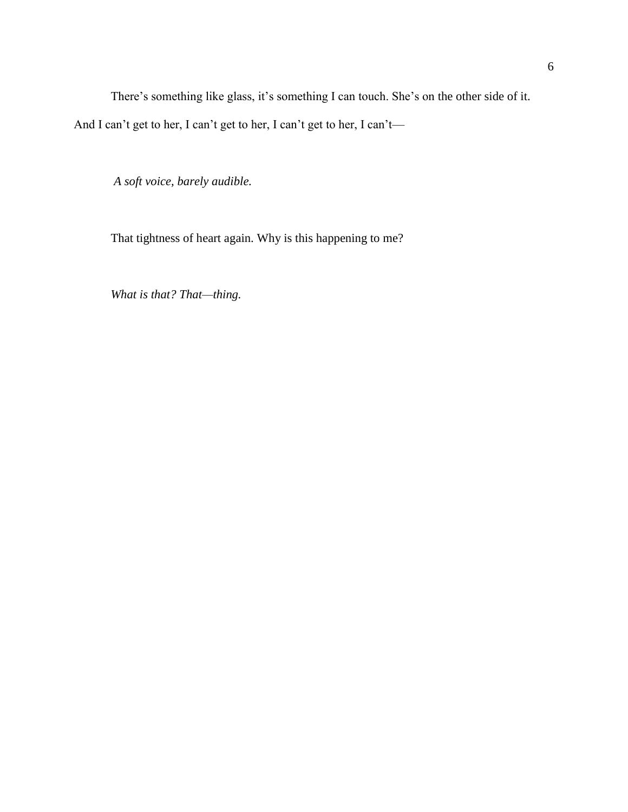There's something like glass, it's something I can touch. She's on the other side of it. And I can't get to her, I can't get to her, I can't get to her, I can't—

*A soft voice, barely audible.* 

That tightness of heart again. Why is this happening to me?

*What is that? That—thing.*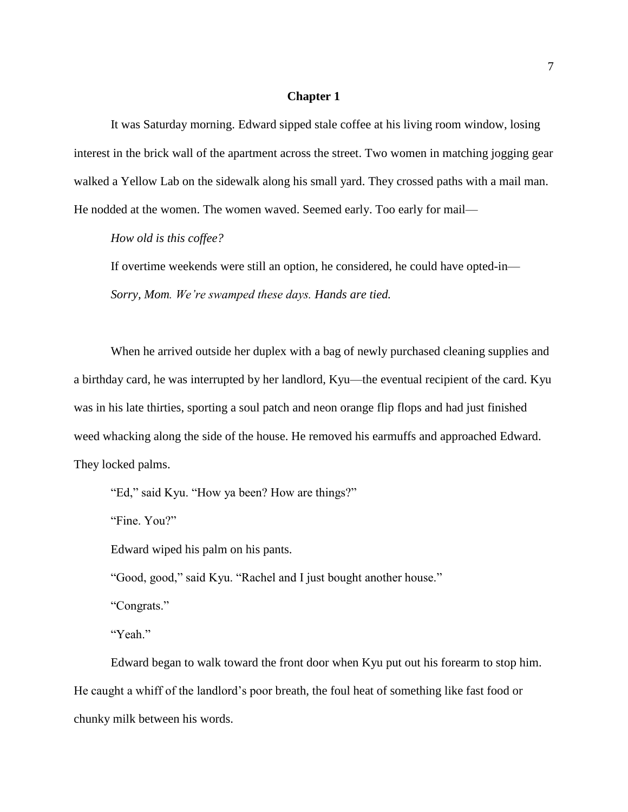## **Chapter 1**

It was Saturday morning. Edward sipped stale coffee at his living room window, losing interest in the brick wall of the apartment across the street. Two women in matching jogging gear walked a Yellow Lab on the sidewalk along his small yard. They crossed paths with a mail man. He nodded at the women. The women waved. Seemed early. Too early for mail—

*How old is this coffee?* 

If overtime weekends were still an option, he considered, he could have opted-in— *Sorry, Mom. We're swamped these days. Hands are tied.*

When he arrived outside her duplex with a bag of newly purchased cleaning supplies and a birthday card, he was interrupted by her landlord, Kyu—the eventual recipient of the card. Kyu was in his late thirties, sporting a soul patch and neon orange flip flops and had just finished weed whacking along the side of the house. He removed his earmuffs and approached Edward. They locked palms.

"Ed," said Kyu. "How ya been? How are things?"

"Fine. You?"

Edward wiped his palm on his pants.

"Good, good," said Kyu. "Rachel and I just bought another house."

"Congrats."

"Yeah."

Edward began to walk toward the front door when Kyu put out his forearm to stop him. He caught a whiff of the landlord's poor breath, the foul heat of something like fast food or chunky milk between his words.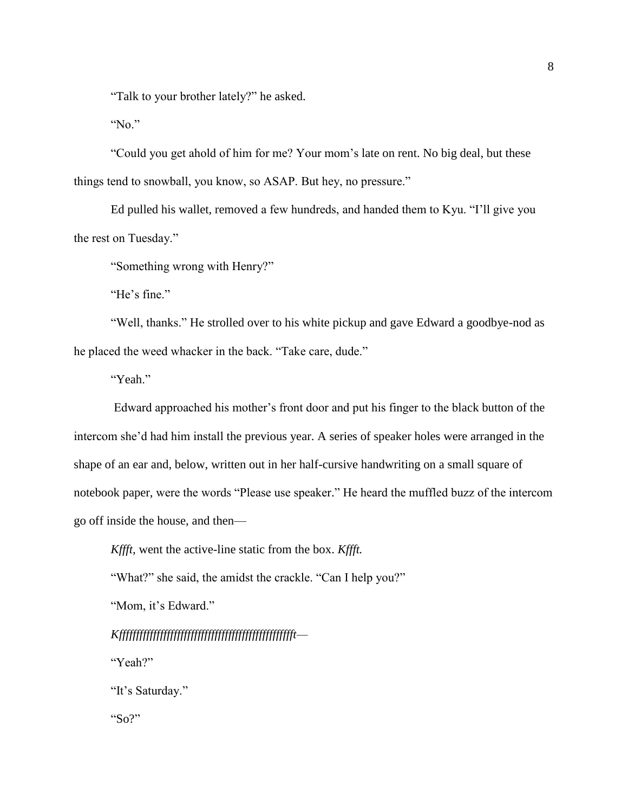"Talk to your brother lately?" he asked.

"No."

"Could you get ahold of him for me? Your mom's late on rent. No big deal, but these things tend to snowball, you know, so ASAP. But hey, no pressure."

Ed pulled his wallet, removed a few hundreds, and handed them to Kyu. "I'll give you the rest on Tuesday."

"Something wrong with Henry?"

"He's fine."

"Well, thanks." He strolled over to his white pickup and gave Edward a goodbye-nod as he placed the weed whacker in the back. "Take care, dude."

"Yeah."

Edward approached his mother's front door and put his finger to the black button of the intercom she'd had him install the previous year. A series of speaker holes were arranged in the shape of an ear and, below, written out in her half-cursive handwriting on a small square of notebook paper, were the words "Please use speaker." He heard the muffled buzz of the intercom go off inside the house, and then—

*Kffft,* went the active-line static from the box. *Kffft.*

"What?" she said, the amidst the crackle. "Can I help you?"

"Mom, it's Edward."

*Kffffffffffffffffffffffffffffffffffffffffffffffffffft—*

"Yeah?"

"It's Saturday."

"So?"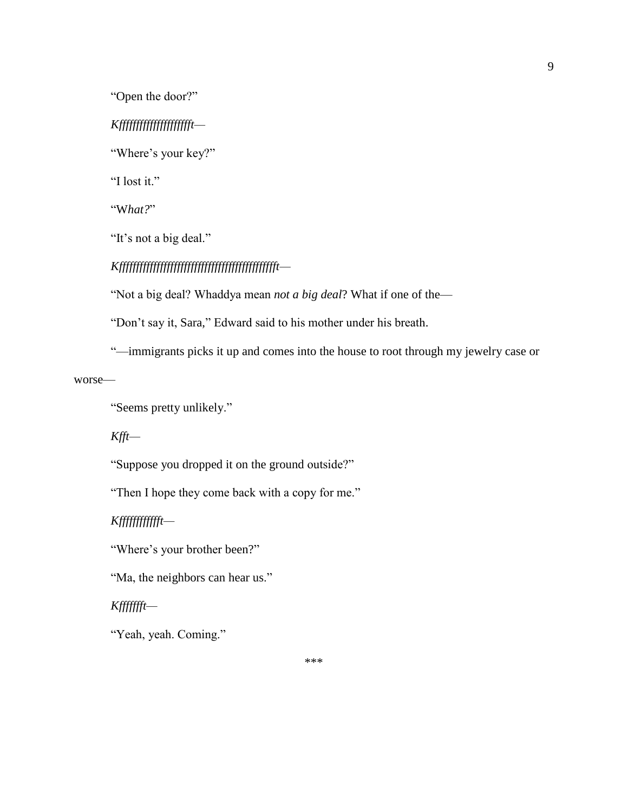"Open the door?"

# *Kffffffffffffffffffffft—*

"Where's your key?"

"I lost it."

"W*hat?*"

"It's not a big deal."

# *Kfffffffffffffffffffffffffffffffffffffffffffffft—*

"Not a big deal? Whaddya mean *not a big deal*? What if one of the—

"Don't say it, Sara," Edward said to his mother under his breath.

"—immigrants picks it up and comes into the house to root through my jewelry case or

worse—

"Seems pretty unlikely."

*Kfft—*

"Suppose you dropped it on the ground outside?"

"Then I hope they come back with a copy for me."

*Kfffffffffffft—*

"Where's your brother been?"

"Ma, the neighbors can hear us."

*Kffffffft—*

"Yeah, yeah. Coming."

9

\*\*\*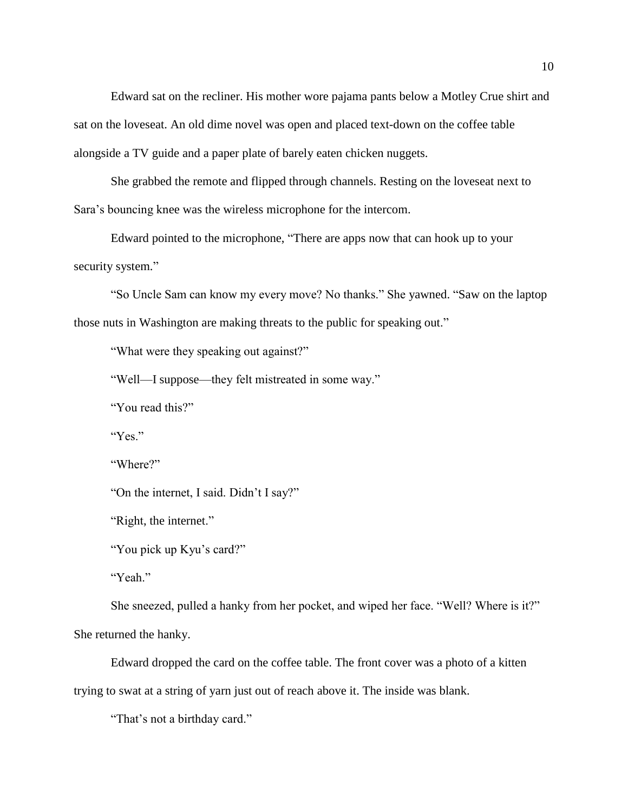Edward sat on the recliner. His mother wore pajama pants below a Motley Crue shirt and sat on the loveseat. An old dime novel was open and placed text-down on the coffee table alongside a TV guide and a paper plate of barely eaten chicken nuggets.

She grabbed the remote and flipped through channels. Resting on the loveseat next to Sara's bouncing knee was the wireless microphone for the intercom.

Edward pointed to the microphone, "There are apps now that can hook up to your security system."

"So Uncle Sam can know my every move? No thanks." She yawned. "Saw on the laptop those nuts in Washington are making threats to the public for speaking out."

"What were they speaking out against?"

"Well—I suppose—they felt mistreated in some way."

"You read this?"

"Yes."

"Where?"

"On the internet, I said. Didn't I say?"

"Right, the internet."

"You pick up Kyu's card?"

"Yeah."

She sneezed, pulled a hanky from her pocket, and wiped her face. "Well? Where is it?" She returned the hanky.

Edward dropped the card on the coffee table. The front cover was a photo of a kitten trying to swat at a string of yarn just out of reach above it. The inside was blank.

"That's not a birthday card."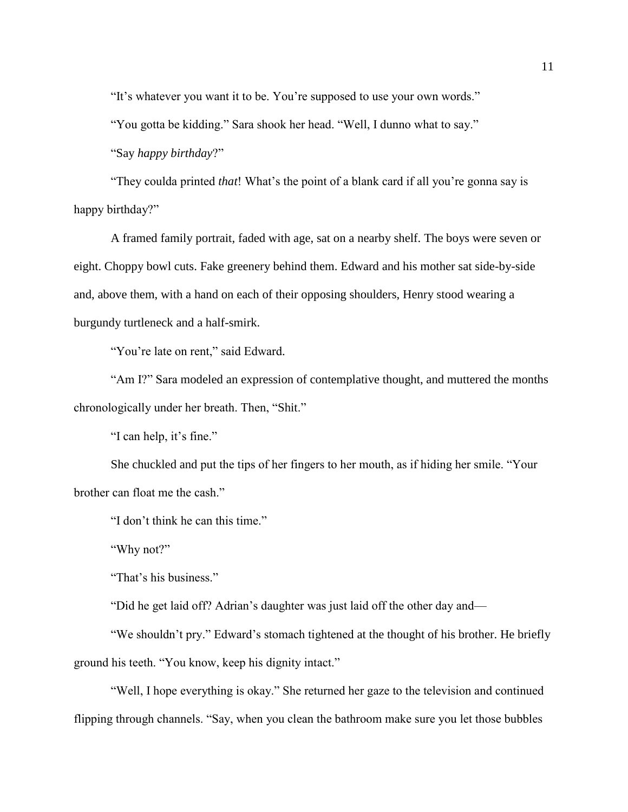"It's whatever you want it to be. You're supposed to use your own words."

"You gotta be kidding." Sara shook her head. "Well, I dunno what to say."

"Say *happy birthday*?"

"They coulda printed *that*! What's the point of a blank card if all you're gonna say is happy birthday?"

A framed family portrait, faded with age, sat on a nearby shelf. The boys were seven or eight. Choppy bowl cuts. Fake greenery behind them. Edward and his mother sat side-by-side and, above them, with a hand on each of their opposing shoulders, Henry stood wearing a burgundy turtleneck and a half-smirk.

"You're late on rent," said Edward.

"Am I?" Sara modeled an expression of contemplative thought, and muttered the months chronologically under her breath. Then, "Shit."

"I can help, it's fine."

She chuckled and put the tips of her fingers to her mouth, as if hiding her smile. "Your brother can float me the cash."

"I don't think he can this time."

"Why not?"

"That's his business."

"Did he get laid off? Adrian's daughter was just laid off the other day and—

"We shouldn't pry." Edward's stomach tightened at the thought of his brother. He briefly ground his teeth. "You know, keep his dignity intact."

"Well, I hope everything is okay." She returned her gaze to the television and continued flipping through channels. "Say, when you clean the bathroom make sure you let those bubbles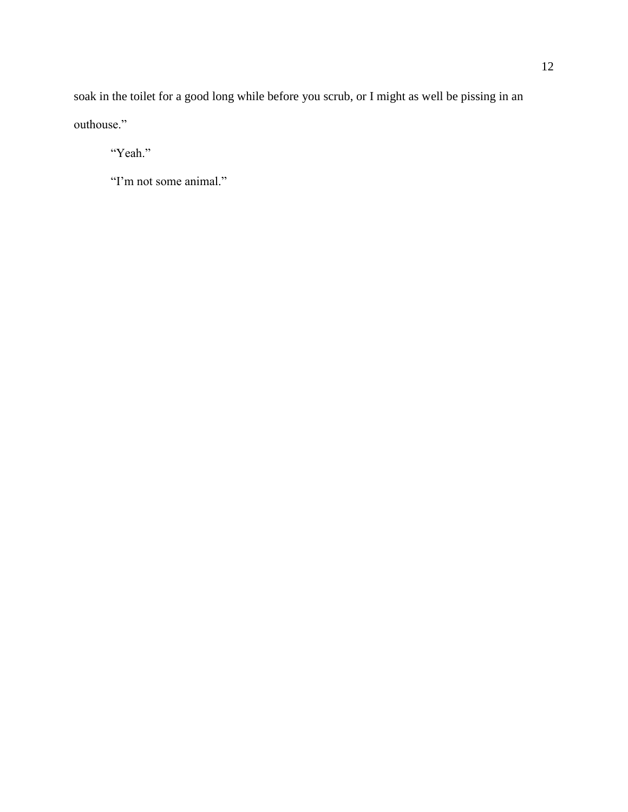soak in the toilet for a good long while before you scrub, or I might as well be pissing in an outhouse."

"Yeah."

"I'm not some animal."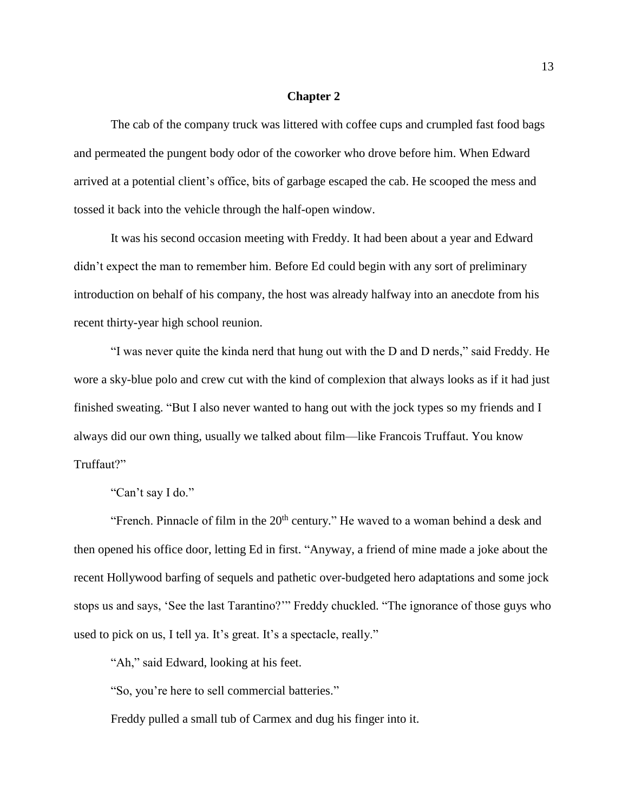### **Chapter 2**

The cab of the company truck was littered with coffee cups and crumpled fast food bags and permeated the pungent body odor of the coworker who drove before him. When Edward arrived at a potential client's office, bits of garbage escaped the cab. He scooped the mess and tossed it back into the vehicle through the half-open window.

It was his second occasion meeting with Freddy. It had been about a year and Edward didn't expect the man to remember him. Before Ed could begin with any sort of preliminary introduction on behalf of his company, the host was already halfway into an anecdote from his recent thirty-year high school reunion.

"I was never quite the kinda nerd that hung out with the D and D nerds," said Freddy. He wore a sky-blue polo and crew cut with the kind of complexion that always looks as if it had just finished sweating. "But I also never wanted to hang out with the jock types so my friends and I always did our own thing, usually we talked about film—like Francois Truffaut. You know Truffaut?"

"Can't say I do."

"French. Pinnacle of film in the  $20<sup>th</sup>$  century." He waved to a woman behind a desk and then opened his office door, letting Ed in first. "Anyway, a friend of mine made a joke about the recent Hollywood barfing of sequels and pathetic over-budgeted hero adaptations and some jock stops us and says, 'See the last Tarantino?'" Freddy chuckled. "The ignorance of those guys who used to pick on us, I tell ya. It's great. It's a spectacle, really."

"Ah," said Edward, looking at his feet.

"So, you're here to sell commercial batteries."

Freddy pulled a small tub of Carmex and dug his finger into it.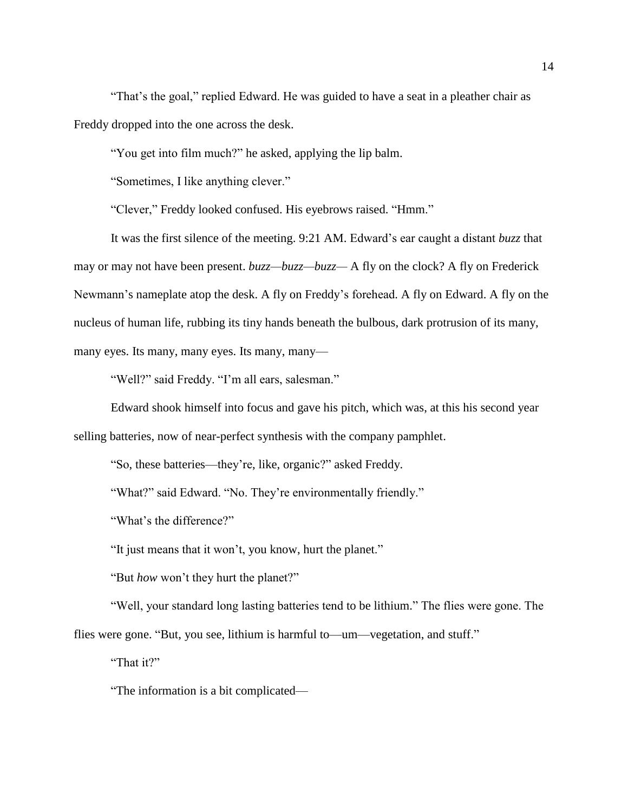"That's the goal," replied Edward. He was guided to have a seat in a pleather chair as Freddy dropped into the one across the desk.

"You get into film much?" he asked, applying the lip balm.

"Sometimes, I like anything clever."

"Clever," Freddy looked confused. His eyebrows raised. "Hmm."

It was the first silence of the meeting. 9:21 AM. Edward's ear caught a distant *buzz* that may or may not have been present. *buzz—buzz—buzz—* A fly on the clock? A fly on Frederick Newmann's nameplate atop the desk. A fly on Freddy's forehead. A fly on Edward. A fly on the nucleus of human life, rubbing its tiny hands beneath the bulbous, dark protrusion of its many, many eyes. Its many, many eyes. Its many, many—

"Well?" said Freddy. "I'm all ears, salesman."

Edward shook himself into focus and gave his pitch, which was, at this his second year selling batteries, now of near-perfect synthesis with the company pamphlet.

"So, these batteries—they're, like, organic?" asked Freddy.

"What?" said Edward. "No. They're environmentally friendly."

"What's the difference?"

"It just means that it won't, you know, hurt the planet."

"But *how* won't they hurt the planet?"

"Well, your standard long lasting batteries tend to be lithium." The flies were gone. The flies were gone. "But, you see, lithium is harmful to—um—vegetation, and stuff."

"That it?"

"The information is a bit complicated—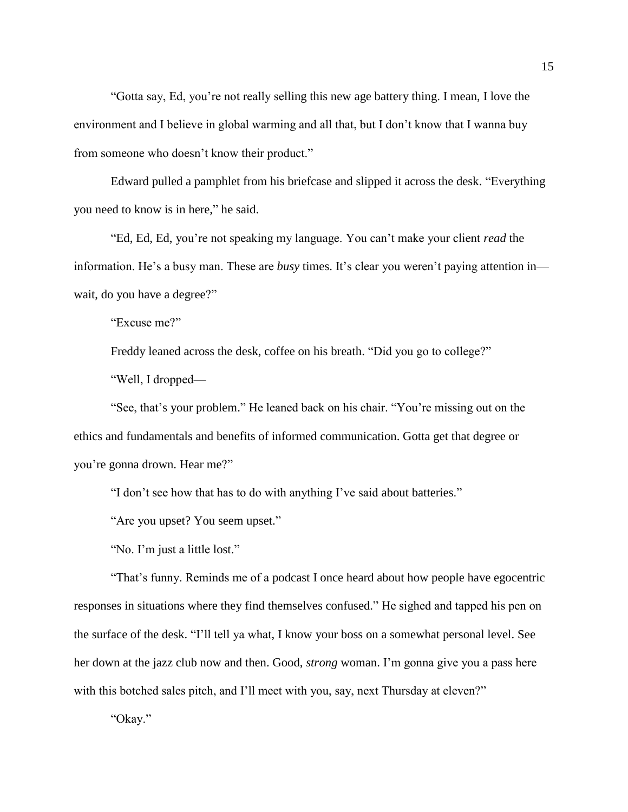"Gotta say, Ed, you're not really selling this new age battery thing. I mean, I love the environment and I believe in global warming and all that, but I don't know that I wanna buy from someone who doesn't know their product."

Edward pulled a pamphlet from his briefcase and slipped it across the desk. "Everything you need to know is in here," he said.

"Ed, Ed, Ed, you're not speaking my language. You can't make your client *read* the information. He's a busy man. These are *busy* times. It's clear you weren't paying attention in wait, do you have a degree?"

"Excuse me?"

Freddy leaned across the desk, coffee on his breath. "Did you go to college?"

"Well, I dropped—

"See, that's your problem." He leaned back on his chair. "You're missing out on the ethics and fundamentals and benefits of informed communication. Gotta get that degree or you're gonna drown. Hear me?"

"I don't see how that has to do with anything I've said about batteries."

"Are you upset? You seem upset."

"No. I'm just a little lost."

"That's funny. Reminds me of a podcast I once heard about how people have egocentric responses in situations where they find themselves confused." He sighed and tapped his pen on the surface of the desk. "I'll tell ya what, I know your boss on a somewhat personal level. See her down at the jazz club now and then. Good, *strong* woman. I'm gonna give you a pass here with this botched sales pitch, and I'll meet with you, say, next Thursday at eleven?"

"Okay."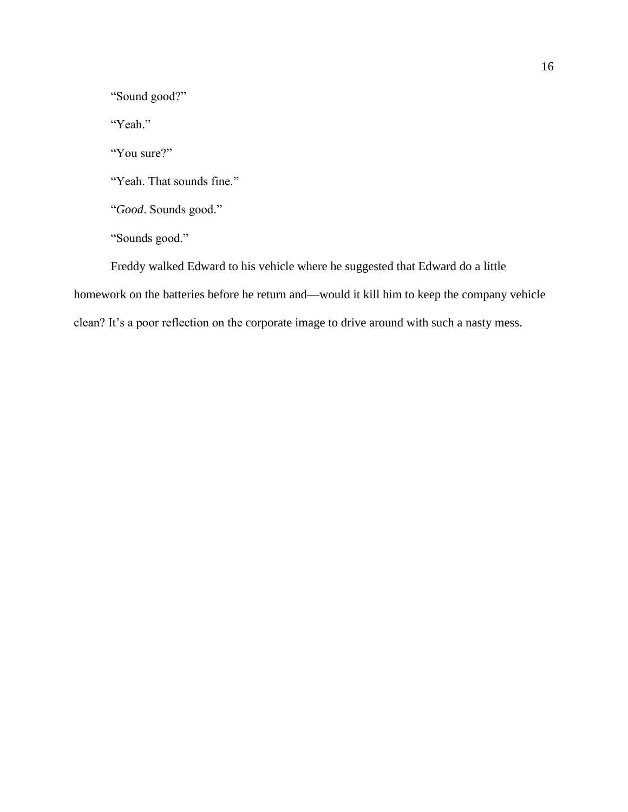"Sound good?"

"Yeah."

"You sure?"

"Yeah. That sounds fine."

"*Good*. Sounds good."

"Sounds good."

Freddy walked Edward to his vehicle where he suggested that Edward do a little homework on the batteries before he return and—would it kill him to keep the company vehicle clean? It's a poor reflection on the corporate image to drive around with such a nasty mess.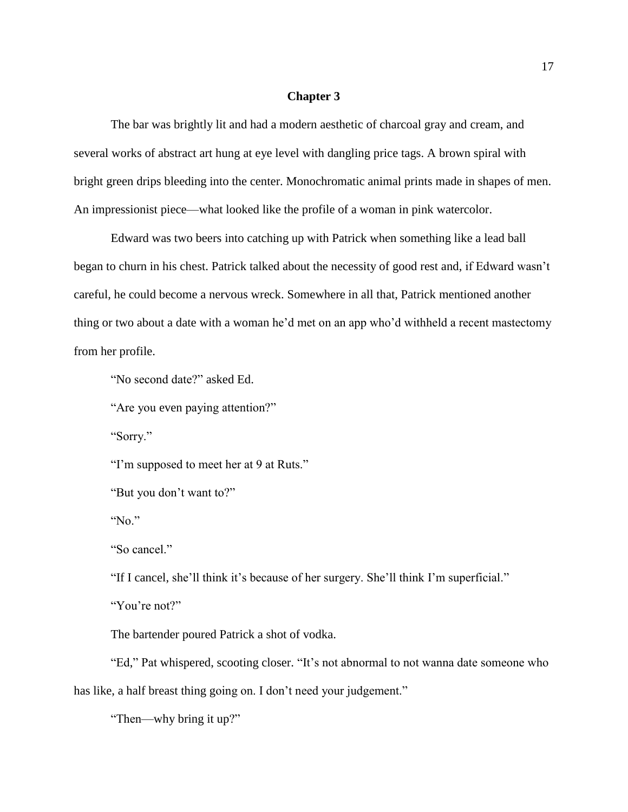### **Chapter 3**

The bar was brightly lit and had a modern aesthetic of charcoal gray and cream, and several works of abstract art hung at eye level with dangling price tags. A brown spiral with bright green drips bleeding into the center. Monochromatic animal prints made in shapes of men. An impressionist piece—what looked like the profile of a woman in pink watercolor.

Edward was two beers into catching up with Patrick when something like a lead ball began to churn in his chest. Patrick talked about the necessity of good rest and, if Edward wasn't careful, he could become a nervous wreck. Somewhere in all that, Patrick mentioned another thing or two about a date with a woman he'd met on an app who'd withheld a recent mastectomy from her profile.

"No second date?" asked Ed.

"Are you even paying attention?"

"Sorry."

"I'm supposed to meet her at 9 at Ruts."

"But you don't want to?"

"No."

"So cancel."

"If I cancel, she'll think it's because of her surgery. She'll think I'm superficial."

"You're not?"

The bartender poured Patrick a shot of vodka.

"Ed," Pat whispered, scooting closer. "It's not abnormal to not wanna date someone who has like, a half breast thing going on. I don't need your judgement."

"Then—why bring it up?"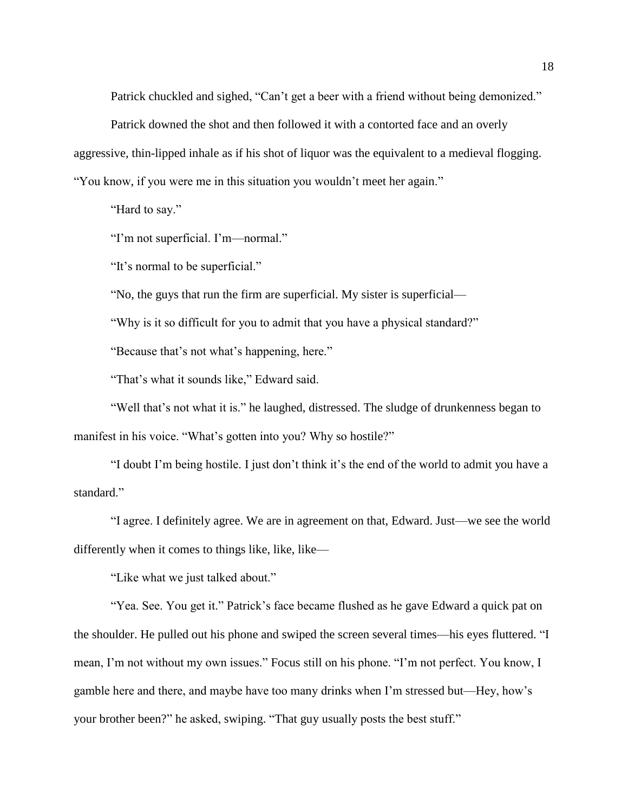Patrick chuckled and sighed, "Can't get a beer with a friend without being demonized."

Patrick downed the shot and then followed it with a contorted face and an overly

aggressive, thin-lipped inhale as if his shot of liquor was the equivalent to a medieval flogging.

"You know, if you were me in this situation you wouldn't meet her again."

"Hard to say."

"I'm not superficial. I'm—normal."

"It's normal to be superficial."

"No, the guys that run the firm are superficial. My sister is superficial—

"Why is it so difficult for you to admit that you have a physical standard?"

"Because that's not what's happening, here."

"That's what it sounds like," Edward said.

"Well that's not what it is." he laughed, distressed. The sludge of drunkenness began to manifest in his voice. "What's gotten into you? Why so hostile?"

"I doubt I'm being hostile. I just don't think it's the end of the world to admit you have a standard."

"I agree. I definitely agree. We are in agreement on that, Edward. Just—we see the world differently when it comes to things like, like, like—

"Like what we just talked about."

"Yea. See. You get it." Patrick's face became flushed as he gave Edward a quick pat on the shoulder. He pulled out his phone and swiped the screen several times—his eyes fluttered. "I mean, I'm not without my own issues." Focus still on his phone. "I'm not perfect. You know, I gamble here and there, and maybe have too many drinks when I'm stressed but—Hey, how's your brother been?" he asked, swiping. "That guy usually posts the best stuff."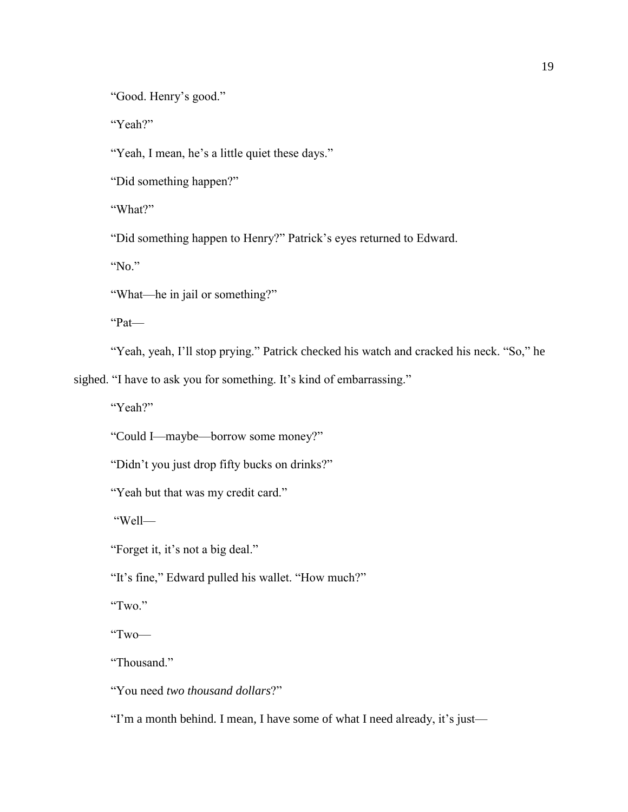"Good. Henry's good."

"Yeah?"

"Yeah, I mean, he's a little quiet these days."

"Did something happen?"

"What?"

"Did something happen to Henry?" Patrick's eyes returned to Edward.

"No."

"What—he in jail or something?"

"Pat—

"Yeah, yeah, I'll stop prying." Patrick checked his watch and cracked his neck. "So," he

sighed. "I have to ask you for something. It's kind of embarrassing."

"Yeah?"

"Could I—maybe—borrow some money?"

"Didn't you just drop fifty bucks on drinks?"

"Yeah but that was my credit card."

"Well—

"Forget it, it's not a big deal."

"It's fine," Edward pulled his wallet. "How much?"

"Two."

"Two—

"Thousand."

"You need *two thousand dollars*?"

"I'm a month behind. I mean, I have some of what I need already, it's just—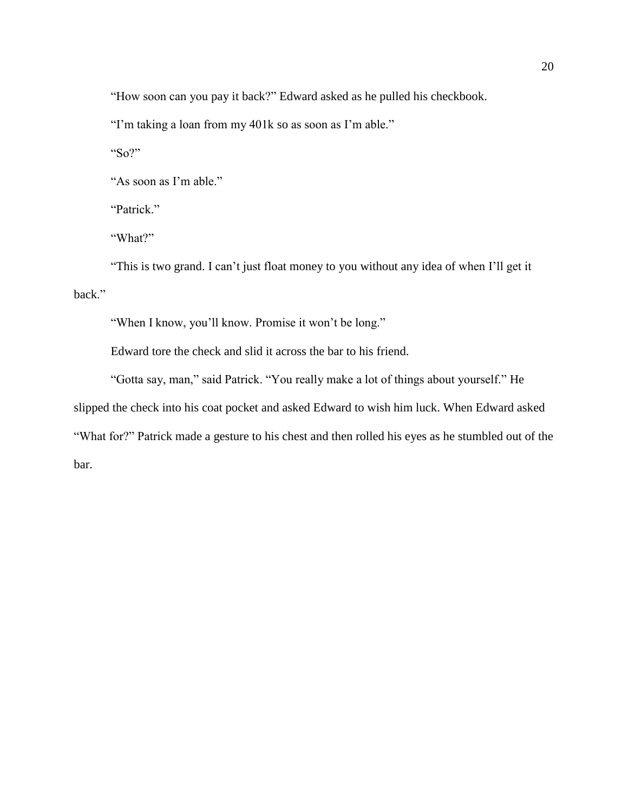"How soon can you pay it back?" Edward asked as he pulled his checkbook.

"I'm taking a loan from my 401k so as soon as I'm able."

"So?"

"As soon as I'm able."

"Patrick."

"What?"

"This is two grand. I can't just float money to you without any idea of when I'll get it back."

"When I know, you'll know. Promise it won't be long."

Edward tore the check and slid it across the bar to his friend.

"Gotta say, man," said Patrick. "You really make a lot of things about yourself." He slipped the check into his coat pocket and asked Edward to wish him luck. When Edward asked "What for?" Patrick made a gesture to his chest and then rolled his eyes as he stumbled out of the bar.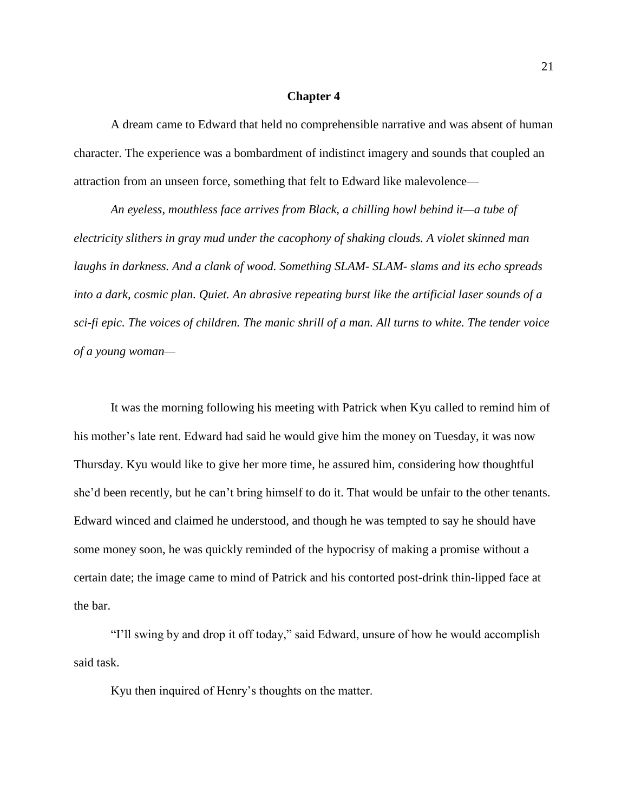#### **Chapter 4**

A dream came to Edward that held no comprehensible narrative and was absent of human character. The experience was a bombardment of indistinct imagery and sounds that coupled an attraction from an unseen force, something that felt to Edward like malevolence—

*An eyeless, mouthless face arrives from Black, a chilling howl behind it—a tube of electricity slithers in gray mud under the cacophony of shaking clouds. A violet skinned man laughs in darkness. And a clank of wood. Something SLAM- SLAM- slams and its echo spreads into a dark, cosmic plan. Quiet. An abrasive repeating burst like the artificial laser sounds of a sci-fi epic. The voices of children. The manic shrill of a man. All turns to white. The tender voice of a young woman—*

It was the morning following his meeting with Patrick when Kyu called to remind him of his mother's late rent. Edward had said he would give him the money on Tuesday, it was now Thursday. Kyu would like to give her more time, he assured him, considering how thoughtful she'd been recently, but he can't bring himself to do it. That would be unfair to the other tenants. Edward winced and claimed he understood, and though he was tempted to say he should have some money soon, he was quickly reminded of the hypocrisy of making a promise without a certain date; the image came to mind of Patrick and his contorted post-drink thin-lipped face at the bar.

"I'll swing by and drop it off today," said Edward, unsure of how he would accomplish said task.

Kyu then inquired of Henry's thoughts on the matter.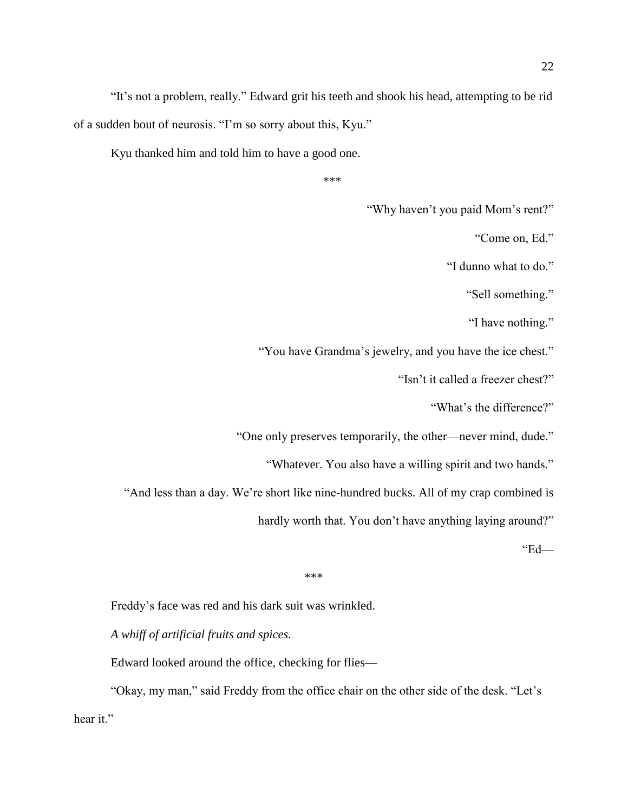"It's not a problem, really." Edward grit his teeth and shook his head, attempting to be rid of a sudden bout of neurosis. "I'm so sorry about this, Kyu."

Kyu thanked him and told him to have a good one.

```
***
```
"Why haven't you paid Mom's rent?"

"Come on, Ed."

"I dunno what to do."

"Sell something."

"I have nothing."

"You have Grandma's jewelry, and you have the ice chest."

"Isn't it called a freezer chest?"

"What's the difference?"

"One only preserves temporarily, the other—never mind, dude."

"Whatever. You also have a willing spirit and two hands."

"And less than a day. We're short like nine-hundred bucks. All of my crap combined is

hardly worth that. You don't have anything laying around?"

"Ed—

```
***
```
Freddy's face was red and his dark suit was wrinkled.

*A whiff of artificial fruits and spices.* 

Edward looked around the office, checking for flies—

"Okay, my man," said Freddy from the office chair on the other side of the desk. "Let's hear it."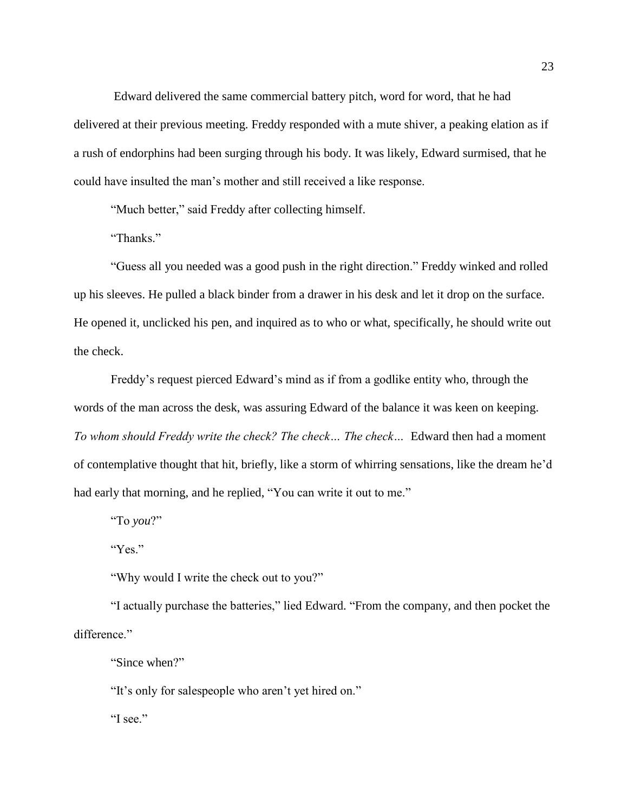Edward delivered the same commercial battery pitch, word for word, that he had delivered at their previous meeting. Freddy responded with a mute shiver, a peaking elation as if a rush of endorphins had been surging through his body. It was likely, Edward surmised, that he could have insulted the man's mother and still received a like response.

"Much better," said Freddy after collecting himself.

"Thanks."

"Guess all you needed was a good push in the right direction." Freddy winked and rolled up his sleeves. He pulled a black binder from a drawer in his desk and let it drop on the surface. He opened it, unclicked his pen, and inquired as to who or what, specifically, he should write out the check.

Freddy's request pierced Edward's mind as if from a godlike entity who, through the words of the man across the desk, was assuring Edward of the balance it was keen on keeping. *To whom should Freddy write the check? The check… The check…* Edward then had a moment of contemplative thought that hit, briefly, like a storm of whirring sensations, like the dream he'd had early that morning, and he replied, "You can write it out to me."

"To *you*?"

"Yes."

"Why would I write the check out to you?"

"I actually purchase the batteries," lied Edward. "From the company, and then pocket the difference."

"Since when?"

"It's only for salespeople who aren't yet hired on."

"I see."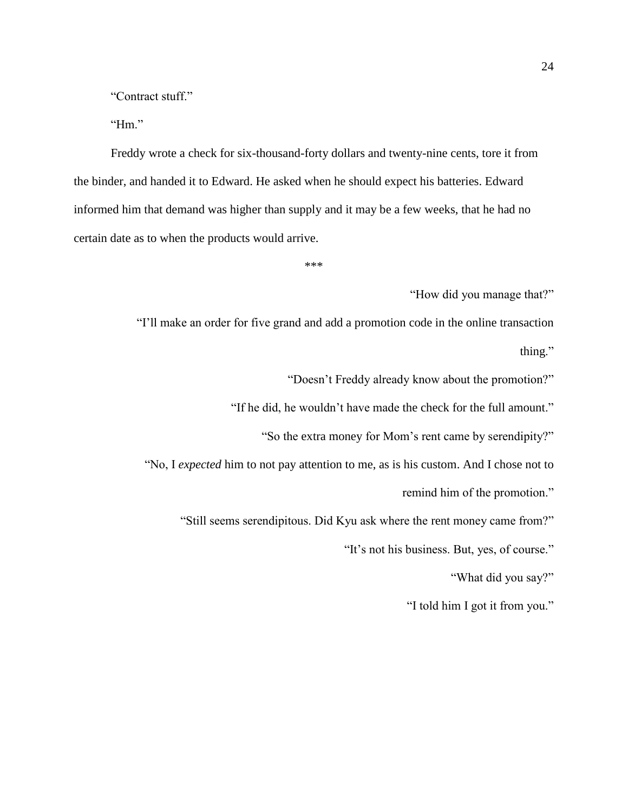"Contract stuff."

"Hm."

Freddy wrote a check for six-thousand-forty dollars and twenty-nine cents, tore it from the binder, and handed it to Edward. He asked when he should expect his batteries. Edward informed him that demand was higher than supply and it may be a few weeks, that he had no certain date as to when the products would arrive.

\*\*\*

"How did you manage that?"

"I'll make an order for five grand and add a promotion code in the online transaction thing."

"Doesn't Freddy already know about the promotion?"

"If he did, he wouldn't have made the check for the full amount."

"So the extra money for Mom's rent came by serendipity?"

"No, I *expected* him to not pay attention to me, as is his custom. And I chose not to

remind him of the promotion."

"Still seems serendipitous. Did Kyu ask where the rent money came from?"

"It's not his business. But, yes, of course."

"What did you say?"

"I told him I got it from you."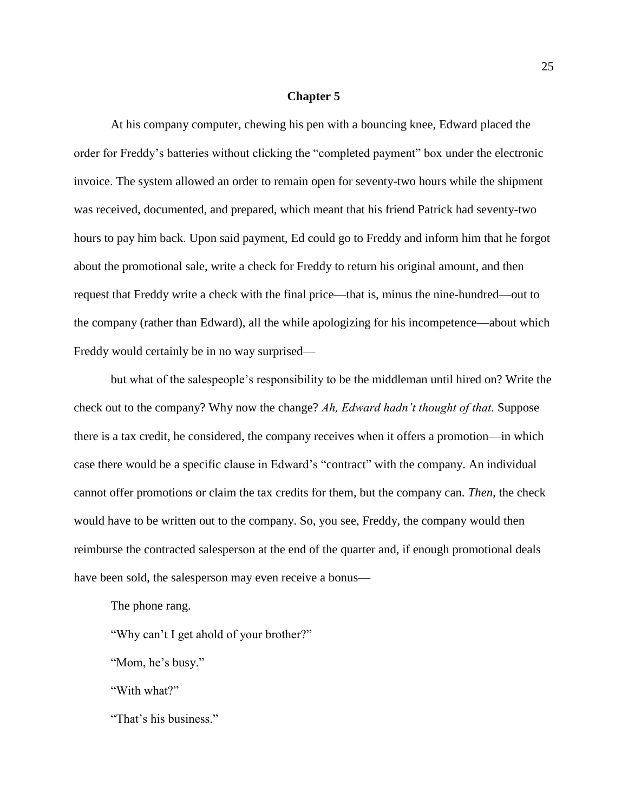#### **Chapter 5**

At his company computer, chewing his pen with a bouncing knee, Edward placed the order for Freddy's batteries without clicking the "completed payment" box under the electronic invoice. The system allowed an order to remain open for seventy-two hours while the shipment was received, documented, and prepared, which meant that his friend Patrick had seventy-two hours to pay him back. Upon said payment, Ed could go to Freddy and inform him that he forgot about the promotional sale, write a check for Freddy to return his original amount, and then request that Freddy write a check with the final price—that is, minus the nine-hundred—out to the company (rather than Edward), all the while apologizing for his incompetence—about which Freddy would certainly be in no way surprised—

but what of the salespeople's responsibility to be the middleman until hired on? Write the check out to the company? Why now the change? *Ah, Edward hadn't thought of that.* Suppose there is a tax credit, he considered, the company receives when it offers a promotion—in which case there would be a specific clause in Edward's "contract" with the company. An individual cannot offer promotions or claim the tax credits for them, but the company can. *Then,* the check would have to be written out to the company. So, you see, Freddy, the company would then reimburse the contracted salesperson at the end of the quarter and, if enough promotional deals have been sold, the salesperson may even receive a bonus—

The phone rang.

"Why can't I get ahold of your brother?"

"Mom, he's busy."

"With what?"

"That's his business."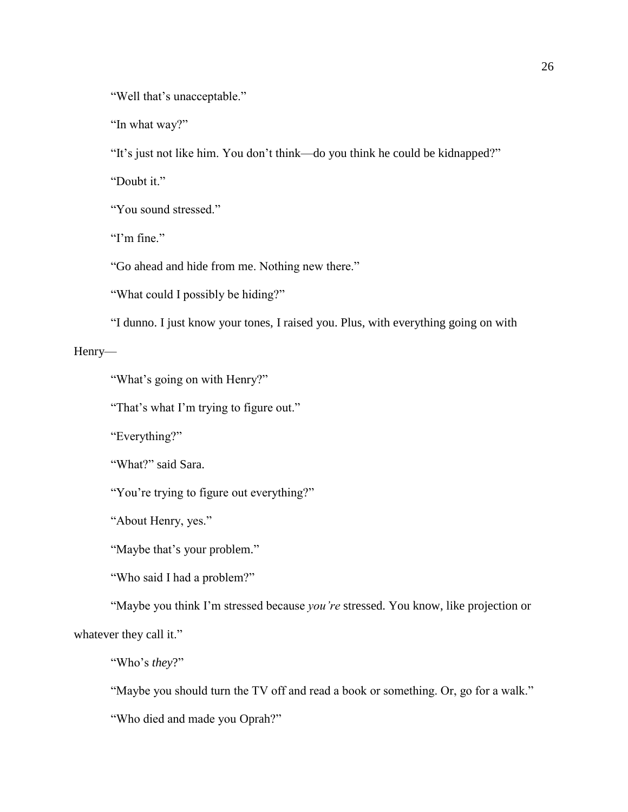"Well that's unacceptable."

"In what way?"

"It's just not like him. You don't think—do you think he could be kidnapped?"

"Doubt it."

"You sound stressed."

"I'm fine."

"Go ahead and hide from me. Nothing new there."

"What could I possibly be hiding?"

"I dunno. I just know your tones, I raised you. Plus, with everything going on with

Henry—

"What's going on with Henry?"

"That's what I'm trying to figure out."

"Everything?"

"What?" said Sara.

"You're trying to figure out everything?"

"About Henry, yes."

"Maybe that's your problem."

"Who said I had a problem?"

"Maybe you think I'm stressed because *you're* stressed. You know, like projection or whatever they call it."

"Who's *they*?"

"Maybe you should turn the TV off and read a book or something. Or, go for a walk."

"Who died and made you Oprah?"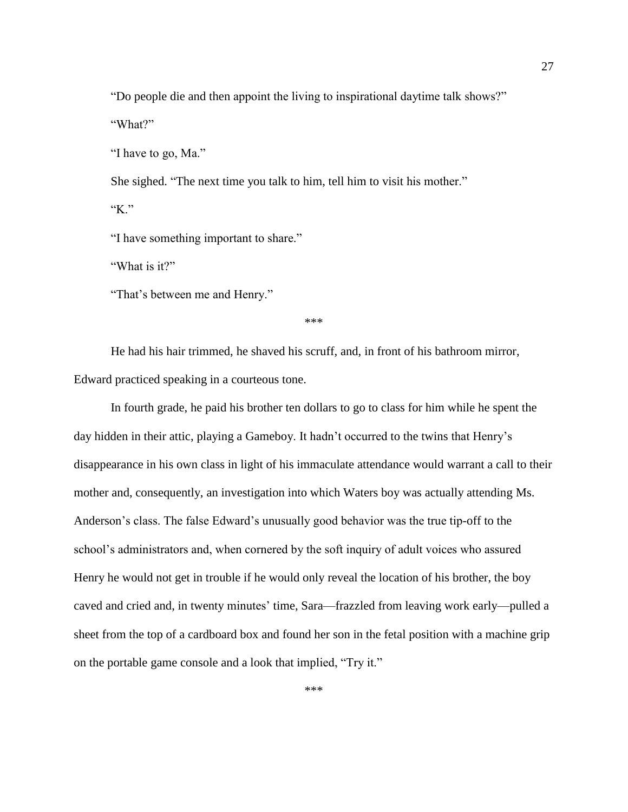"Do people die and then appoint the living to inspirational daytime talk shows?" "What?"

"I have to go, Ma."

She sighed. "The next time you talk to him, tell him to visit his mother."

"K."

"I have something important to share."

"What is it?"

"That's between me and Henry."

\*\*\*

He had his hair trimmed, he shaved his scruff, and, in front of his bathroom mirror, Edward practiced speaking in a courteous tone.

In fourth grade, he paid his brother ten dollars to go to class for him while he spent the day hidden in their attic, playing a Gameboy. It hadn't occurred to the twins that Henry's disappearance in his own class in light of his immaculate attendance would warrant a call to their mother and, consequently, an investigation into which Waters boy was actually attending Ms. Anderson's class. The false Edward's unusually good behavior was the true tip-off to the school's administrators and, when cornered by the soft inquiry of adult voices who assured Henry he would not get in trouble if he would only reveal the location of his brother, the boy caved and cried and, in twenty minutes' time, Sara—frazzled from leaving work early—pulled a sheet from the top of a cardboard box and found her son in the fetal position with a machine grip on the portable game console and a look that implied, "Try it."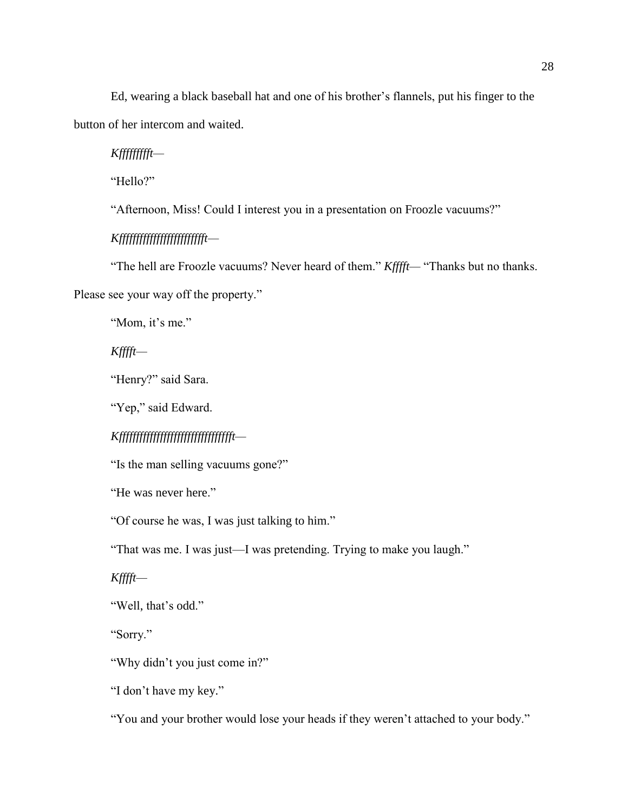Ed, wearing a black baseball hat and one of his brother's flannels, put his finger to the button of her intercom and waited.

*Kffffffffft—*

"Hello?"

"Afternoon, Miss! Could I interest you in a presentation on Froozle vacuums?"

*Kffffffffffffffffffffffffft—*

"The hell are Froozle vacuums? Never heard of them." *Kfffft—* "Thanks but no thanks.

Please see your way off the property."

"Mom, it's me."

*Kfffft—*

"Henry?" said Sara.

"Yep," said Edward.

*Kffffffffffffffffffffffffffffffffft—*

"Is the man selling vacuums gone?"

"He was never here."

"Of course he was, I was just talking to him."

"That was me. I was just—I was pretending. Trying to make you laugh."

*Kfffft—*

"Well, that's odd."

"Sorry."

"Why didn't you just come in?"

"I don't have my key."

"You and your brother would lose your heads if they weren't attached to your body."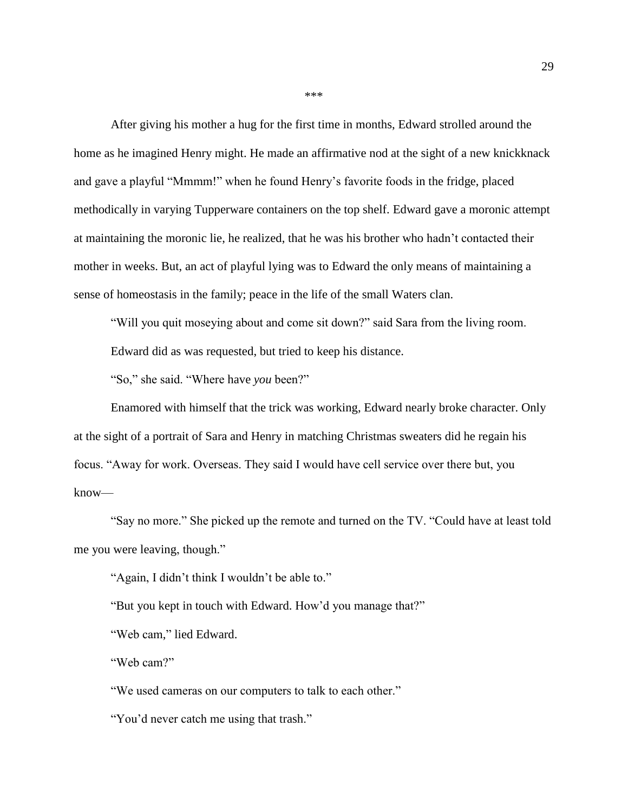After giving his mother a hug for the first time in months, Edward strolled around the home as he imagined Henry might. He made an affirmative nod at the sight of a new knickknack and gave a playful "Mmmm!" when he found Henry's favorite foods in the fridge, placed methodically in varying Tupperware containers on the top shelf. Edward gave a moronic attempt at maintaining the moronic lie, he realized, that he was his brother who hadn't contacted their mother in weeks. But, an act of playful lying was to Edward the only means of maintaining a sense of homeostasis in the family; peace in the life of the small Waters clan.

"Will you quit moseying about and come sit down?" said Sara from the living room.

Edward did as was requested, but tried to keep his distance.

"So," she said. "Where have *you* been?"

Enamored with himself that the trick was working, Edward nearly broke character. Only at the sight of a portrait of Sara and Henry in matching Christmas sweaters did he regain his focus. "Away for work. Overseas. They said I would have cell service over there but, you know—

"Say no more." She picked up the remote and turned on the TV. "Could have at least told me you were leaving, though."

"Again, I didn't think I wouldn't be able to."

"But you kept in touch with Edward. How'd you manage that?"

"Web cam," lied Edward.

"Web cam?"

"We used cameras on our computers to talk to each other."

"You'd never catch me using that trash."

\*\*\*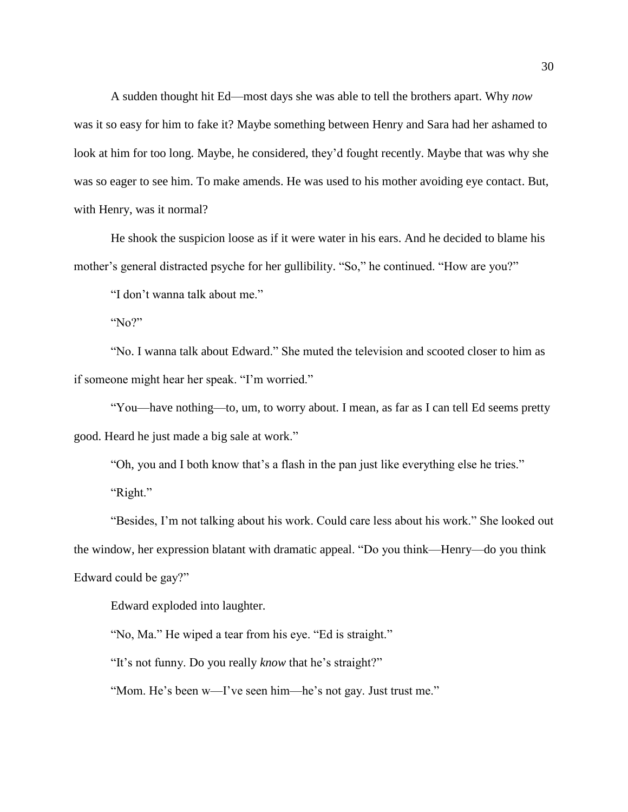A sudden thought hit Ed—most days she was able to tell the brothers apart. Why *now* was it so easy for him to fake it? Maybe something between Henry and Sara had her ashamed to look at him for too long. Maybe, he considered, they'd fought recently. Maybe that was why she was so eager to see him. To make amends. He was used to his mother avoiding eye contact. But, with Henry, was it normal?

He shook the suspicion loose as if it were water in his ears. And he decided to blame his mother's general distracted psyche for her gullibility. "So," he continued. "How are you?"

"I don't wanna talk about me."

"No?"

"No. I wanna talk about Edward." She muted the television and scooted closer to him as if someone might hear her speak. "I'm worried."

"You—have nothing—to, um, to worry about. I mean, as far as I can tell Ed seems pretty good. Heard he just made a big sale at work."

"Oh, you and I both know that's a flash in the pan just like everything else he tries."

"Right."

"Besides, I'm not talking about his work. Could care less about his work." She looked out the window, her expression blatant with dramatic appeal. "Do you think—Henry—do you think Edward could be gay?"

Edward exploded into laughter.

"No, Ma." He wiped a tear from his eye. "Ed is straight."

"It's not funny. Do you really *know* that he's straight?"

"Mom. He's been w—I've seen him—he's not gay. Just trust me."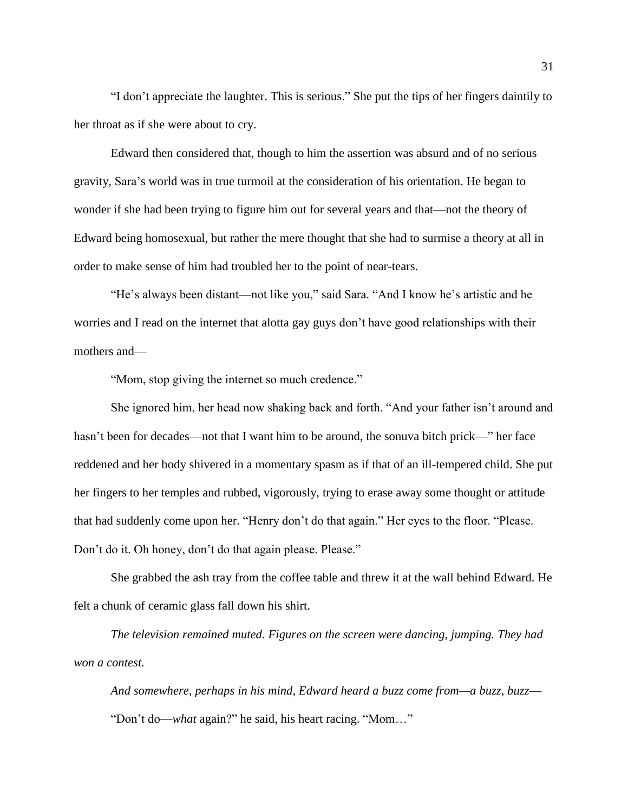"I don't appreciate the laughter. This is serious." She put the tips of her fingers daintily to her throat as if she were about to cry.

Edward then considered that, though to him the assertion was absurd and of no serious gravity, Sara's world was in true turmoil at the consideration of his orientation. He began to wonder if she had been trying to figure him out for several years and that—not the theory of Edward being homosexual, but rather the mere thought that she had to surmise a theory at all in order to make sense of him had troubled her to the point of near-tears.

"He's always been distant—not like you," said Sara. "And I know he's artistic and he worries and I read on the internet that alotta gay guys don't have good relationships with their mothers and—

"Mom, stop giving the internet so much credence."

She ignored him, her head now shaking back and forth. "And your father isn't around and hasn't been for decades—not that I want him to be around, the sonuva bitch prick—" her face reddened and her body shivered in a momentary spasm as if that of an ill-tempered child. She put her fingers to her temples and rubbed, vigorously, trying to erase away some thought or attitude that had suddenly come upon her. "Henry don't do that again." Her eyes to the floor. "Please. Don't do it. Oh honey, don't do that again please. Please."

She grabbed the ash tray from the coffee table and threw it at the wall behind Edward. He felt a chunk of ceramic glass fall down his shirt.

*The television remained muted. Figures on the screen were dancing, jumping. They had won a contest.*

*And somewhere, perhaps in his mind, Edward heard a buzz come from—a buzz, buzz*— "Don't do—*what* again?" he said, his heart racing. "Mom…"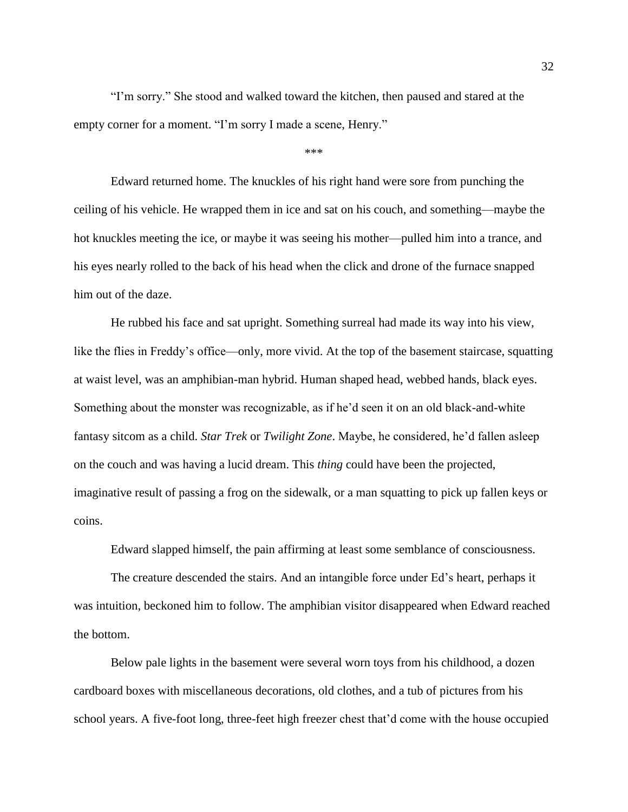"I'm sorry." She stood and walked toward the kitchen, then paused and stared at the empty corner for a moment. "I'm sorry I made a scene, Henry."

\*\*\*

Edward returned home. The knuckles of his right hand were sore from punching the ceiling of his vehicle. He wrapped them in ice and sat on his couch, and something—maybe the hot knuckles meeting the ice, or maybe it was seeing his mother—pulled him into a trance, and his eyes nearly rolled to the back of his head when the click and drone of the furnace snapped him out of the daze.

He rubbed his face and sat upright. Something surreal had made its way into his view, like the flies in Freddy's office—only, more vivid. At the top of the basement staircase, squatting at waist level, was an amphibian-man hybrid. Human shaped head, webbed hands, black eyes. Something about the monster was recognizable, as if he'd seen it on an old black-and-white fantasy sitcom as a child. *Star Trek* or *Twilight Zone*. Maybe, he considered, he'd fallen asleep on the couch and was having a lucid dream. This *thing* could have been the projected, imaginative result of passing a frog on the sidewalk, or a man squatting to pick up fallen keys or coins.

Edward slapped himself, the pain affirming at least some semblance of consciousness.

The creature descended the stairs. And an intangible force under Ed's heart, perhaps it was intuition, beckoned him to follow. The amphibian visitor disappeared when Edward reached the bottom.

Below pale lights in the basement were several worn toys from his childhood, a dozen cardboard boxes with miscellaneous decorations, old clothes, and a tub of pictures from his school years. A five-foot long, three-feet high freezer chest that'd come with the house occupied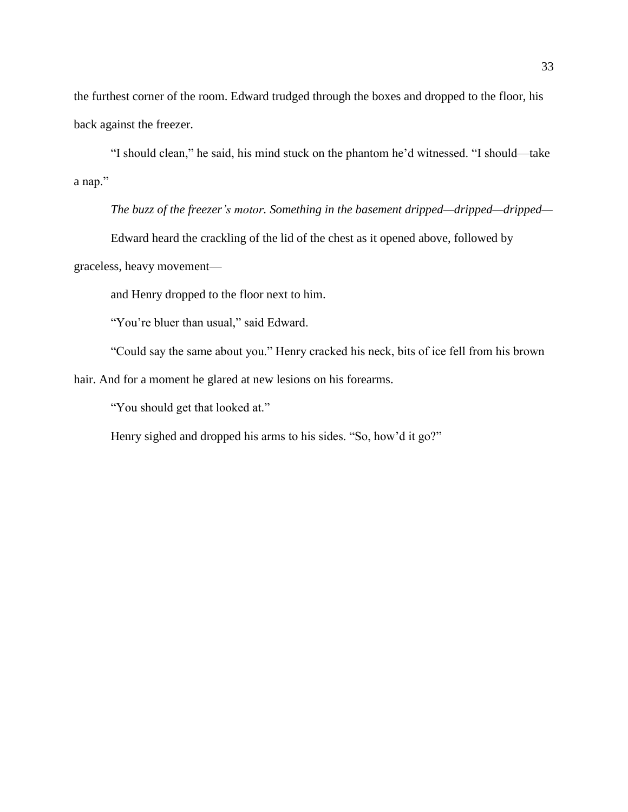the furthest corner of the room. Edward trudged through the boxes and dropped to the floor, his back against the freezer.

"I should clean," he said, his mind stuck on the phantom he'd witnessed. "I should—take a nap."

*The buzz of the freezer's motor. Something in the basement dripped—dripped—dripped—*

Edward heard the crackling of the lid of the chest as it opened above, followed by

graceless, heavy movement—

and Henry dropped to the floor next to him.

"You're bluer than usual," said Edward.

"Could say the same about you." Henry cracked his neck, bits of ice fell from his brown

hair. And for a moment he glared at new lesions on his forearms.

"You should get that looked at."

Henry sighed and dropped his arms to his sides. "So, how'd it go?"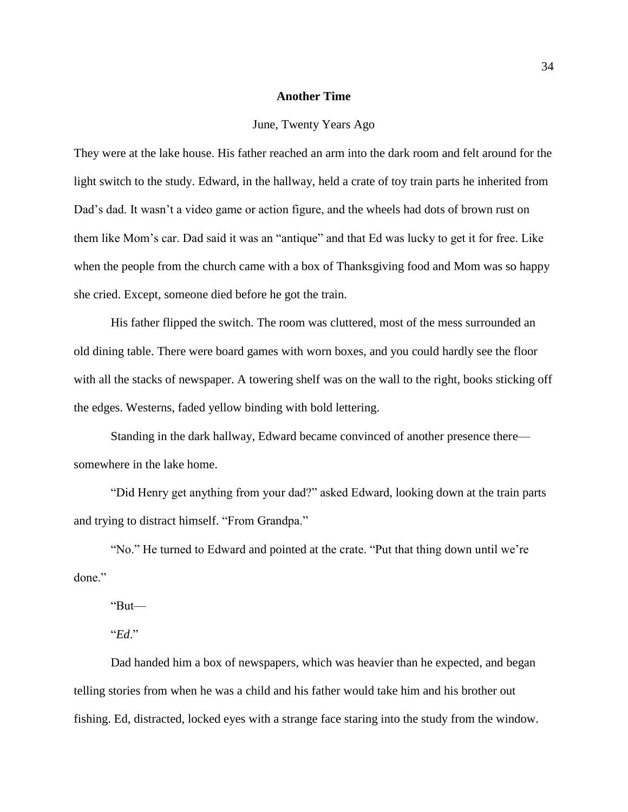# **Another Time**

## June, Twenty Years Ago

They were at the lake house. His father reached an arm into the dark room and felt around for the light switch to the study. Edward, in the hallway, held a crate of toy train parts he inherited from Dad's dad. It wasn't a video game or action figure, and the wheels had dots of brown rust on them like Mom's car. Dad said it was an "antique" and that Ed was lucky to get it for free. Like when the people from the church came with a box of Thanksgiving food and Mom was so happy she cried. Except, someone died before he got the train.

His father flipped the switch. The room was cluttered, most of the mess surrounded an old dining table. There were board games with worn boxes, and you could hardly see the floor with all the stacks of newspaper. A towering shelf was on the wall to the right, books sticking off the edges. Westerns, faded yellow binding with bold lettering.

Standing in the dark hallway, Edward became convinced of another presence there somewhere in the lake home.

"Did Henry get anything from your dad?" asked Edward, looking down at the train parts and trying to distract himself. "From Grandpa."

"No." He turned to Edward and pointed at the crate. "Put that thing down until we're done."

"But—

"*Ed*."

Dad handed him a box of newspapers, which was heavier than he expected, and began telling stories from when he was a child and his father would take him and his brother out fishing. Ed, distracted, locked eyes with a strange face staring into the study from the window.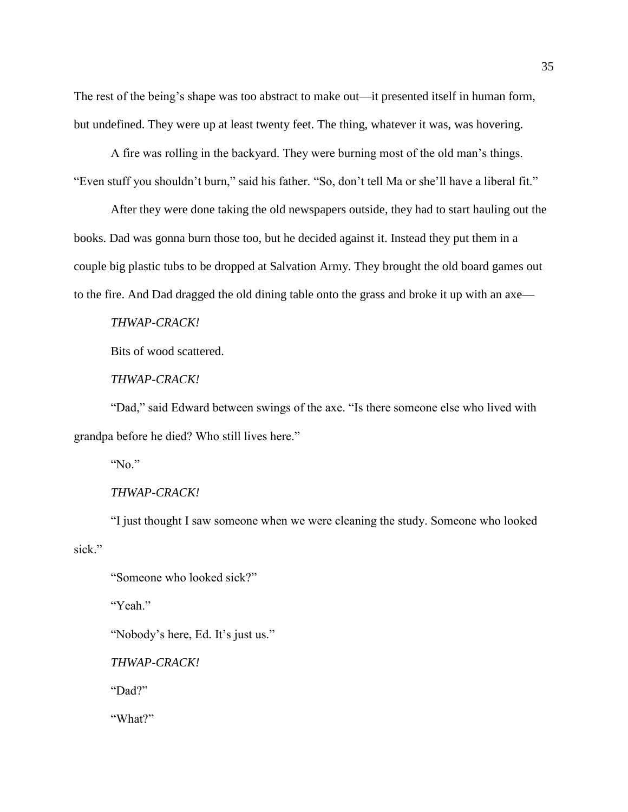The rest of the being's shape was too abstract to make out—it presented itself in human form, but undefined. They were up at least twenty feet. The thing, whatever it was, was hovering.

A fire was rolling in the backyard. They were burning most of the old man's things. "Even stuff you shouldn't burn," said his father. "So, don't tell Ma or she'll have a liberal fit."

After they were done taking the old newspapers outside, they had to start hauling out the books. Dad was gonna burn those too, but he decided against it. Instead they put them in a couple big plastic tubs to be dropped at Salvation Army. They brought the old board games out to the fire. And Dad dragged the old dining table onto the grass and broke it up with an axe—

*THWAP-CRACK!*

Bits of wood scattered.

*THWAP-CRACK!*

"Dad," said Edward between swings of the axe. "Is there someone else who lived with grandpa before he died? Who still lives here."

"No."

*THWAP-CRACK!*

"I just thought I saw someone when we were cleaning the study. Someone who looked sick."

"Someone who looked sick?"

"Yeah."

"Nobody's here, Ed. It's just us."

*THWAP-CRACK!*

"Dad?"

"What?"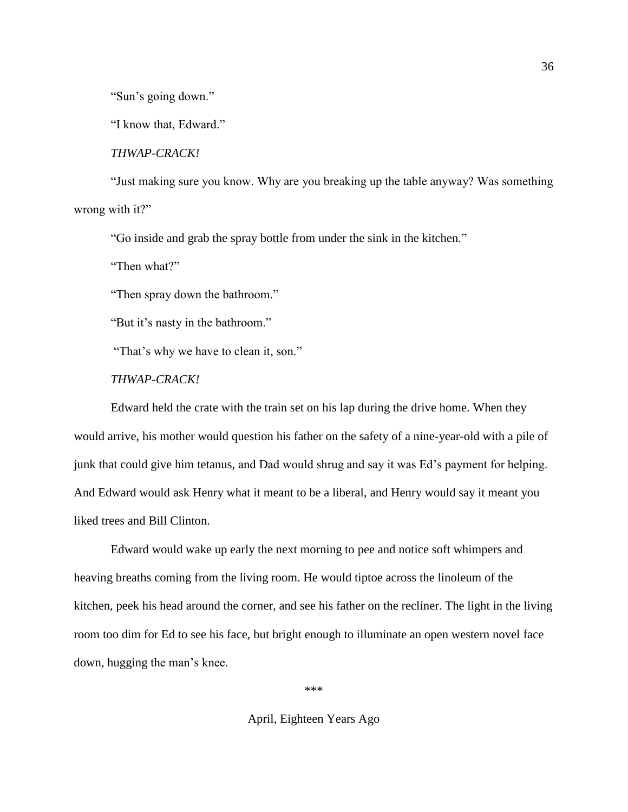"Sun's going down."

"I know that, Edward."

*THWAP-CRACK!*

"Just making sure you know. Why are you breaking up the table anyway? Was something wrong with it?"

"Go inside and grab the spray bottle from under the sink in the kitchen."

"Then what?"

"Then spray down the bathroom."

"But it's nasty in the bathroom."

"That's why we have to clean it, son."

# *THWAP-CRACK!*

Edward held the crate with the train set on his lap during the drive home. When they would arrive, his mother would question his father on the safety of a nine-year-old with a pile of junk that could give him tetanus, and Dad would shrug and say it was Ed's payment for helping. And Edward would ask Henry what it meant to be a liberal, and Henry would say it meant you liked trees and Bill Clinton.

Edward would wake up early the next morning to pee and notice soft whimpers and heaving breaths coming from the living room. He would tiptoe across the linoleum of the kitchen, peek his head around the corner, and see his father on the recliner. The light in the living room too dim for Ed to see his face, but bright enough to illuminate an open western novel face down, hugging the man's knee.

\*\*\*

April, Eighteen Years Ago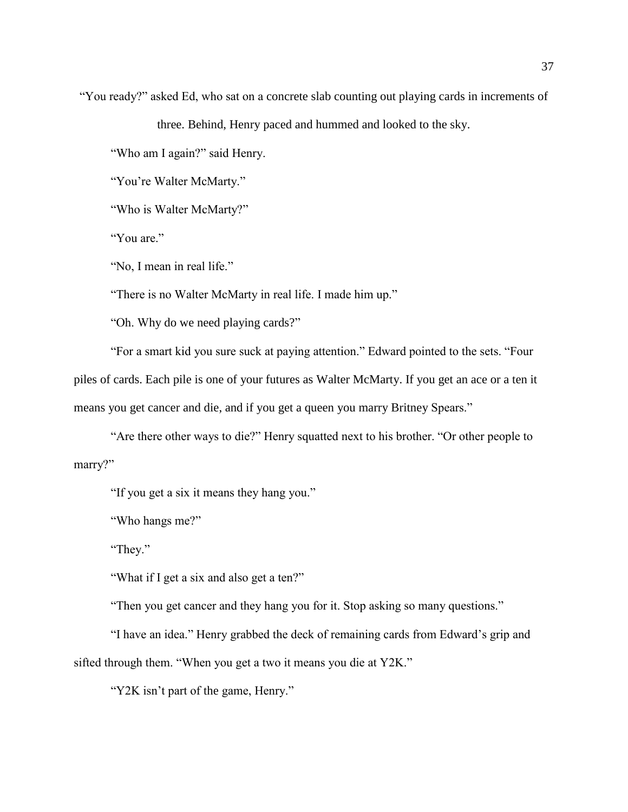"You ready?" asked Ed, who sat on a concrete slab counting out playing cards in increments of

three. Behind, Henry paced and hummed and looked to the sky.

"Who am I again?" said Henry.

"You're Walter McMarty."

"Who is Walter McMarty?"

"You are."

"No, I mean in real life."

"There is no Walter McMarty in real life. I made him up."

"Oh. Why do we need playing cards?"

"For a smart kid you sure suck at paying attention." Edward pointed to the sets. "Four piles of cards. Each pile is one of your futures as Walter McMarty. If you get an ace or a ten it means you get cancer and die, and if you get a queen you marry Britney Spears."

"Are there other ways to die?" Henry squatted next to his brother. "Or other people to marry?"

"If you get a six it means they hang you."

"Who hangs me?"

"They."

"What if I get a six and also get a ten?"

"Then you get cancer and they hang you for it. Stop asking so many questions."

"I have an idea." Henry grabbed the deck of remaining cards from Edward's grip and sifted through them. "When you get a two it means you die at Y2K."

"Y2K isn't part of the game, Henry."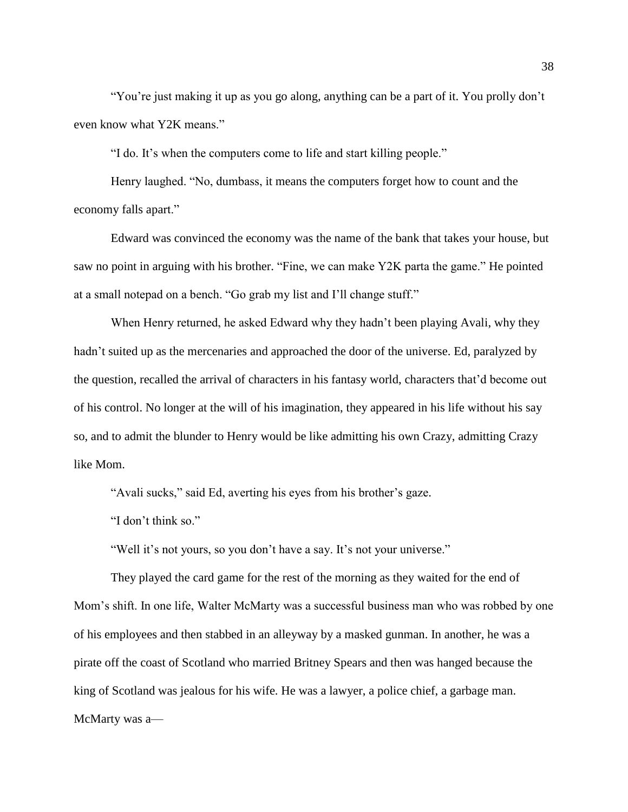"You're just making it up as you go along, anything can be a part of it. You prolly don't even know what Y2K means."

"I do. It's when the computers come to life and start killing people."

Henry laughed. "No, dumbass, it means the computers forget how to count and the economy falls apart."

Edward was convinced the economy was the name of the bank that takes your house, but saw no point in arguing with his brother. "Fine, we can make Y2K parta the game." He pointed at a small notepad on a bench. "Go grab my list and I'll change stuff."

When Henry returned, he asked Edward why they hadn't been playing Avali, why they hadn't suited up as the mercenaries and approached the door of the universe. Ed, paralyzed by the question, recalled the arrival of characters in his fantasy world, characters that'd become out of his control. No longer at the will of his imagination, they appeared in his life without his say so, and to admit the blunder to Henry would be like admitting his own Crazy, admitting Crazy like Mom.

"Avali sucks," said Ed, averting his eyes from his brother's gaze.

"I don't think so."

"Well it's not yours, so you don't have a say. It's not your universe."

They played the card game for the rest of the morning as they waited for the end of Mom's shift. In one life, Walter McMarty was a successful business man who was robbed by one of his employees and then stabbed in an alleyway by a masked gunman. In another, he was a pirate off the coast of Scotland who married Britney Spears and then was hanged because the king of Scotland was jealous for his wife. He was a lawyer, a police chief, a garbage man. McMarty was a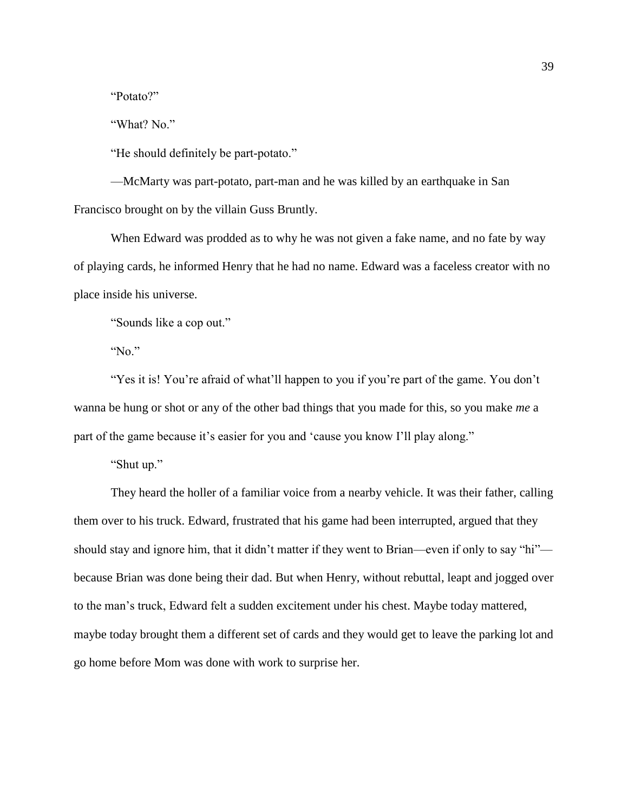"Potato?"

"What? No."

"He should definitely be part-potato."

—McMarty was part-potato, part-man and he was killed by an earthquake in San Francisco brought on by the villain Guss Bruntly.

When Edward was prodded as to why he was not given a fake name, and no fate by way of playing cards, he informed Henry that he had no name. Edward was a faceless creator with no place inside his universe.

"Sounds like a cop out."

"No."

"Yes it is! You're afraid of what'll happen to you if you're part of the game. You don't wanna be hung or shot or any of the other bad things that you made for this, so you make *me* a part of the game because it's easier for you and 'cause you know I'll play along."

"Shut up."

They heard the holler of a familiar voice from a nearby vehicle. It was their father, calling them over to his truck. Edward, frustrated that his game had been interrupted, argued that they should stay and ignore him, that it didn't matter if they went to Brian—even if only to say "hi" because Brian was done being their dad. But when Henry, without rebuttal, leapt and jogged over to the man's truck, Edward felt a sudden excitement under his chest. Maybe today mattered, maybe today brought them a different set of cards and they would get to leave the parking lot and go home before Mom was done with work to surprise her.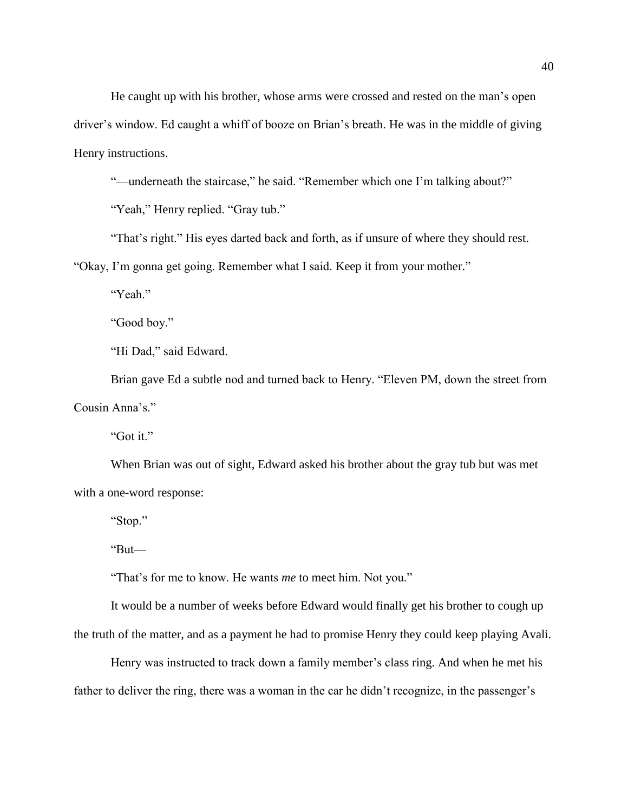He caught up with his brother, whose arms were crossed and rested on the man's open driver's window. Ed caught a whiff of booze on Brian's breath. He was in the middle of giving Henry instructions.

"—underneath the staircase," he said. "Remember which one I'm talking about?"

"Yeah," Henry replied. "Gray tub."

"That's right." His eyes darted back and forth, as if unsure of where they should rest.

"Okay, I'm gonna get going. Remember what I said. Keep it from your mother."

"Yeah."

"Good boy."

"Hi Dad," said Edward.

Brian gave Ed a subtle nod and turned back to Henry. "Eleven PM, down the street from Cousin Anna's."

"Got it."

When Brian was out of sight, Edward asked his brother about the gray tub but was met with a one-word response:

"Stop."

"But—

"That's for me to know. He wants *me* to meet him. Not you."

It would be a number of weeks before Edward would finally get his brother to cough up the truth of the matter, and as a payment he had to promise Henry they could keep playing Avali.

Henry was instructed to track down a family member's class ring. And when he met his father to deliver the ring, there was a woman in the car he didn't recognize, in the passenger's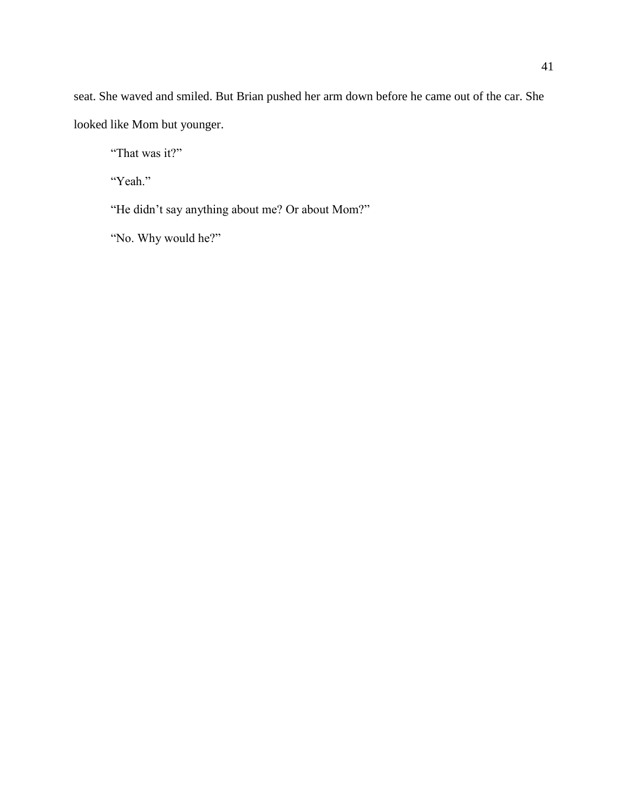seat. She waved and smiled. But Brian pushed her arm down before he came out of the car. She looked like Mom but younger.

"That was it?"

"Yeah."

"He didn't say anything about me? Or about Mom?"

"No. Why would he?"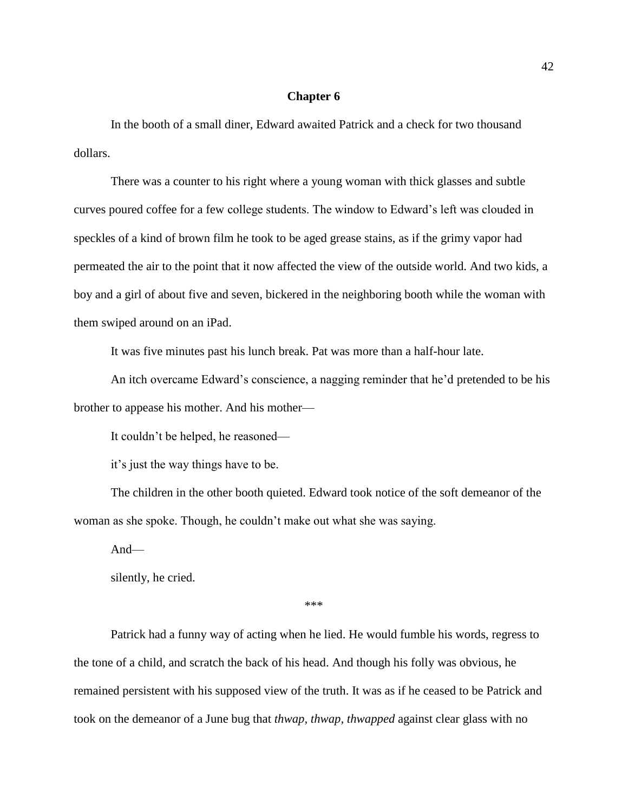## **Chapter 6**

In the booth of a small diner, Edward awaited Patrick and a check for two thousand dollars.

There was a counter to his right where a young woman with thick glasses and subtle curves poured coffee for a few college students. The window to Edward's left was clouded in speckles of a kind of brown film he took to be aged grease stains, as if the grimy vapor had permeated the air to the point that it now affected the view of the outside world. And two kids, a boy and a girl of about five and seven, bickered in the neighboring booth while the woman with them swiped around on an iPad.

It was five minutes past his lunch break. Pat was more than a half-hour late.

An itch overcame Edward's conscience, a nagging reminder that he'd pretended to be his brother to appease his mother. And his mother—

It couldn't be helped, he reasoned—

it's just the way things have to be.

The children in the other booth quieted. Edward took notice of the soft demeanor of the woman as she spoke. Though, he couldn't make out what she was saying.

And—

silently, he cried.

\*\*\*

Patrick had a funny way of acting when he lied. He would fumble his words, regress to the tone of a child, and scratch the back of his head. And though his folly was obvious, he remained persistent with his supposed view of the truth. It was as if he ceased to be Patrick and took on the demeanor of a June bug that *thwap, thwap, thwapped* against clear glass with no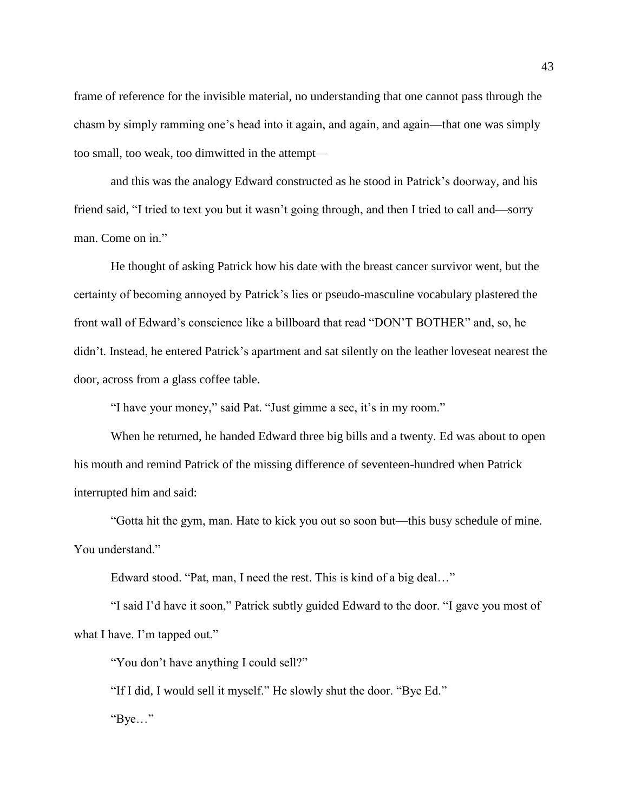frame of reference for the invisible material, no understanding that one cannot pass through the chasm by simply ramming one's head into it again, and again, and again—that one was simply too small, too weak, too dimwitted in the attempt—

and this was the analogy Edward constructed as he stood in Patrick's doorway, and his friend said, "I tried to text you but it wasn't going through, and then I tried to call and—sorry man. Come on in."

He thought of asking Patrick how his date with the breast cancer survivor went, but the certainty of becoming annoyed by Patrick's lies or pseudo-masculine vocabulary plastered the front wall of Edward's conscience like a billboard that read "DON'T BOTHER" and, so, he didn't. Instead, he entered Patrick's apartment and sat silently on the leather loveseat nearest the door, across from a glass coffee table.

"I have your money," said Pat. "Just gimme a sec, it's in my room."

When he returned, he handed Edward three big bills and a twenty. Ed was about to open his mouth and remind Patrick of the missing difference of seventeen-hundred when Patrick interrupted him and said:

"Gotta hit the gym, man. Hate to kick you out so soon but—this busy schedule of mine. You understand."

Edward stood. "Pat, man, I need the rest. This is kind of a big deal…"

"I said I'd have it soon," Patrick subtly guided Edward to the door. "I gave you most of what I have. I'm tapped out."

"You don't have anything I could sell?"

"If I did, I would sell it myself." He slowly shut the door. "Bye Ed."

"Bye…"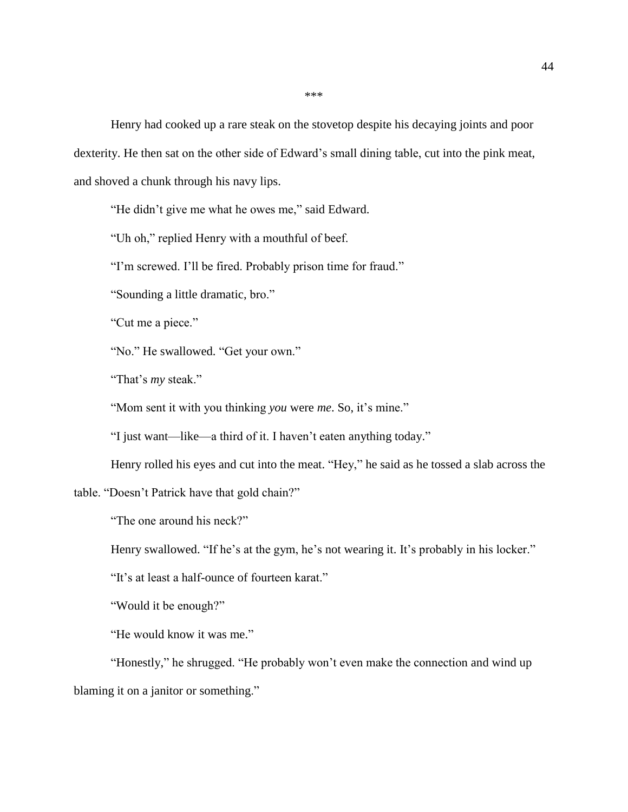\*\*\*

Henry had cooked up a rare steak on the stovetop despite his decaying joints and poor dexterity. He then sat on the other side of Edward's small dining table, cut into the pink meat, and shoved a chunk through his navy lips.

"He didn't give me what he owes me," said Edward.

"Uh oh," replied Henry with a mouthful of beef.

"I'm screwed. I'll be fired. Probably prison time for fraud."

"Sounding a little dramatic, bro."

"Cut me a piece."

"No." He swallowed. "Get your own."

"That's *my* steak."

"Mom sent it with you thinking *you* were *me*. So, it's mine."

"I just want—like—a third of it. I haven't eaten anything today."

Henry rolled his eyes and cut into the meat. "Hey," he said as he tossed a slab across the

table. "Doesn't Patrick have that gold chain?"

"The one around his neck?"

Henry swallowed. "If he's at the gym, he's not wearing it. It's probably in his locker."

"It's at least a half-ounce of fourteen karat."

"Would it be enough?"

"He would know it was me."

"Honestly," he shrugged. "He probably won't even make the connection and wind up blaming it on a janitor or something."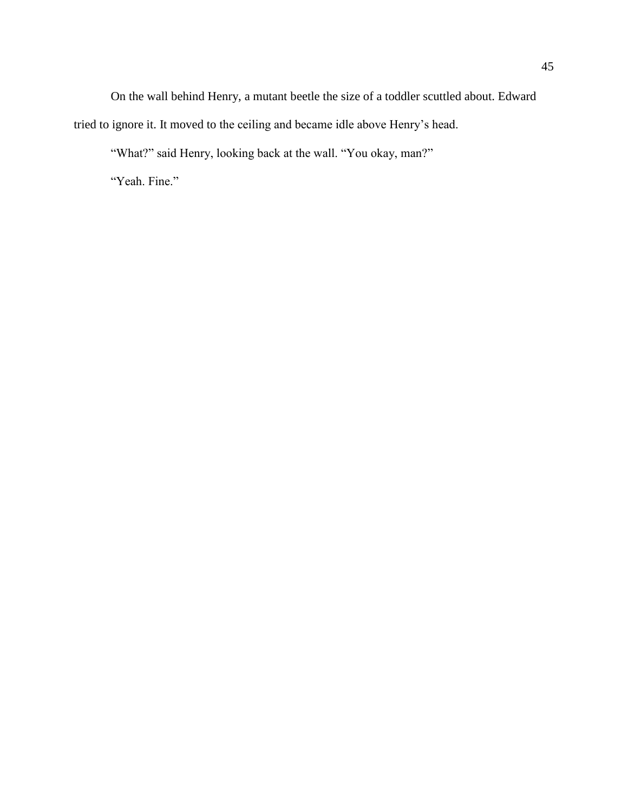On the wall behind Henry, a mutant beetle the size of a toddler scuttled about. Edward tried to ignore it. It moved to the ceiling and became idle above Henry's head.

"What?" said Henry, looking back at the wall. "You okay, man?"

"Yeah. Fine."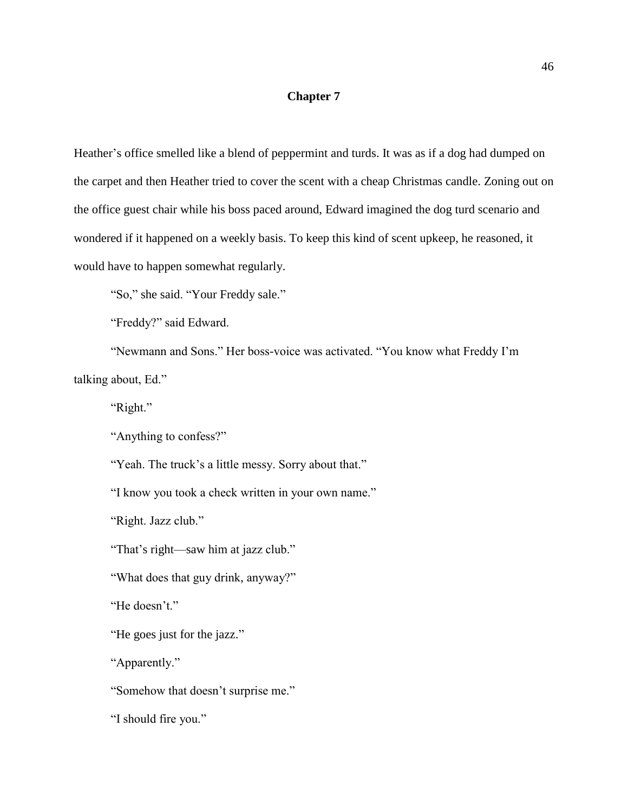# **Chapter 7**

Heather's office smelled like a blend of peppermint and turds. It was as if a dog had dumped on the carpet and then Heather tried to cover the scent with a cheap Christmas candle. Zoning out on the office guest chair while his boss paced around, Edward imagined the dog turd scenario and wondered if it happened on a weekly basis. To keep this kind of scent upkeep, he reasoned, it would have to happen somewhat regularly.

"So," she said. "Your Freddy sale."

"Freddy?" said Edward.

"Newmann and Sons." Her boss-voice was activated. "You know what Freddy I'm talking about, Ed."

"Right."

"Anything to confess?"

"Yeah. The truck's a little messy. Sorry about that."

"I know you took a check written in your own name."

"Right. Jazz club."

"That's right—saw him at jazz club."

"What does that guy drink, anyway?"

"He doesn't."

"He goes just for the jazz."

"Apparently."

"Somehow that doesn't surprise me."

"I should fire you."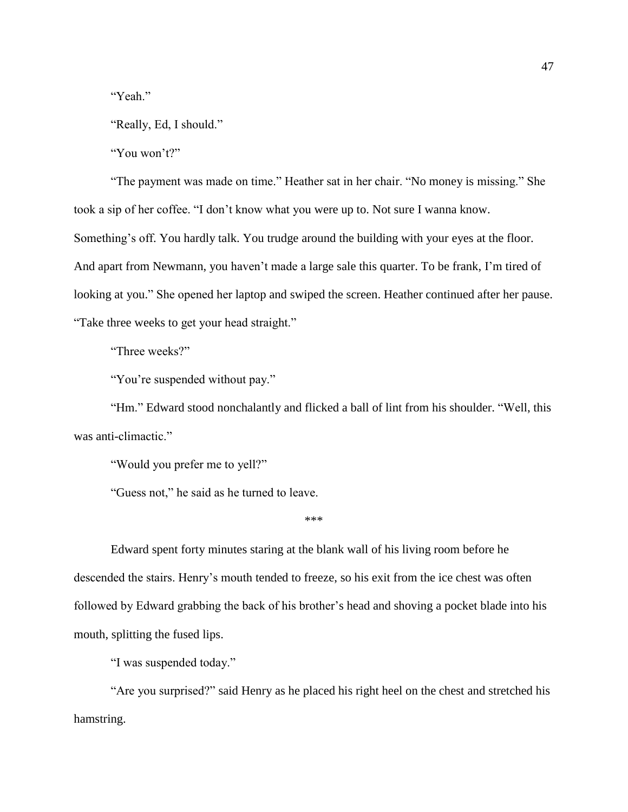"Yeah."

"Really, Ed, I should."

"You won't?"

"The payment was made on time." Heather sat in her chair. "No money is missing." She took a sip of her coffee. "I don't know what you were up to. Not sure I wanna know. Something's off. You hardly talk. You trudge around the building with your eyes at the floor. And apart from Newmann, you haven't made a large sale this quarter. To be frank, I'm tired of looking at you." She opened her laptop and swiped the screen. Heather continued after her pause. "Take three weeks to get your head straight."

"Three weeks?"

"You're suspended without pay."

"Hm." Edward stood nonchalantly and flicked a ball of lint from his shoulder. "Well, this was anti-climactic."

"Would you prefer me to yell?"

"Guess not," he said as he turned to leave.

\*\*\*

Edward spent forty minutes staring at the blank wall of his living room before he descended the stairs. Henry's mouth tended to freeze, so his exit from the ice chest was often followed by Edward grabbing the back of his brother's head and shoving a pocket blade into his mouth, splitting the fused lips.

"I was suspended today."

"Are you surprised?" said Henry as he placed his right heel on the chest and stretched his hamstring.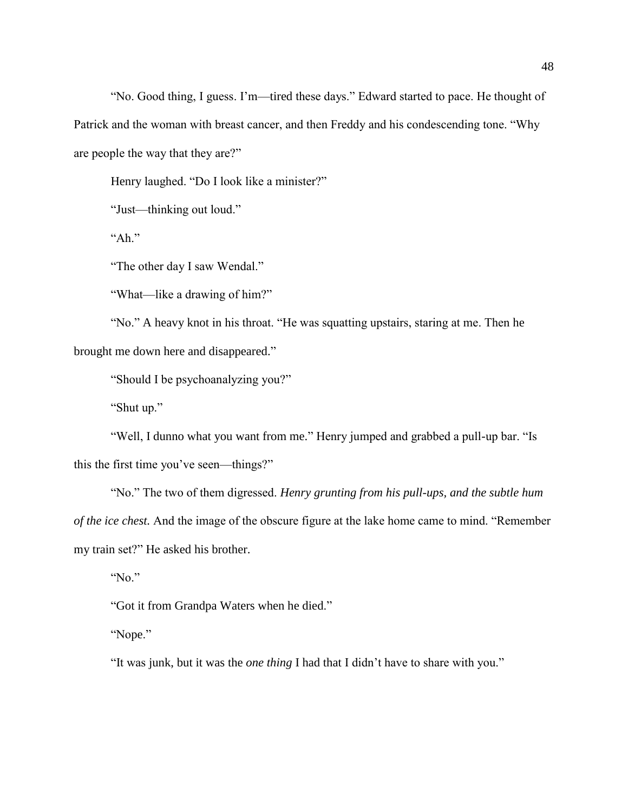"No. Good thing, I guess. I'm—tired these days." Edward started to pace. He thought of Patrick and the woman with breast cancer, and then Freddy and his condescending tone. "Why are people the way that they are?"

Henry laughed. "Do I look like a minister?"

"Just—thinking out loud."

"Ah."

"The other day I saw Wendal."

"What—like a drawing of him?"

"No." A heavy knot in his throat. "He was squatting upstairs, staring at me. Then he brought me down here and disappeared."

"Should I be psychoanalyzing you?"

"Shut up."

"Well, I dunno what you want from me." Henry jumped and grabbed a pull-up bar. "Is this the first time you've seen—things?"

"No." The two of them digressed. *Henry grunting from his pull-ups, and the subtle hum of the ice chest.* And the image of the obscure figure at the lake home came to mind. "Remember my train set?" He asked his brother.

"No."

"Got it from Grandpa Waters when he died."

"Nope."

"It was junk, but it was the *one thing* I had that I didn't have to share with you."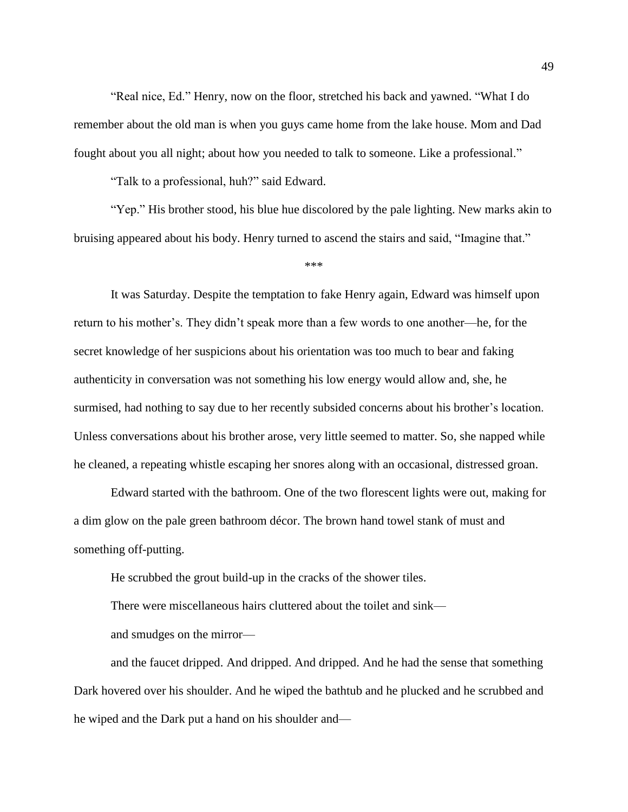"Real nice, Ed." Henry, now on the floor, stretched his back and yawned. "What I do remember about the old man is when you guys came home from the lake house. Mom and Dad fought about you all night; about how you needed to talk to someone. Like a professional."

"Talk to a professional, huh?" said Edward.

"Yep." His brother stood, his blue hue discolored by the pale lighting. New marks akin to bruising appeared about his body. Henry turned to ascend the stairs and said, "Imagine that."

\*\*\*

It was Saturday. Despite the temptation to fake Henry again, Edward was himself upon return to his mother's. They didn't speak more than a few words to one another—he, for the secret knowledge of her suspicions about his orientation was too much to bear and faking authenticity in conversation was not something his low energy would allow and, she, he surmised, had nothing to say due to her recently subsided concerns about his brother's location. Unless conversations about his brother arose, very little seemed to matter. So, she napped while he cleaned, a repeating whistle escaping her snores along with an occasional, distressed groan.

Edward started with the bathroom. One of the two florescent lights were out, making for a dim glow on the pale green bathroom décor. The brown hand towel stank of must and something off-putting.

He scrubbed the grout build-up in the cracks of the shower tiles.

There were miscellaneous hairs cluttered about the toilet and sink—

and smudges on the mirror—

and the faucet dripped. And dripped. And dripped. And he had the sense that something Dark hovered over his shoulder. And he wiped the bathtub and he plucked and he scrubbed and he wiped and the Dark put a hand on his shoulder and—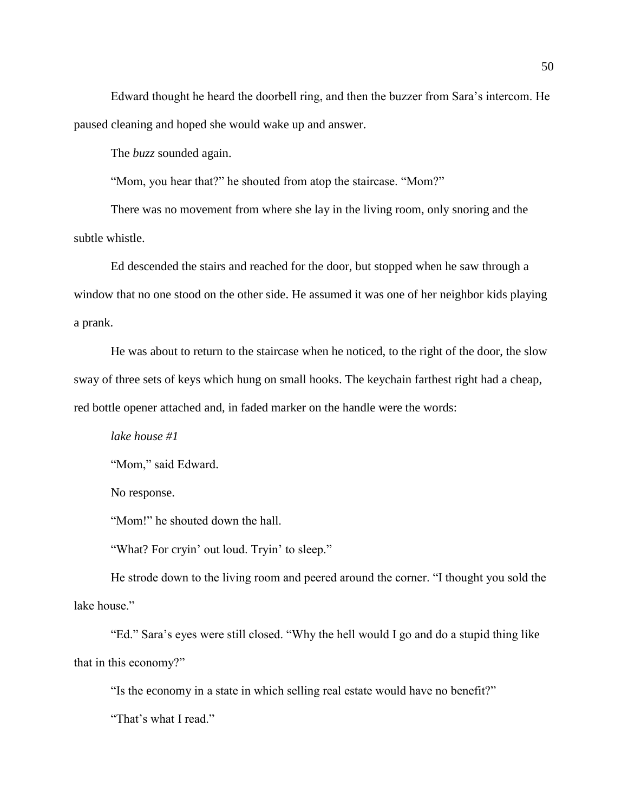Edward thought he heard the doorbell ring, and then the buzzer from Sara's intercom. He paused cleaning and hoped she would wake up and answer.

The *buzz* sounded again.

"Mom, you hear that?" he shouted from atop the staircase. "Mom?"

There was no movement from where she lay in the living room, only snoring and the subtle whistle.

Ed descended the stairs and reached for the door, but stopped when he saw through a window that no one stood on the other side. He assumed it was one of her neighbor kids playing a prank.

He was about to return to the staircase when he noticed, to the right of the door, the slow sway of three sets of keys which hung on small hooks. The keychain farthest right had a cheap, red bottle opener attached and, in faded marker on the handle were the words:

*lake house #1*

"Mom," said Edward.

No response.

"Mom!" he shouted down the hall.

"What? For cryin' out loud. Tryin' to sleep."

He strode down to the living room and peered around the corner. "I thought you sold the lake house."

"Ed." Sara's eyes were still closed. "Why the hell would I go and do a stupid thing like that in this economy?"

"Is the economy in a state in which selling real estate would have no benefit?"

"That's what I read."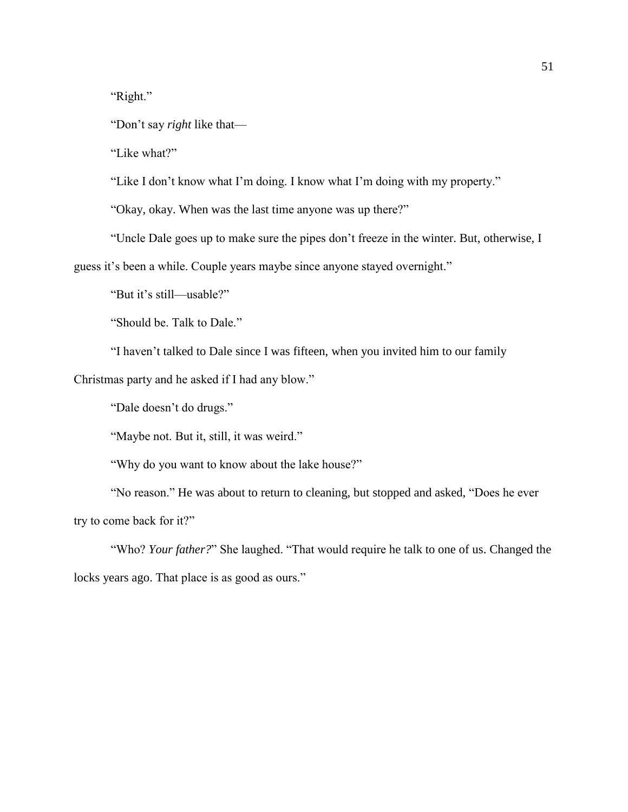"Right."

"Don't say *right* like that—

"Like what?"

"Like I don't know what I'm doing. I know what I'm doing with my property."

"Okay, okay. When was the last time anyone was up there?"

"Uncle Dale goes up to make sure the pipes don't freeze in the winter. But, otherwise, I

guess it's been a while. Couple years maybe since anyone stayed overnight."

"But it's still—usable?"

"Should be. Talk to Dale."

"I haven't talked to Dale since I was fifteen, when you invited him to our family

Christmas party and he asked if I had any blow."

"Dale doesn't do drugs."

"Maybe not. But it, still, it was weird."

"Why do you want to know about the lake house?"

"No reason." He was about to return to cleaning, but stopped and asked, "Does he ever try to come back for it?"

"Who? *Your father?*" She laughed. "That would require he talk to one of us. Changed the locks years ago. That place is as good as ours."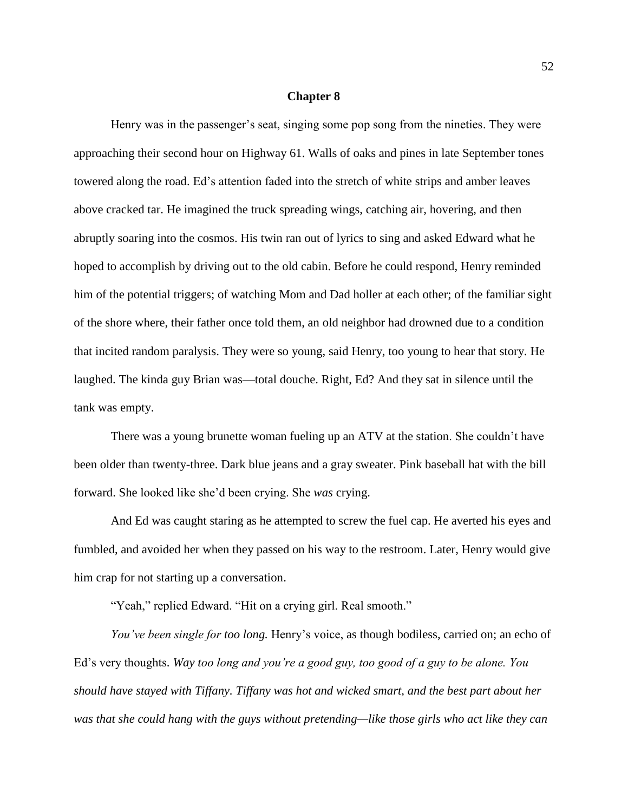#### **Chapter 8**

Henry was in the passenger's seat, singing some pop song from the nineties. They were approaching their second hour on Highway 61. Walls of oaks and pines in late September tones towered along the road. Ed's attention faded into the stretch of white strips and amber leaves above cracked tar. He imagined the truck spreading wings, catching air, hovering, and then abruptly soaring into the cosmos. His twin ran out of lyrics to sing and asked Edward what he hoped to accomplish by driving out to the old cabin. Before he could respond, Henry reminded him of the potential triggers; of watching Mom and Dad holler at each other; of the familiar sight of the shore where, their father once told them, an old neighbor had drowned due to a condition that incited random paralysis. They were so young, said Henry, too young to hear that story. He laughed. The kinda guy Brian was—total douche. Right, Ed? And they sat in silence until the tank was empty.

There was a young brunette woman fueling up an ATV at the station. She couldn't have been older than twenty-three. Dark blue jeans and a gray sweater. Pink baseball hat with the bill forward. She looked like she'd been crying. She *was* crying.

And Ed was caught staring as he attempted to screw the fuel cap. He averted his eyes and fumbled, and avoided her when they passed on his way to the restroom. Later, Henry would give him crap for not starting up a conversation.

"Yeah," replied Edward. "Hit on a crying girl. Real smooth."

*You've been single for too long.* Henry's voice, as though bodiless, carried on; an echo of Ed's very thoughts. *Way too long and you're a good guy, too good of a guy to be alone. You should have stayed with Tiffany. Tiffany was hot and wicked smart, and the best part about her was that she could hang with the guys without pretending—like those girls who act like they can*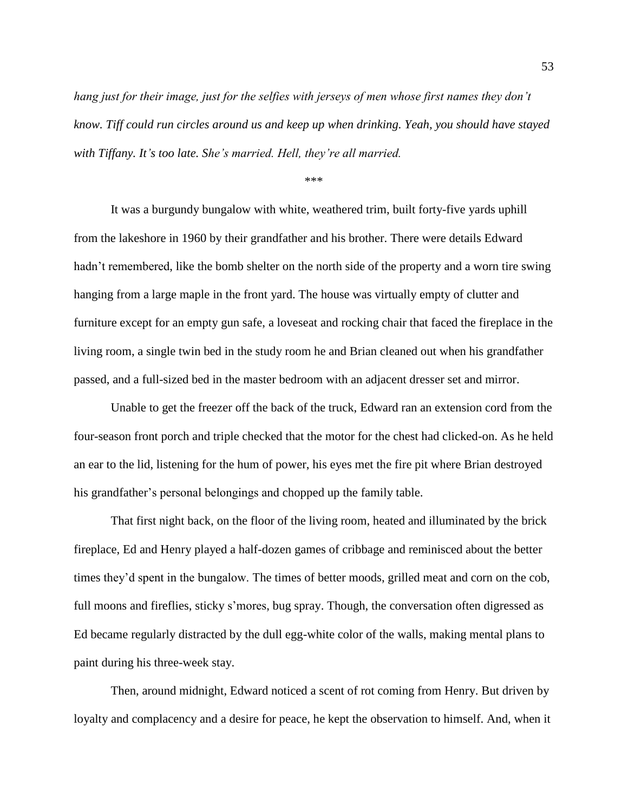*hang just for their image, just for the selfies with jerseys of men whose first names they don't know. Tiff could run circles around us and keep up when drinking. Yeah, you should have stayed with Tiffany. It's too late. She's married. Hell, they're all married.*

\*\*\*

It was a burgundy bungalow with white, weathered trim, built forty-five yards uphill from the lakeshore in 1960 by their grandfather and his brother. There were details Edward hadn't remembered, like the bomb shelter on the north side of the property and a worn tire swing hanging from a large maple in the front yard. The house was virtually empty of clutter and furniture except for an empty gun safe, a loveseat and rocking chair that faced the fireplace in the living room, a single twin bed in the study room he and Brian cleaned out when his grandfather passed, and a full-sized bed in the master bedroom with an adjacent dresser set and mirror.

Unable to get the freezer off the back of the truck, Edward ran an extension cord from the four-season front porch and triple checked that the motor for the chest had clicked-on. As he held an ear to the lid, listening for the hum of power, his eyes met the fire pit where Brian destroyed his grandfather's personal belongings and chopped up the family table.

That first night back, on the floor of the living room, heated and illuminated by the brick fireplace, Ed and Henry played a half-dozen games of cribbage and reminisced about the better times they'd spent in the bungalow. The times of better moods, grilled meat and corn on the cob, full moons and fireflies, sticky s'mores, bug spray. Though, the conversation often digressed as Ed became regularly distracted by the dull egg-white color of the walls, making mental plans to paint during his three-week stay.

Then, around midnight, Edward noticed a scent of rot coming from Henry. But driven by loyalty and complacency and a desire for peace, he kept the observation to himself. And, when it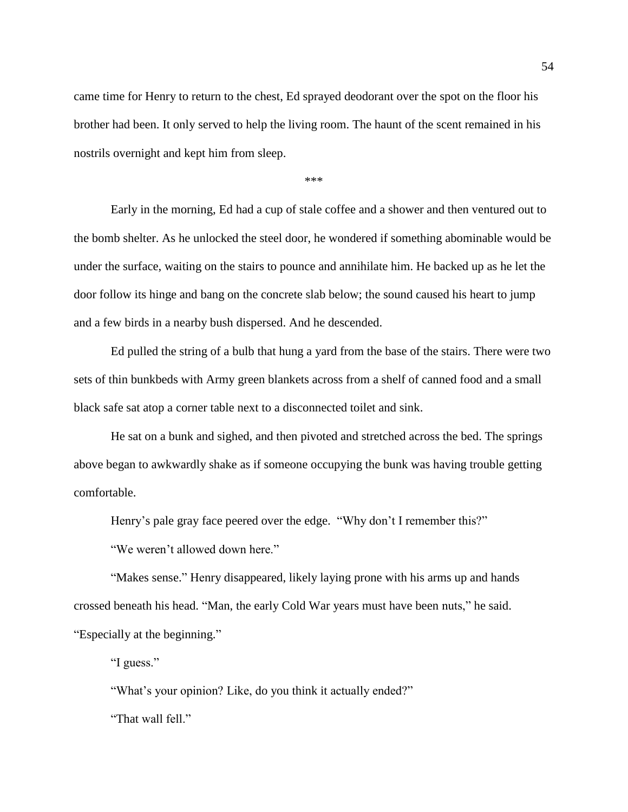came time for Henry to return to the chest, Ed sprayed deodorant over the spot on the floor his brother had been. It only served to help the living room. The haunt of the scent remained in his nostrils overnight and kept him from sleep.

\*\*\*

Early in the morning, Ed had a cup of stale coffee and a shower and then ventured out to the bomb shelter. As he unlocked the steel door, he wondered if something abominable would be under the surface, waiting on the stairs to pounce and annihilate him. He backed up as he let the door follow its hinge and bang on the concrete slab below; the sound caused his heart to jump and a few birds in a nearby bush dispersed. And he descended.

Ed pulled the string of a bulb that hung a yard from the base of the stairs. There were two sets of thin bunkbeds with Army green blankets across from a shelf of canned food and a small black safe sat atop a corner table next to a disconnected toilet and sink.

He sat on a bunk and sighed, and then pivoted and stretched across the bed. The springs above began to awkwardly shake as if someone occupying the bunk was having trouble getting comfortable.

Henry's pale gray face peered over the edge. "Why don't I remember this?"

"We weren't allowed down here."

"Makes sense." Henry disappeared, likely laying prone with his arms up and hands crossed beneath his head. "Man, the early Cold War years must have been nuts," he said. "Especially at the beginning."

"I guess."

"What's your opinion? Like, do you think it actually ended?"

"That wall fell."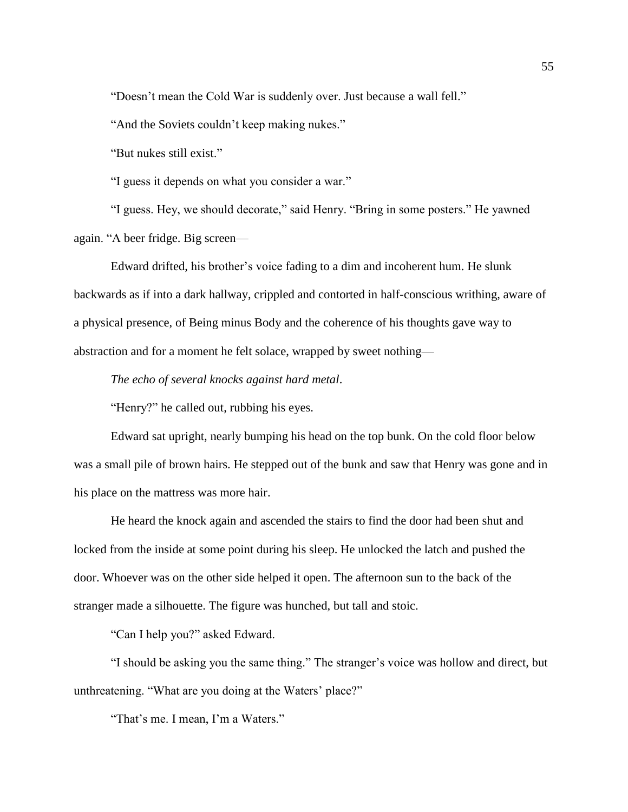"Doesn't mean the Cold War is suddenly over. Just because a wall fell."

"And the Soviets couldn't keep making nukes."

"But nukes still exist."

"I guess it depends on what you consider a war."

"I guess. Hey, we should decorate," said Henry. "Bring in some posters." He yawned again. "A beer fridge. Big screen—

Edward drifted, his brother's voice fading to a dim and incoherent hum. He slunk backwards as if into a dark hallway, crippled and contorted in half-conscious writhing, aware of a physical presence, of Being minus Body and the coherence of his thoughts gave way to abstraction and for a moment he felt solace, wrapped by sweet nothing—

*The echo of several knocks against hard metal*.

"Henry?" he called out, rubbing his eyes.

Edward sat upright, nearly bumping his head on the top bunk. On the cold floor below was a small pile of brown hairs. He stepped out of the bunk and saw that Henry was gone and in his place on the mattress was more hair.

He heard the knock again and ascended the stairs to find the door had been shut and locked from the inside at some point during his sleep. He unlocked the latch and pushed the door. Whoever was on the other side helped it open. The afternoon sun to the back of the stranger made a silhouette. The figure was hunched, but tall and stoic.

"Can I help you?" asked Edward.

"I should be asking you the same thing." The stranger's voice was hollow and direct, but unthreatening. "What are you doing at the Waters' place?"

"That's me. I mean, I'm a Waters."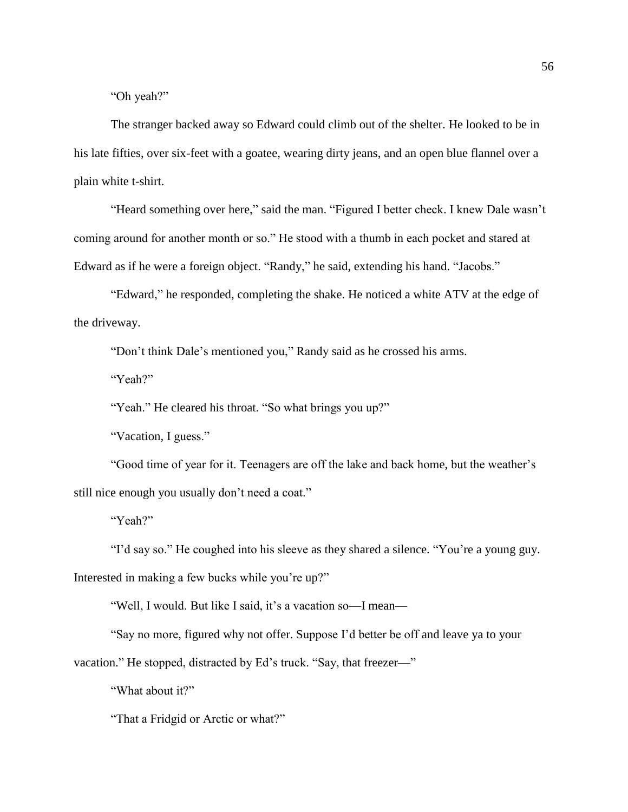"Oh yeah?"

The stranger backed away so Edward could climb out of the shelter. He looked to be in his late fifties, over six-feet with a goatee, wearing dirty jeans, and an open blue flannel over a plain white t-shirt.

"Heard something over here," said the man. "Figured I better check. I knew Dale wasn't coming around for another month or so." He stood with a thumb in each pocket and stared at Edward as if he were a foreign object. "Randy," he said, extending his hand. "Jacobs."

"Edward," he responded, completing the shake. He noticed a white ATV at the edge of the driveway.

"Don't think Dale's mentioned you," Randy said as he crossed his arms.

"Yeah?"

"Yeah." He cleared his throat. "So what brings you up?"

"Vacation, I guess."

"Good time of year for it. Teenagers are off the lake and back home, but the weather's still nice enough you usually don't need a coat."

"Yeah?"

"I'd say so." He coughed into his sleeve as they shared a silence. "You're a young guy.

Interested in making a few bucks while you're up?"

"Well, I would. But like I said, it's a vacation so—I mean—

"Say no more, figured why not offer. Suppose I'd better be off and leave ya to your vacation." He stopped, distracted by Ed's truck. "Say, that freezer—"

"What about it?"

"That a Fridgid or Arctic or what?"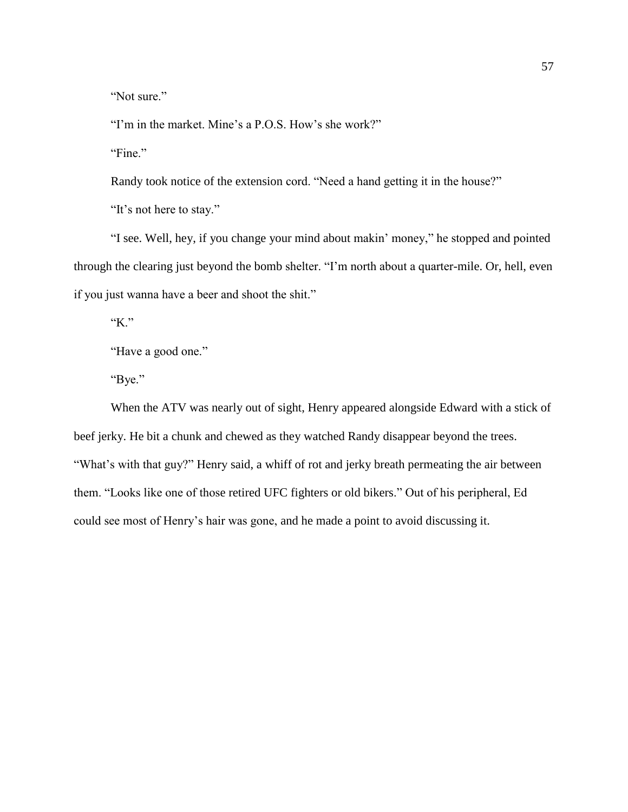"Not sure."

"I'm in the market. Mine's a P.O.S. How's she work?"

"Fine."

Randy took notice of the extension cord. "Need a hand getting it in the house?"

"It's not here to stay."

"I see. Well, hey, if you change your mind about makin' money," he stopped and pointed through the clearing just beyond the bomb shelter. "I'm north about a quarter-mile. Or, hell, even if you just wanna have a beer and shoot the shit."

"K."

"Have a good one."

"Bye."

When the ATV was nearly out of sight, Henry appeared alongside Edward with a stick of beef jerky. He bit a chunk and chewed as they watched Randy disappear beyond the trees. "What's with that guy?" Henry said, a whiff of rot and jerky breath permeating the air between them. "Looks like one of those retired UFC fighters or old bikers." Out of his peripheral, Ed could see most of Henry's hair was gone, and he made a point to avoid discussing it.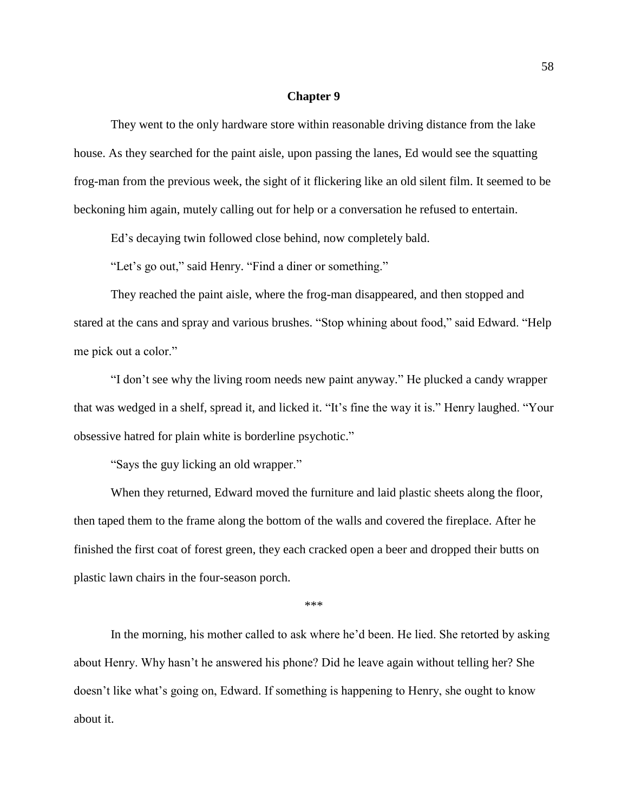## **Chapter 9**

They went to the only hardware store within reasonable driving distance from the lake house. As they searched for the paint aisle, upon passing the lanes, Ed would see the squatting frog-man from the previous week, the sight of it flickering like an old silent film. It seemed to be beckoning him again, mutely calling out for help or a conversation he refused to entertain.

Ed's decaying twin followed close behind, now completely bald.

"Let's go out," said Henry. "Find a diner or something."

They reached the paint aisle, where the frog-man disappeared, and then stopped and stared at the cans and spray and various brushes. "Stop whining about food," said Edward. "Help me pick out a color."

"I don't see why the living room needs new paint anyway." He plucked a candy wrapper that was wedged in a shelf, spread it, and licked it. "It's fine the way it is." Henry laughed. "Your obsessive hatred for plain white is borderline psychotic."

"Says the guy licking an old wrapper."

When they returned, Edward moved the furniture and laid plastic sheets along the floor, then taped them to the frame along the bottom of the walls and covered the fireplace. After he finished the first coat of forest green, they each cracked open a beer and dropped their butts on plastic lawn chairs in the four-season porch.

\*\*\*

In the morning, his mother called to ask where he'd been. He lied. She retorted by asking about Henry. Why hasn't he answered his phone? Did he leave again without telling her? She doesn't like what's going on, Edward. If something is happening to Henry, she ought to know about it.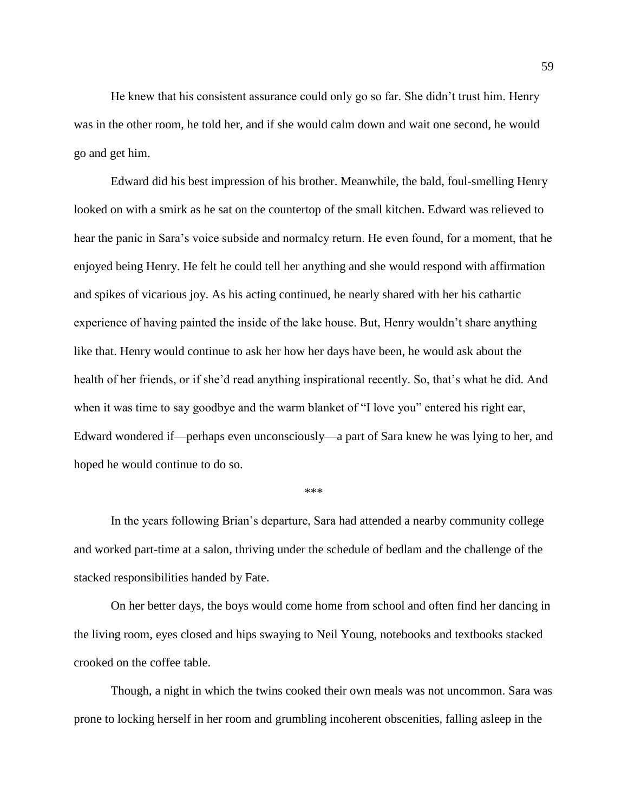He knew that his consistent assurance could only go so far. She didn't trust him. Henry was in the other room, he told her, and if she would calm down and wait one second, he would go and get him.

Edward did his best impression of his brother. Meanwhile, the bald, foul-smelling Henry looked on with a smirk as he sat on the countertop of the small kitchen. Edward was relieved to hear the panic in Sara's voice subside and normalcy return. He even found, for a moment, that he enjoyed being Henry. He felt he could tell her anything and she would respond with affirmation and spikes of vicarious joy. As his acting continued, he nearly shared with her his cathartic experience of having painted the inside of the lake house. But, Henry wouldn't share anything like that. Henry would continue to ask her how her days have been, he would ask about the health of her friends, or if she'd read anything inspirational recently. So, that's what he did. And when it was time to say goodbye and the warm blanket of "I love you" entered his right ear, Edward wondered if—perhaps even unconsciously—a part of Sara knew he was lying to her, and hoped he would continue to do so.

\*\*\*

In the years following Brian's departure, Sara had attended a nearby community college and worked part-time at a salon, thriving under the schedule of bedlam and the challenge of the stacked responsibilities handed by Fate.

On her better days, the boys would come home from school and often find her dancing in the living room, eyes closed and hips swaying to Neil Young, notebooks and textbooks stacked crooked on the coffee table.

Though, a night in which the twins cooked their own meals was not uncommon. Sara was prone to locking herself in her room and grumbling incoherent obscenities, falling asleep in the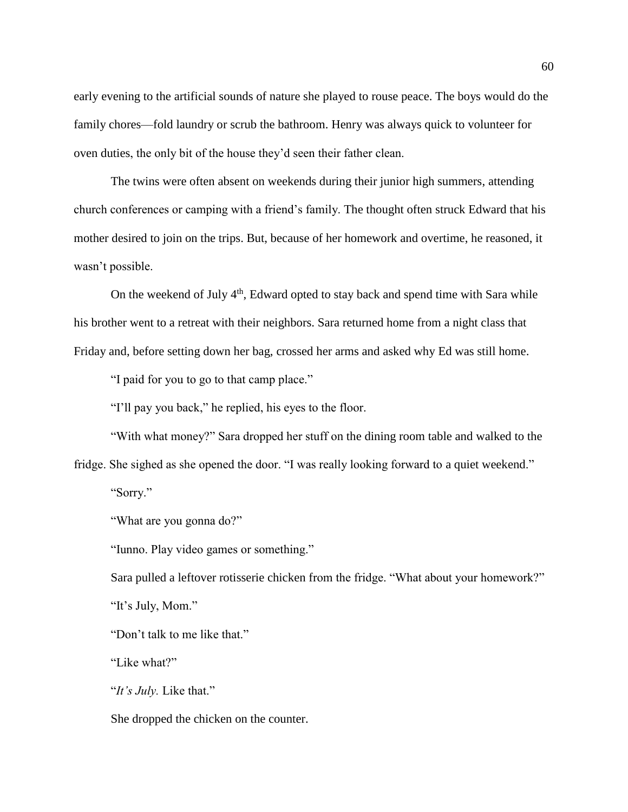early evening to the artificial sounds of nature she played to rouse peace. The boys would do the family chores—fold laundry or scrub the bathroom. Henry was always quick to volunteer for oven duties, the only bit of the house they'd seen their father clean.

The twins were often absent on weekends during their junior high summers, attending church conferences or camping with a friend's family. The thought often struck Edward that his mother desired to join on the trips. But, because of her homework and overtime, he reasoned, it wasn't possible.

On the weekend of July  $4<sup>th</sup>$ , Edward opted to stay back and spend time with Sara while his brother went to a retreat with their neighbors. Sara returned home from a night class that Friday and, before setting down her bag, crossed her arms and asked why Ed was still home.

"I paid for you to go to that camp place."

"I'll pay you back," he replied, his eyes to the floor.

"With what money?" Sara dropped her stuff on the dining room table and walked to the

fridge. She sighed as she opened the door. "I was really looking forward to a quiet weekend."

"Sorry."

"What are you gonna do?"

"Iunno. Play video games or something."

Sara pulled a leftover rotisserie chicken from the fridge. "What about your homework?" "It's July, Mom."

"Don't talk to me like that."

"Like what?"

"*It's July.* Like that."

She dropped the chicken on the counter.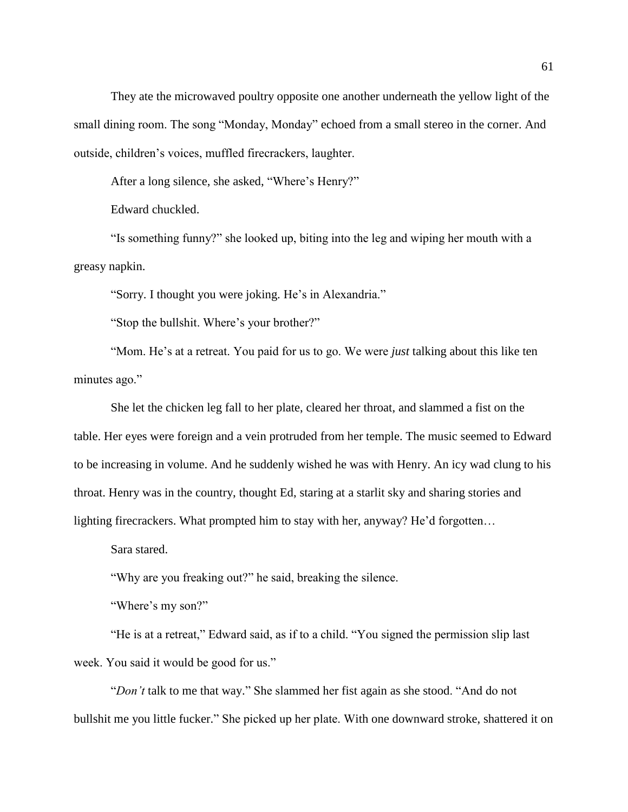They ate the microwaved poultry opposite one another underneath the yellow light of the small dining room. The song "Monday, Monday" echoed from a small stereo in the corner. And outside, children's voices, muffled firecrackers, laughter.

After a long silence, she asked, "Where's Henry?"

Edward chuckled.

"Is something funny?" she looked up, biting into the leg and wiping her mouth with a greasy napkin.

"Sorry. I thought you were joking. He's in Alexandria."

"Stop the bullshit. Where's your brother?"

"Mom. He's at a retreat. You paid for us to go. We were *just* talking about this like ten minutes ago."

She let the chicken leg fall to her plate, cleared her throat, and slammed a fist on the table. Her eyes were foreign and a vein protruded from her temple. The music seemed to Edward to be increasing in volume. And he suddenly wished he was with Henry. An icy wad clung to his throat. Henry was in the country, thought Ed, staring at a starlit sky and sharing stories and lighting firecrackers. What prompted him to stay with her, anyway? He'd forgotten…

Sara stared.

"Why are you freaking out?" he said, breaking the silence.

"Where's my son?"

"He is at a retreat," Edward said, as if to a child. "You signed the permission slip last week. You said it would be good for us."

"*Don't* talk to me that way." She slammed her fist again as she stood. "And do not bullshit me you little fucker." She picked up her plate. With one downward stroke, shattered it on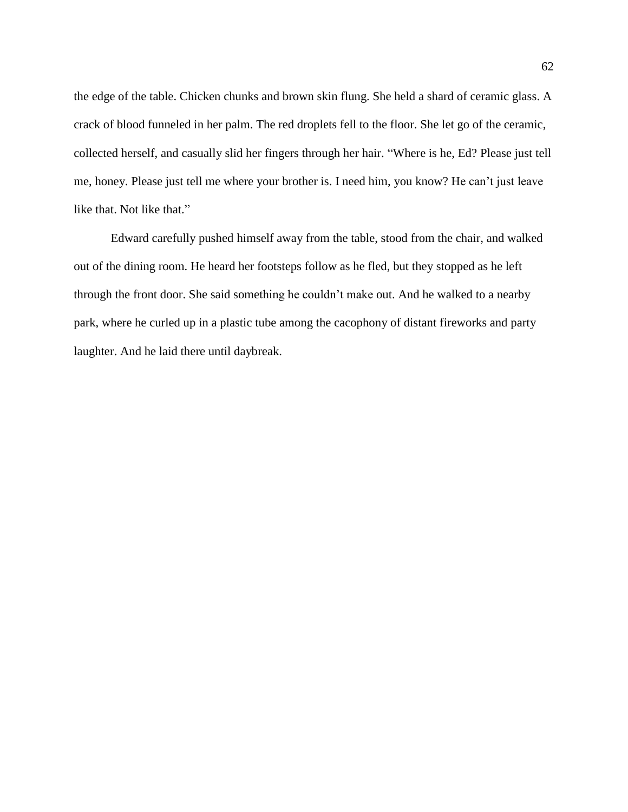the edge of the table. Chicken chunks and brown skin flung. She held a shard of ceramic glass. A crack of blood funneled in her palm. The red droplets fell to the floor. She let go of the ceramic, collected herself, and casually slid her fingers through her hair. "Where is he, Ed? Please just tell me, honey. Please just tell me where your brother is. I need him, you know? He can't just leave like that. Not like that."

Edward carefully pushed himself away from the table, stood from the chair, and walked out of the dining room. He heard her footsteps follow as he fled, but they stopped as he left through the front door. She said something he couldn't make out. And he walked to a nearby park, where he curled up in a plastic tube among the cacophony of distant fireworks and party laughter. And he laid there until daybreak.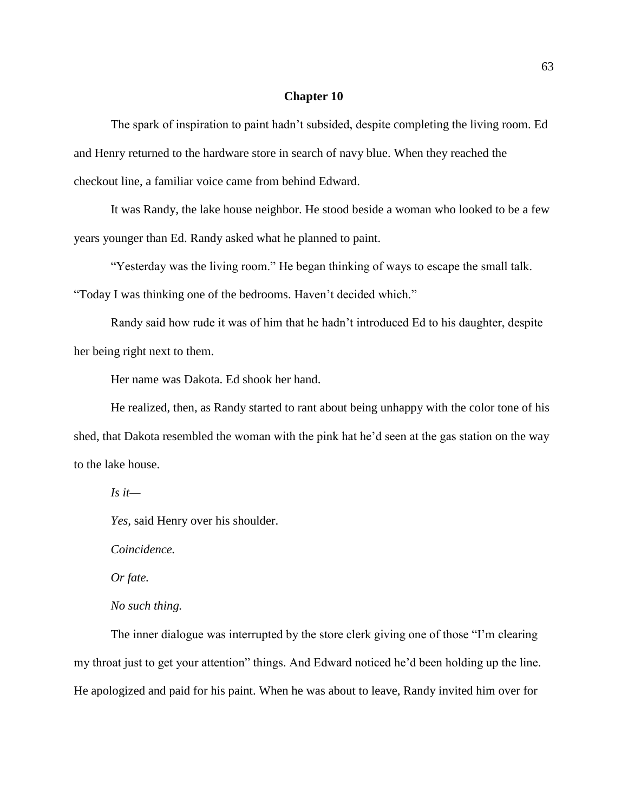## **Chapter 10**

The spark of inspiration to paint hadn't subsided, despite completing the living room. Ed and Henry returned to the hardware store in search of navy blue. When they reached the checkout line, a familiar voice came from behind Edward.

It was Randy, the lake house neighbor. He stood beside a woman who looked to be a few years younger than Ed. Randy asked what he planned to paint.

"Yesterday was the living room." He began thinking of ways to escape the small talk.

"Today I was thinking one of the bedrooms. Haven't decided which."

Randy said how rude it was of him that he hadn't introduced Ed to his daughter, despite her being right next to them.

Her name was Dakota. Ed shook her hand.

He realized, then, as Randy started to rant about being unhappy with the color tone of his shed, that Dakota resembled the woman with the pink hat he'd seen at the gas station on the way to the lake house.

*Is it—*

*Yes,* said Henry over his shoulder.

*Coincidence.*

*Or fate.*

# *No such thing.*

The inner dialogue was interrupted by the store clerk giving one of those "I'm clearing my throat just to get your attention" things. And Edward noticed he'd been holding up the line. He apologized and paid for his paint. When he was about to leave, Randy invited him over for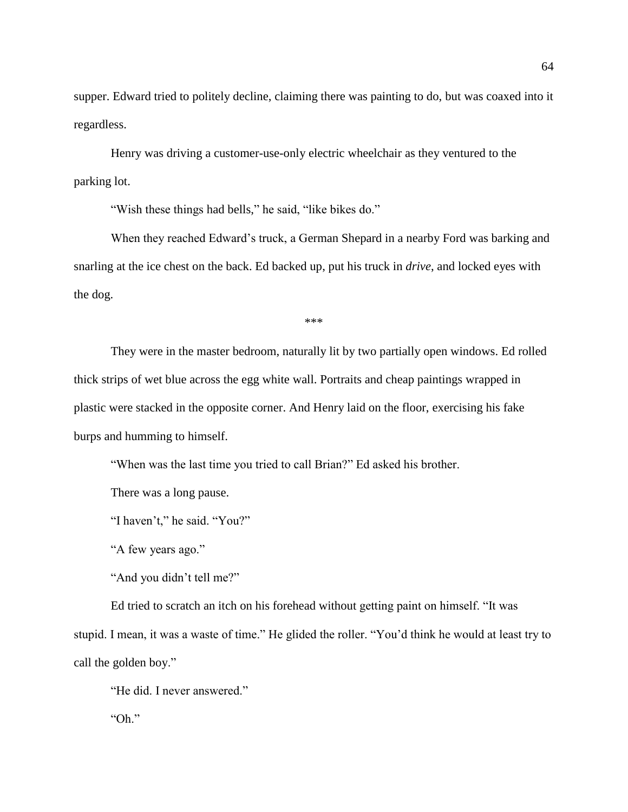supper. Edward tried to politely decline, claiming there was painting to do, but was coaxed into it regardless.

Henry was driving a customer-use-only electric wheelchair as they ventured to the parking lot.

"Wish these things had bells," he said, "like bikes do."

When they reached Edward's truck, a German Shepard in a nearby Ford was barking and snarling at the ice chest on the back. Ed backed up, put his truck in *drive*, and locked eyes with the dog.

\*\*\*

They were in the master bedroom, naturally lit by two partially open windows. Ed rolled thick strips of wet blue across the egg white wall. Portraits and cheap paintings wrapped in plastic were stacked in the opposite corner. And Henry laid on the floor, exercising his fake burps and humming to himself.

"When was the last time you tried to call Brian?" Ed asked his brother.

There was a long pause.

"I haven't," he said. "You?"

"A few years ago."

"And you didn't tell me?"

Ed tried to scratch an itch on his forehead without getting paint on himself. "It was stupid. I mean, it was a waste of time." He glided the roller. "You'd think he would at least try to call the golden boy."

"He did. I never answered."

"Oh."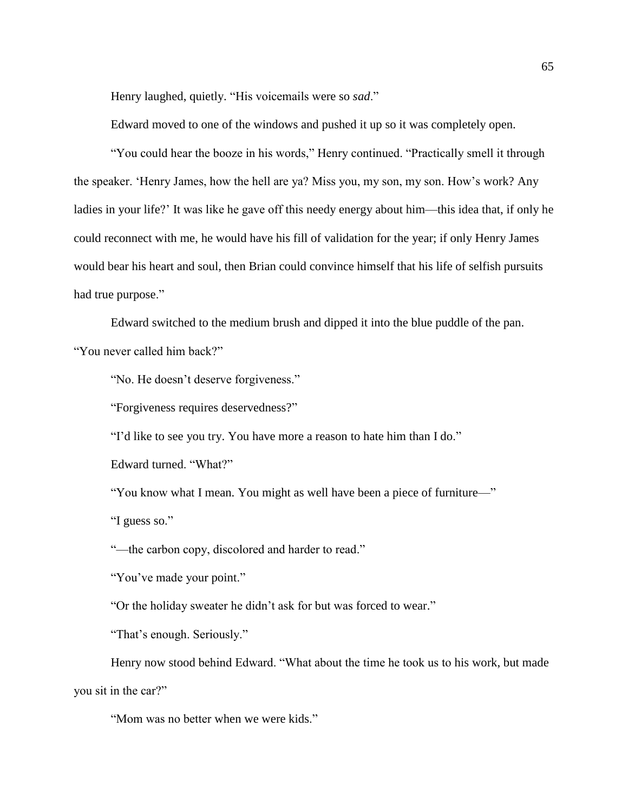Henry laughed, quietly. "His voicemails were so *sad*."

Edward moved to one of the windows and pushed it up so it was completely open.

"You could hear the booze in his words," Henry continued. "Practically smell it through the speaker. 'Henry James, how the hell are ya? Miss you, my son, my son. How's work? Any ladies in your life?' It was like he gave off this needy energy about him—this idea that, if only he could reconnect with me, he would have his fill of validation for the year; if only Henry James would bear his heart and soul, then Brian could convince himself that his life of selfish pursuits had true purpose."

Edward switched to the medium brush and dipped it into the blue puddle of the pan.

"You never called him back?"

"No. He doesn't deserve forgiveness."

"Forgiveness requires deservedness?"

"I'd like to see you try. You have more a reason to hate him than I do."

Edward turned. "What?"

"You know what I mean. You might as well have been a piece of furniture—"

"I guess so."

"—the carbon copy, discolored and harder to read."

"You've made your point."

"Or the holiday sweater he didn't ask for but was forced to wear."

"That's enough. Seriously."

Henry now stood behind Edward. "What about the time he took us to his work, but made you sit in the car?"

"Mom was no better when we were kids."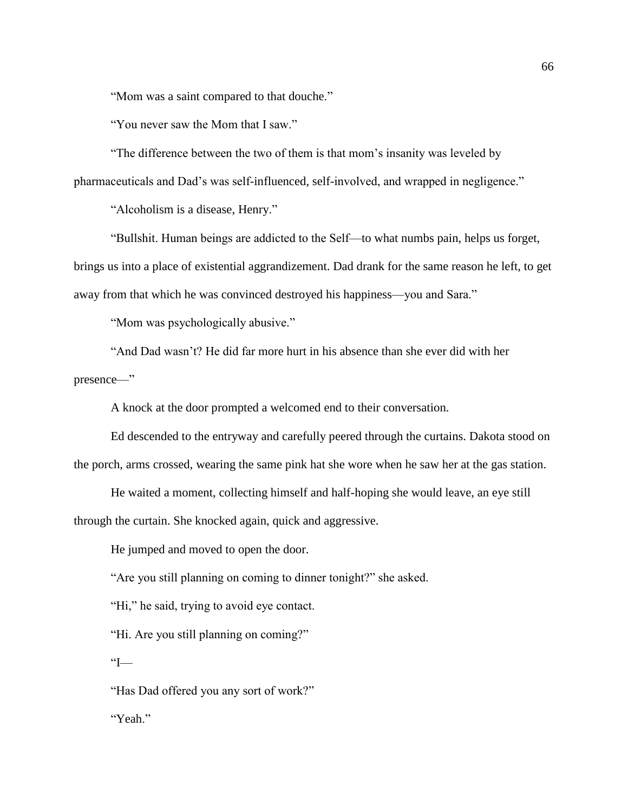"Mom was a saint compared to that douche."

"You never saw the Mom that I saw."

"The difference between the two of them is that mom's insanity was leveled by pharmaceuticals and Dad's was self-influenced, self-involved, and wrapped in negligence."

"Alcoholism is a disease, Henry."

"Bullshit. Human beings are addicted to the Self—to what numbs pain, helps us forget, brings us into a place of existential aggrandizement. Dad drank for the same reason he left, to get away from that which he was convinced destroyed his happiness—you and Sara."

"Mom was psychologically abusive."

"And Dad wasn't? He did far more hurt in his absence than she ever did with her presence—"

A knock at the door prompted a welcomed end to their conversation.

Ed descended to the entryway and carefully peered through the curtains. Dakota stood on the porch, arms crossed, wearing the same pink hat she wore when he saw her at the gas station.

He waited a moment, collecting himself and half-hoping she would leave, an eye still through the curtain. She knocked again, quick and aggressive.

He jumped and moved to open the door.

"Are you still planning on coming to dinner tonight?" she asked.

"Hi," he said, trying to avoid eye contact.

"Hi. Are you still planning on coming?"

 $T^{\prime}$ 

"Has Dad offered you any sort of work?" "Yeah."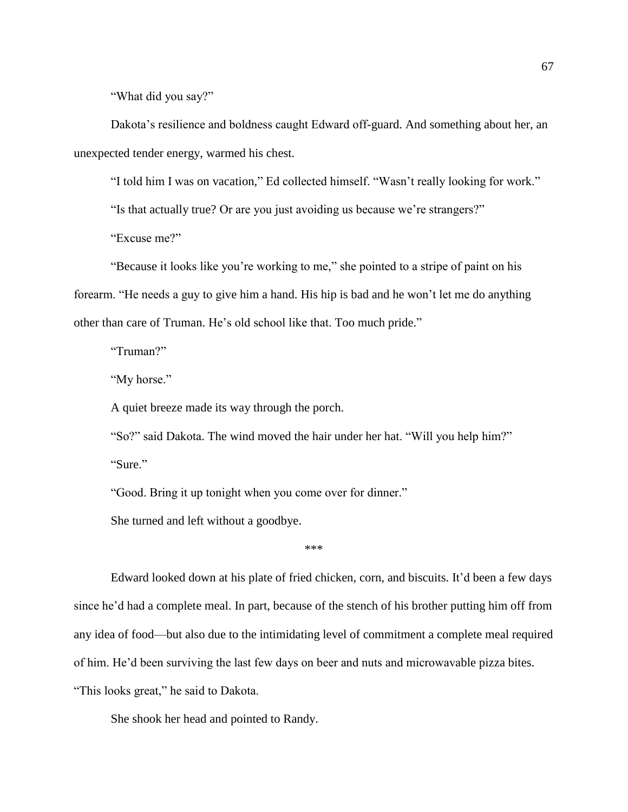"What did you say?"

Dakota's resilience and boldness caught Edward off-guard. And something about her, an unexpected tender energy, warmed his chest.

"I told him I was on vacation," Ed collected himself. "Wasn't really looking for work."

"Is that actually true? Or are you just avoiding us because we're strangers?"

"Excuse me?"

"Because it looks like you're working to me," she pointed to a stripe of paint on his forearm. "He needs a guy to give him a hand. His hip is bad and he won't let me do anything other than care of Truman. He's old school like that. Too much pride."

"Truman?"

"My horse."

A quiet breeze made its way through the porch.

"So?" said Dakota. The wind moved the hair under her hat. "Will you help him?"

"Sure."

"Good. Bring it up tonight when you come over for dinner."

She turned and left without a goodbye.

\*\*\*

Edward looked down at his plate of fried chicken, corn, and biscuits. It'd been a few days since he'd had a complete meal. In part, because of the stench of his brother putting him off from any idea of food—but also due to the intimidating level of commitment a complete meal required of him. He'd been surviving the last few days on beer and nuts and microwavable pizza bites. "This looks great," he said to Dakota.

She shook her head and pointed to Randy.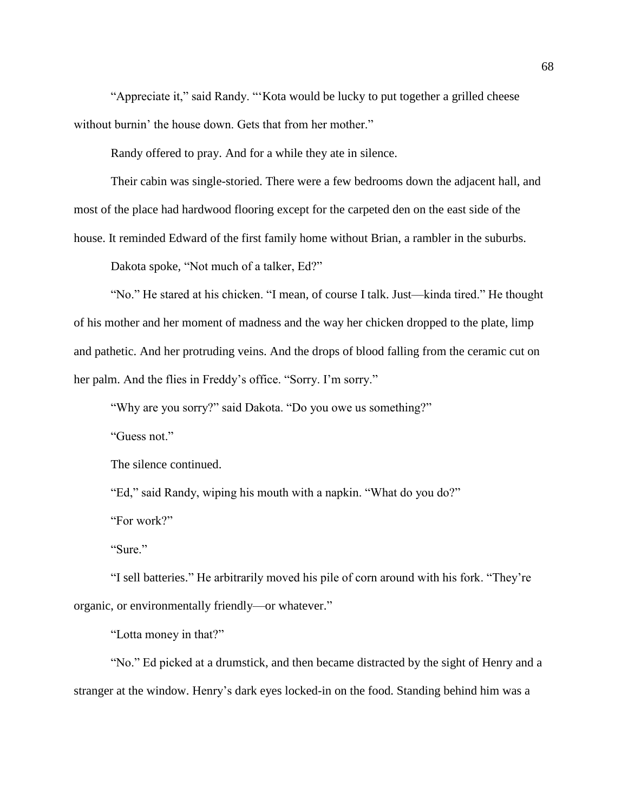"Appreciate it," said Randy. "'Kota would be lucky to put together a grilled cheese without burnin' the house down. Gets that from her mother."

Randy offered to pray. And for a while they ate in silence.

Their cabin was single-storied. There were a few bedrooms down the adjacent hall, and most of the place had hardwood flooring except for the carpeted den on the east side of the house. It reminded Edward of the first family home without Brian, a rambler in the suburbs.

Dakota spoke, "Not much of a talker, Ed?"

"No." He stared at his chicken. "I mean, of course I talk. Just—kinda tired." He thought of his mother and her moment of madness and the way her chicken dropped to the plate, limp and pathetic. And her protruding veins. And the drops of blood falling from the ceramic cut on her palm. And the flies in Freddy's office. "Sorry. I'm sorry."

"Why are you sorry?" said Dakota. "Do you owe us something?"

"Guess not."

The silence continued.

"Ed," said Randy, wiping his mouth with a napkin. "What do you do?"

"For work?"

"Sure."

"I sell batteries." He arbitrarily moved his pile of corn around with his fork. "They're organic, or environmentally friendly—or whatever."

"Lotta money in that?"

"No." Ed picked at a drumstick, and then became distracted by the sight of Henry and a stranger at the window. Henry's dark eyes locked-in on the food. Standing behind him was a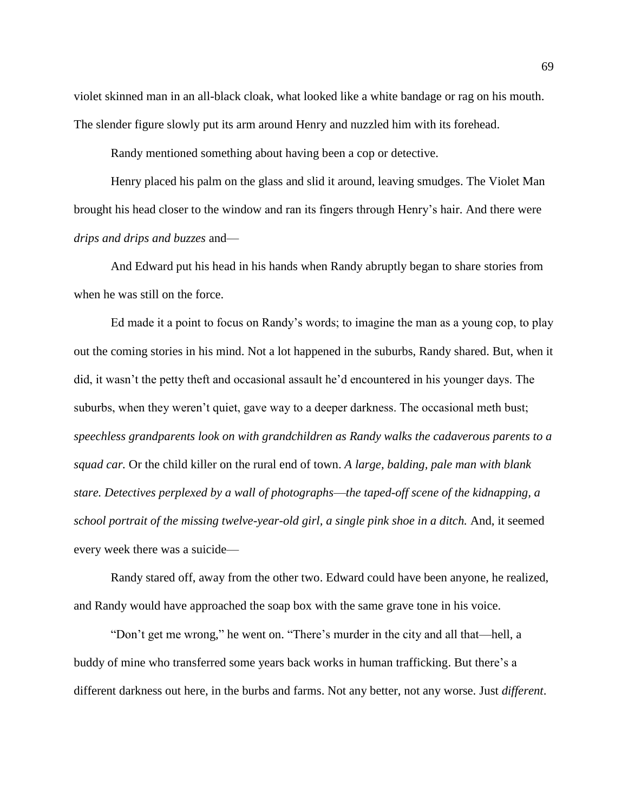violet skinned man in an all-black cloak, what looked like a white bandage or rag on his mouth. The slender figure slowly put its arm around Henry and nuzzled him with its forehead.

Randy mentioned something about having been a cop or detective.

Henry placed his palm on the glass and slid it around, leaving smudges. The Violet Man brought his head closer to the window and ran its fingers through Henry's hair. And there were *drips and drips and buzzes* and—

And Edward put his head in his hands when Randy abruptly began to share stories from when he was still on the force.

Ed made it a point to focus on Randy's words; to imagine the man as a young cop, to play out the coming stories in his mind. Not a lot happened in the suburbs, Randy shared. But, when it did, it wasn't the petty theft and occasional assault he'd encountered in his younger days. The suburbs, when they weren't quiet, gave way to a deeper darkness. The occasional meth bust; *speechless grandparents look on with grandchildren as Randy walks the cadaverous parents to a squad car.* Or the child killer on the rural end of town. *A large, balding, pale man with blank stare. Detectives perplexed by a wall of photographs*—*the taped-off scene of the kidnapping, a school portrait of the missing twelve-year-old girl, a single pink shoe in a ditch.* And, it seemed every week there was a suicide—

Randy stared off, away from the other two. Edward could have been anyone, he realized, and Randy would have approached the soap box with the same grave tone in his voice.

"Don't get me wrong," he went on. "There's murder in the city and all that—hell, a buddy of mine who transferred some years back works in human trafficking. But there's a different darkness out here, in the burbs and farms. Not any better, not any worse. Just *different*.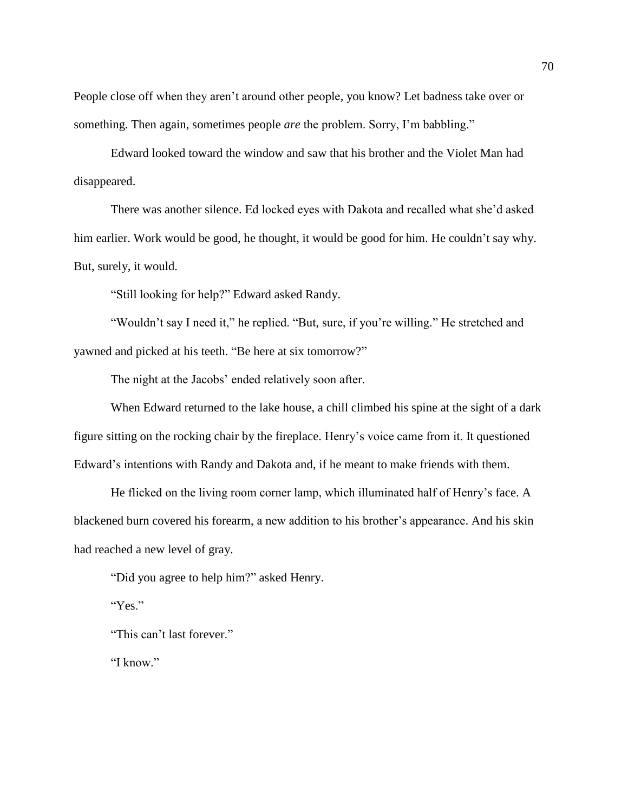People close off when they aren't around other people, you know? Let badness take over or something. Then again, sometimes people *are* the problem. Sorry, I'm babbling."

Edward looked toward the window and saw that his brother and the Violet Man had disappeared.

There was another silence. Ed locked eyes with Dakota and recalled what she'd asked him earlier. Work would be good, he thought, it would be good for him. He couldn't say why. But, surely, it would.

"Still looking for help?" Edward asked Randy.

"Wouldn't say I need it," he replied. "But, sure, if you're willing." He stretched and yawned and picked at his teeth. "Be here at six tomorrow?"

The night at the Jacobs' ended relatively soon after.

When Edward returned to the lake house, a chill climbed his spine at the sight of a dark figure sitting on the rocking chair by the fireplace. Henry's voice came from it. It questioned Edward's intentions with Randy and Dakota and, if he meant to make friends with them.

He flicked on the living room corner lamp, which illuminated half of Henry's face. A blackened burn covered his forearm, a new addition to his brother's appearance. And his skin had reached a new level of gray.

"Did you agree to help him?" asked Henry.

"Yes."

"This can't last forever."

"I know."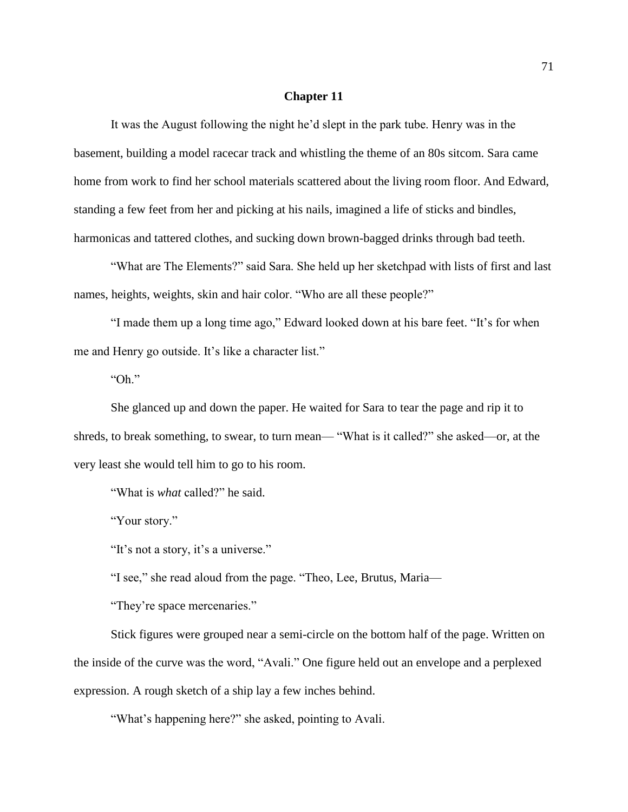### **Chapter 11**

It was the August following the night he'd slept in the park tube. Henry was in the basement, building a model racecar track and whistling the theme of an 80s sitcom. Sara came home from work to find her school materials scattered about the living room floor. And Edward, standing a few feet from her and picking at his nails, imagined a life of sticks and bindles, harmonicas and tattered clothes, and sucking down brown-bagged drinks through bad teeth.

"What are The Elements?" said Sara. She held up her sketchpad with lists of first and last names, heights, weights, skin and hair color. "Who are all these people?"

"I made them up a long time ago," Edward looked down at his bare feet. "It's for when me and Henry go outside. It's like a character list."

"Oh."

She glanced up and down the paper. He waited for Sara to tear the page and rip it to shreds, to break something, to swear, to turn mean— "What is it called?" she asked—or, at the very least she would tell him to go to his room.

"What is *what* called?" he said.

"Your story."

"It's not a story, it's a universe."

"I see," she read aloud from the page. "Theo, Lee, Brutus, Maria—

"They're space mercenaries."

Stick figures were grouped near a semi-circle on the bottom half of the page. Written on the inside of the curve was the word, "Avali." One figure held out an envelope and a perplexed expression. A rough sketch of a ship lay a few inches behind.

"What's happening here?" she asked, pointing to Avali.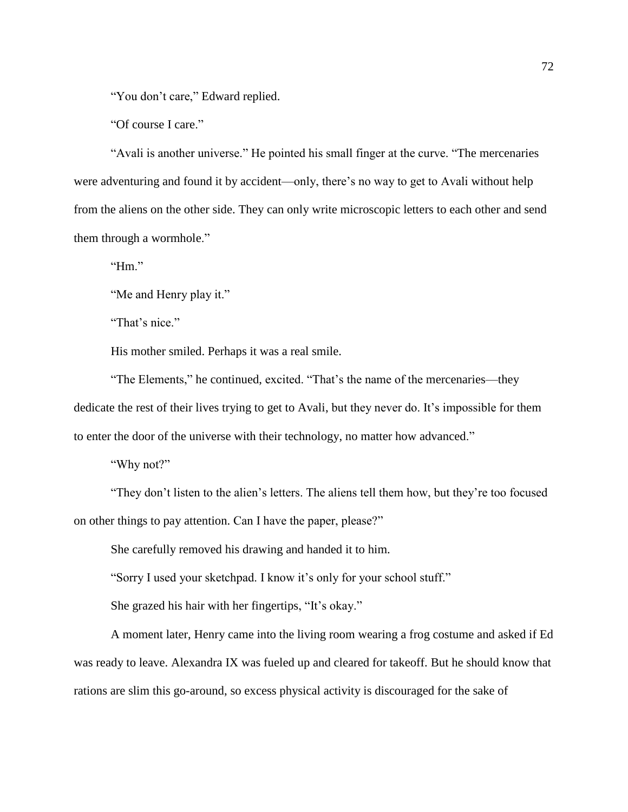"You don't care," Edward replied.

"Of course I care."

"Avali is another universe." He pointed his small finger at the curve. "The mercenaries were adventuring and found it by accident—only, there's no way to get to Avali without help from the aliens on the other side. They can only write microscopic letters to each other and send them through a wormhole."

"Hm."

"Me and Henry play it."

"That's nice."

His mother smiled. Perhaps it was a real smile.

"The Elements," he continued, excited. "That's the name of the mercenaries—they dedicate the rest of their lives trying to get to Avali, but they never do. It's impossible for them to enter the door of the universe with their technology, no matter how advanced."

"Why not?"

"They don't listen to the alien's letters. The aliens tell them how, but they're too focused on other things to pay attention. Can I have the paper, please?"

She carefully removed his drawing and handed it to him.

"Sorry I used your sketchpad. I know it's only for your school stuff."

She grazed his hair with her fingertips, "It's okay."

A moment later, Henry came into the living room wearing a frog costume and asked if Ed was ready to leave. Alexandra IX was fueled up and cleared for takeoff. But he should know that rations are slim this go-around, so excess physical activity is discouraged for the sake of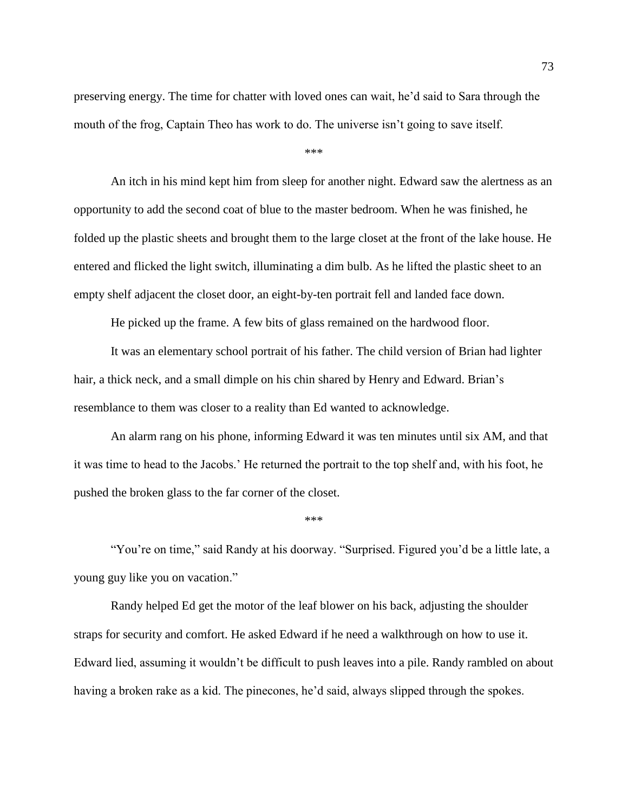preserving energy. The time for chatter with loved ones can wait, he'd said to Sara through the mouth of the frog, Captain Theo has work to do. The universe isn't going to save itself.

\*\*\*

An itch in his mind kept him from sleep for another night. Edward saw the alertness as an opportunity to add the second coat of blue to the master bedroom. When he was finished, he folded up the plastic sheets and brought them to the large closet at the front of the lake house. He entered and flicked the light switch, illuminating a dim bulb. As he lifted the plastic sheet to an empty shelf adjacent the closet door, an eight-by-ten portrait fell and landed face down.

He picked up the frame. A few bits of glass remained on the hardwood floor.

It was an elementary school portrait of his father. The child version of Brian had lighter hair, a thick neck, and a small dimple on his chin shared by Henry and Edward. Brian's resemblance to them was closer to a reality than Ed wanted to acknowledge.

An alarm rang on his phone, informing Edward it was ten minutes until six AM, and that it was time to head to the Jacobs.' He returned the portrait to the top shelf and, with his foot, he pushed the broken glass to the far corner of the closet.

\*\*\*

"You're on time," said Randy at his doorway. "Surprised. Figured you'd be a little late, a young guy like you on vacation."

Randy helped Ed get the motor of the leaf blower on his back, adjusting the shoulder straps for security and comfort. He asked Edward if he need a walkthrough on how to use it. Edward lied, assuming it wouldn't be difficult to push leaves into a pile. Randy rambled on about having a broken rake as a kid. The pinecones, he'd said, always slipped through the spokes.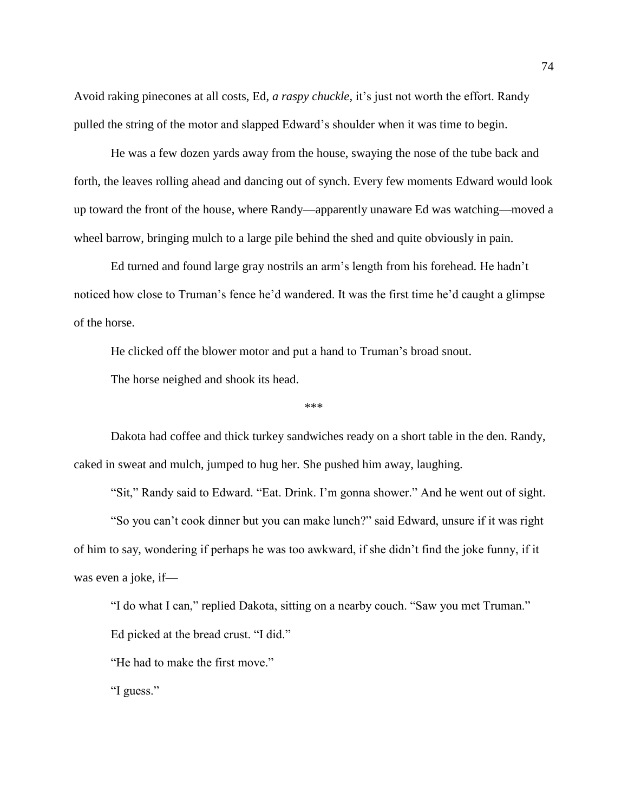Avoid raking pinecones at all costs, Ed, *a raspy chuckle,* it's just not worth the effort. Randy pulled the string of the motor and slapped Edward's shoulder when it was time to begin.

He was a few dozen yards away from the house, swaying the nose of the tube back and forth, the leaves rolling ahead and dancing out of synch. Every few moments Edward would look up toward the front of the house, where Randy—apparently unaware Ed was watching—moved a wheel barrow, bringing mulch to a large pile behind the shed and quite obviously in pain.

Ed turned and found large gray nostrils an arm's length from his forehead. He hadn't noticed how close to Truman's fence he'd wandered. It was the first time he'd caught a glimpse of the horse.

He clicked off the blower motor and put a hand to Truman's broad snout.

The horse neighed and shook its head.

\*\*\*

Dakota had coffee and thick turkey sandwiches ready on a short table in the den. Randy, caked in sweat and mulch, jumped to hug her. She pushed him away, laughing.

"Sit," Randy said to Edward. "Eat. Drink. I'm gonna shower." And he went out of sight. "So you can't cook dinner but you can make lunch?" said Edward, unsure if it was right of him to say, wondering if perhaps he was too awkward, if she didn't find the joke funny, if it was even a joke, if—

"I do what I can," replied Dakota, sitting on a nearby couch. "Saw you met Truman."

Ed picked at the bread crust. "I did."

"He had to make the first move."

"I guess."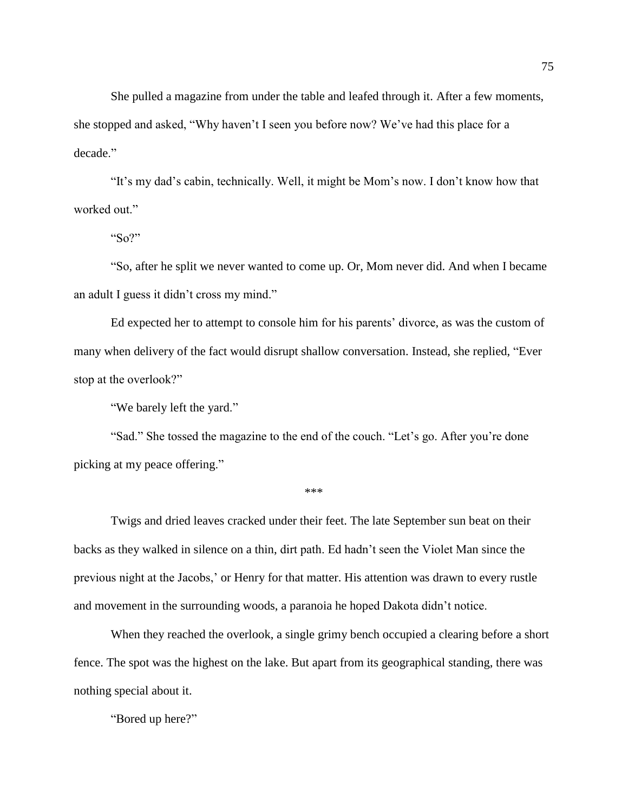She pulled a magazine from under the table and leafed through it. After a few moments, she stopped and asked, "Why haven't I seen you before now? We've had this place for a decade."

"It's my dad's cabin, technically. Well, it might be Mom's now. I don't know how that worked out."

"So?"

"So, after he split we never wanted to come up. Or, Mom never did. And when I became an adult I guess it didn't cross my mind."

Ed expected her to attempt to console him for his parents' divorce, as was the custom of many when delivery of the fact would disrupt shallow conversation. Instead, she replied, "Ever stop at the overlook?"

"We barely left the yard."

"Sad." She tossed the magazine to the end of the couch. "Let's go. After you're done picking at my peace offering."

\*\*\*

Twigs and dried leaves cracked under their feet. The late September sun beat on their backs as they walked in silence on a thin, dirt path. Ed hadn't seen the Violet Man since the previous night at the Jacobs,' or Henry for that matter. His attention was drawn to every rustle and movement in the surrounding woods, a paranoia he hoped Dakota didn't notice.

When they reached the overlook, a single grimy bench occupied a clearing before a short fence. The spot was the highest on the lake. But apart from its geographical standing, there was nothing special about it.

"Bored up here?"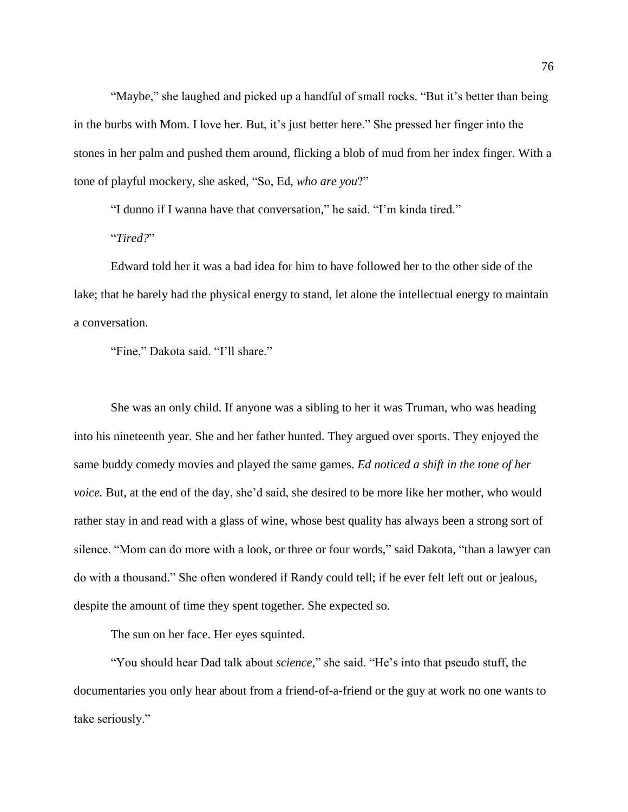"Maybe," she laughed and picked up a handful of small rocks. "But it's better than being in the burbs with Mom. I love her. But, it's just better here." She pressed her finger into the stones in her palm and pushed them around, flicking a blob of mud from her index finger. With a tone of playful mockery, she asked, "So, Ed, *who are you*?"

"I dunno if I wanna have that conversation," he said. "I'm kinda tired."

"*Tired?*"

Edward told her it was a bad idea for him to have followed her to the other side of the lake; that he barely had the physical energy to stand, let alone the intellectual energy to maintain a conversation.

"Fine," Dakota said. "I'll share."

She was an only child. If anyone was a sibling to her it was Truman, who was heading into his nineteenth year. She and her father hunted. They argued over sports. They enjoyed the same buddy comedy movies and played the same games. *Ed noticed a shift in the tone of her voice.* But, at the end of the day, she'd said, she desired to be more like her mother, who would rather stay in and read with a glass of wine, whose best quality has always been a strong sort of silence. "Mom can do more with a look, or three or four words," said Dakota, "than a lawyer can do with a thousand." She often wondered if Randy could tell; if he ever felt left out or jealous, despite the amount of time they spent together. She expected so.

The sun on her face. Her eyes squinted.

"You should hear Dad talk about *science,*" she said. "He's into that pseudo stuff, the documentaries you only hear about from a friend-of-a-friend or the guy at work no one wants to take seriously."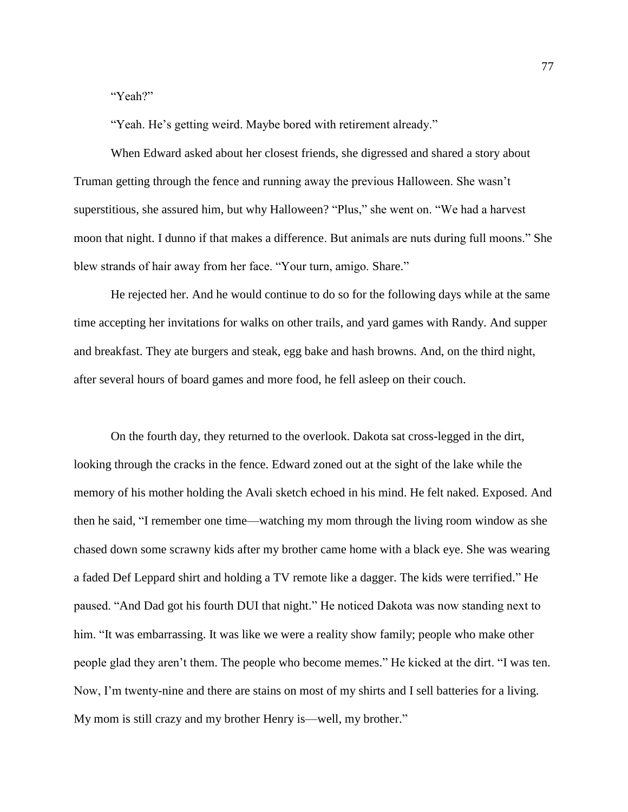"Yeah?"

"Yeah. He's getting weird. Maybe bored with retirement already."

When Edward asked about her closest friends, she digressed and shared a story about Truman getting through the fence and running away the previous Halloween. She wasn't superstitious, she assured him, but why Halloween? "Plus," she went on. "We had a harvest moon that night. I dunno if that makes a difference. But animals are nuts during full moons." She blew strands of hair away from her face. "Your turn, amigo. Share."

He rejected her. And he would continue to do so for the following days while at the same time accepting her invitations for walks on other trails, and yard games with Randy. And supper and breakfast. They ate burgers and steak, egg bake and hash browns. And, on the third night, after several hours of board games and more food, he fell asleep on their couch.

On the fourth day, they returned to the overlook. Dakota sat cross-legged in the dirt, looking through the cracks in the fence. Edward zoned out at the sight of the lake while the memory of his mother holding the Avali sketch echoed in his mind. He felt naked. Exposed. And then he said, "I remember one time—watching my mom through the living room window as she chased down some scrawny kids after my brother came home with a black eye. She was wearing a faded Def Leppard shirt and holding a TV remote like a dagger. The kids were terrified." He paused. "And Dad got his fourth DUI that night." He noticed Dakota was now standing next to him. "It was embarrassing. It was like we were a reality show family; people who make other people glad they aren't them. The people who become memes." He kicked at the dirt. "I was ten. Now, I'm twenty-nine and there are stains on most of my shirts and I sell batteries for a living. My mom is still crazy and my brother Henry is—well, my brother."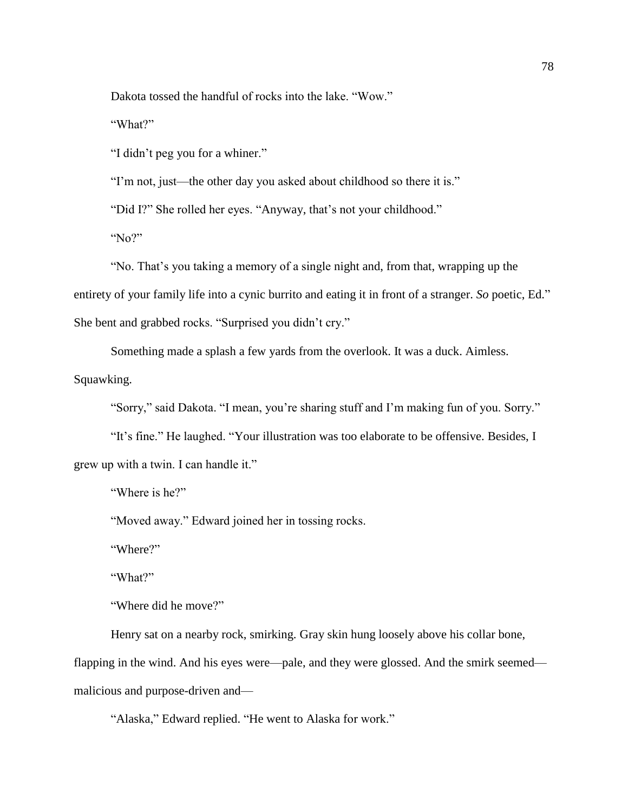Dakota tossed the handful of rocks into the lake. "Wow."

"What?"

"I didn't peg you for a whiner."

"I'm not, just—the other day you asked about childhood so there it is."

"Did I?" She rolled her eyes. "Anyway, that's not your childhood."

"No?"

"No. That's you taking a memory of a single night and, from that, wrapping up the entirety of your family life into a cynic burrito and eating it in front of a stranger. *So* poetic, Ed." She bent and grabbed rocks. "Surprised you didn't cry."

Something made a splash a few yards from the overlook. It was a duck. Aimless. Squawking.

"Sorry," said Dakota. "I mean, you're sharing stuff and I'm making fun of you. Sorry."

"It's fine." He laughed. "Your illustration was too elaborate to be offensive. Besides, I grew up with a twin. I can handle it."

"Where is he?"

"Moved away." Edward joined her in tossing rocks.

"Where?"

"What?"

"Where did he move?"

Henry sat on a nearby rock, smirking. Gray skin hung loosely above his collar bone, flapping in the wind. And his eyes were—pale, and they were glossed. And the smirk seemed malicious and purpose-driven and—

"Alaska," Edward replied. "He went to Alaska for work."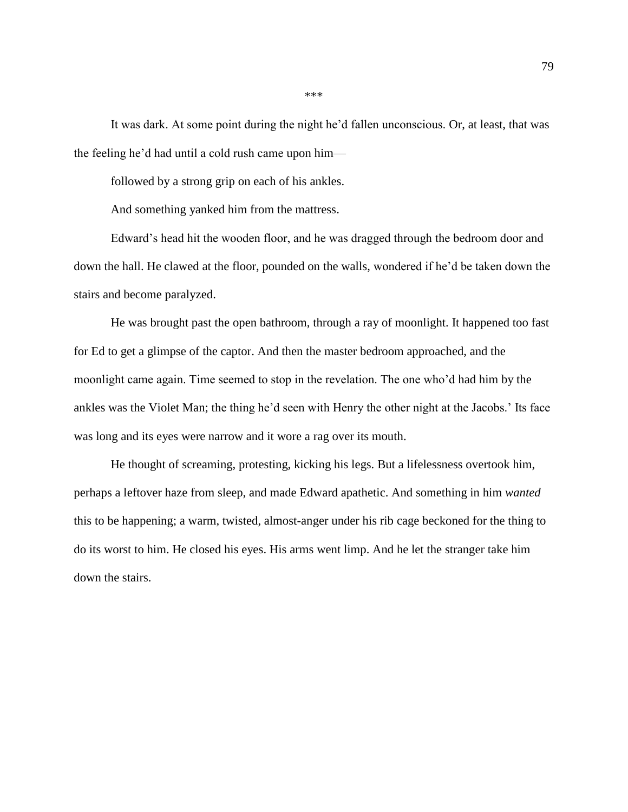It was dark. At some point during the night he'd fallen unconscious. Or, at least, that was the feeling he'd had until a cold rush came upon him—

followed by a strong grip on each of his ankles.

And something yanked him from the mattress.

Edward's head hit the wooden floor, and he was dragged through the bedroom door and down the hall. He clawed at the floor, pounded on the walls, wondered if he'd be taken down the stairs and become paralyzed.

He was brought past the open bathroom, through a ray of moonlight. It happened too fast for Ed to get a glimpse of the captor. And then the master bedroom approached, and the moonlight came again. Time seemed to stop in the revelation. The one who'd had him by the ankles was the Violet Man; the thing he'd seen with Henry the other night at the Jacobs.' Its face was long and its eyes were narrow and it wore a rag over its mouth.

He thought of screaming, protesting, kicking his legs. But a lifelessness overtook him, perhaps a leftover haze from sleep, and made Edward apathetic. And something in him *wanted* this to be happening; a warm, twisted, almost-anger under his rib cage beckoned for the thing to do its worst to him. He closed his eyes. His arms went limp. And he let the stranger take him down the stairs.

\*\*\*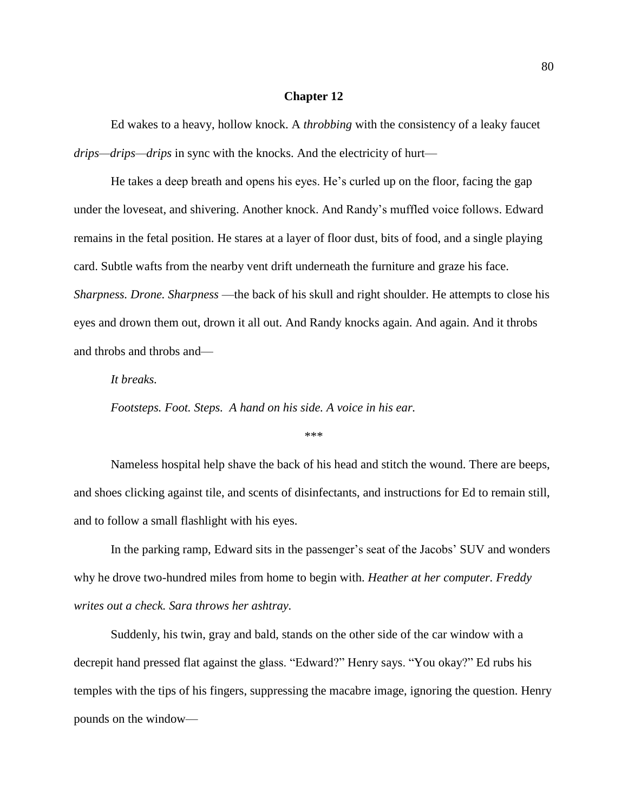#### **Chapter 12**

Ed wakes to a heavy, hollow knock. A *throbbing* with the consistency of a leaky faucet *drips—drips—drips* in sync with the knocks. And the electricity of hurt—

He takes a deep breath and opens his eyes. He's curled up on the floor, facing the gap under the loveseat, and shivering. Another knock. And Randy's muffled voice follows. Edward remains in the fetal position. He stares at a layer of floor dust, bits of food, and a single playing card. Subtle wafts from the nearby vent drift underneath the furniture and graze his face. *Sharpness. Drone. Sharpness* —the back of his skull and right shoulder. He attempts to close his eyes and drown them out, drown it all out. And Randy knocks again. And again. And it throbs and throbs and throbs and—

*It breaks.*

*Footsteps. Foot. Steps. A hand on his side. A voice in his ear.* 

\*\*\*

Nameless hospital help shave the back of his head and stitch the wound. There are beeps, and shoes clicking against tile, and scents of disinfectants, and instructions for Ed to remain still, and to follow a small flashlight with his eyes.

In the parking ramp, Edward sits in the passenger's seat of the Jacobs' SUV and wonders why he drove two-hundred miles from home to begin with. *Heather at her computer. Freddy writes out a check. Sara throws her ashtray.*

Suddenly, his twin, gray and bald, stands on the other side of the car window with a decrepit hand pressed flat against the glass. "Edward?" Henry says. "You okay?" Ed rubs his temples with the tips of his fingers, suppressing the macabre image, ignoring the question. Henry pounds on the window—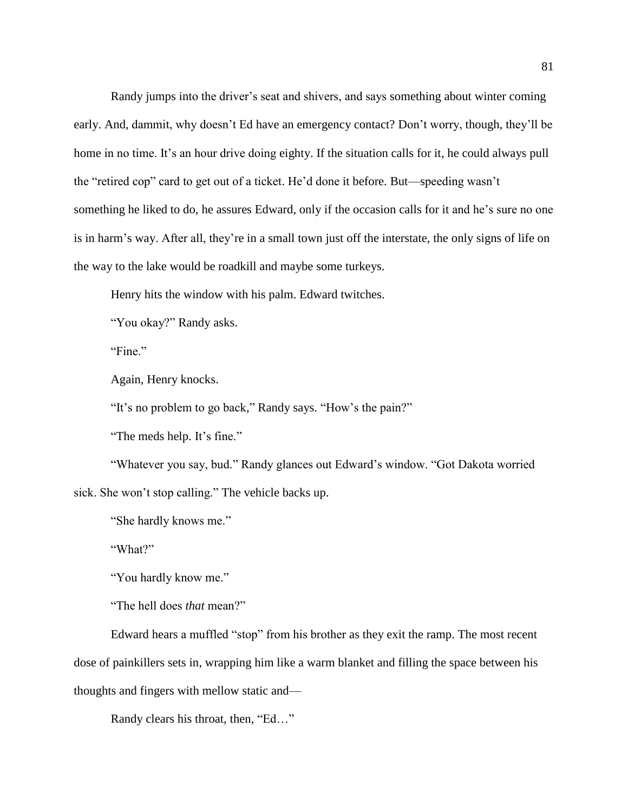Randy jumps into the driver's seat and shivers, and says something about winter coming early. And, dammit, why doesn't Ed have an emergency contact? Don't worry, though, they'll be home in no time. It's an hour drive doing eighty. If the situation calls for it, he could always pull the "retired cop" card to get out of a ticket. He'd done it before. But—speeding wasn't something he liked to do, he assures Edward, only if the occasion calls for it and he's sure no one is in harm's way. After all, they're in a small town just off the interstate, the only signs of life on the way to the lake would be roadkill and maybe some turkeys.

Henry hits the window with his palm. Edward twitches.

"You okay?" Randy asks.

"Fine."

Again, Henry knocks.

"It's no problem to go back," Randy says. "How's the pain?"

"The meds help. It's fine."

"Whatever you say, bud." Randy glances out Edward's window. "Got Dakota worried sick. She won't stop calling." The vehicle backs up.

"She hardly knows me."

"What?"

"You hardly know me."

"The hell does *that* mean?"

Edward hears a muffled "stop" from his brother as they exit the ramp. The most recent dose of painkillers sets in, wrapping him like a warm blanket and filling the space between his thoughts and fingers with mellow static and—

Randy clears his throat, then, "Ed…"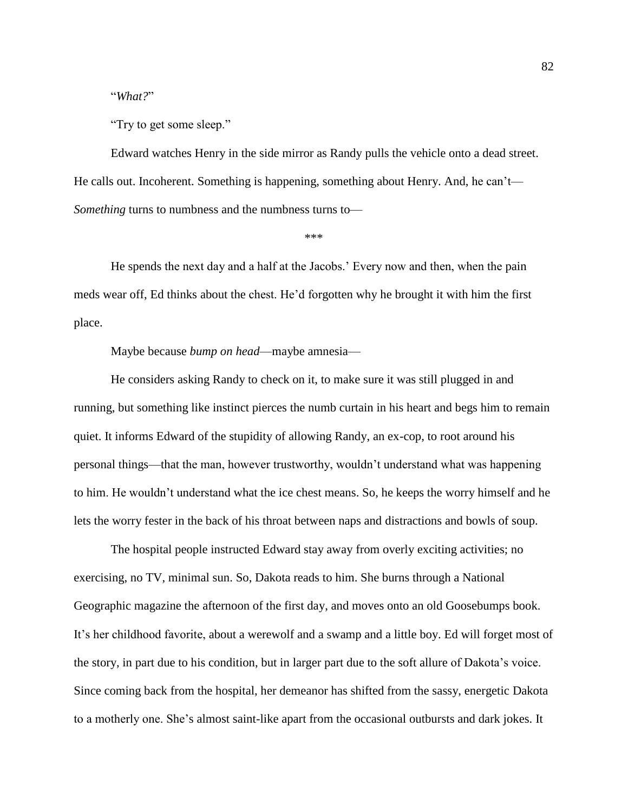"*What?*"

"Try to get some sleep."

Edward watches Henry in the side mirror as Randy pulls the vehicle onto a dead street. He calls out. Incoherent. Something is happening, something about Henry. And, he can't— *Something* turns to numbness and the numbness turns to—

\*\*\*

He spends the next day and a half at the Jacobs.' Every now and then, when the pain meds wear off, Ed thinks about the chest. He'd forgotten why he brought it with him the first place.

# Maybe because *bump on head*—maybe amnesia—

He considers asking Randy to check on it, to make sure it was still plugged in and running, but something like instinct pierces the numb curtain in his heart and begs him to remain quiet. It informs Edward of the stupidity of allowing Randy, an ex-cop, to root around his personal things—that the man, however trustworthy, wouldn't understand what was happening to him. He wouldn't understand what the ice chest means. So, he keeps the worry himself and he lets the worry fester in the back of his throat between naps and distractions and bowls of soup.

The hospital people instructed Edward stay away from overly exciting activities; no exercising, no TV, minimal sun. So, Dakota reads to him. She burns through a National Geographic magazine the afternoon of the first day, and moves onto an old Goosebumps book. It's her childhood favorite, about a werewolf and a swamp and a little boy. Ed will forget most of the story, in part due to his condition, but in larger part due to the soft allure of Dakota's voice. Since coming back from the hospital, her demeanor has shifted from the sassy, energetic Dakota to a motherly one. She's almost saint-like apart from the occasional outbursts and dark jokes. It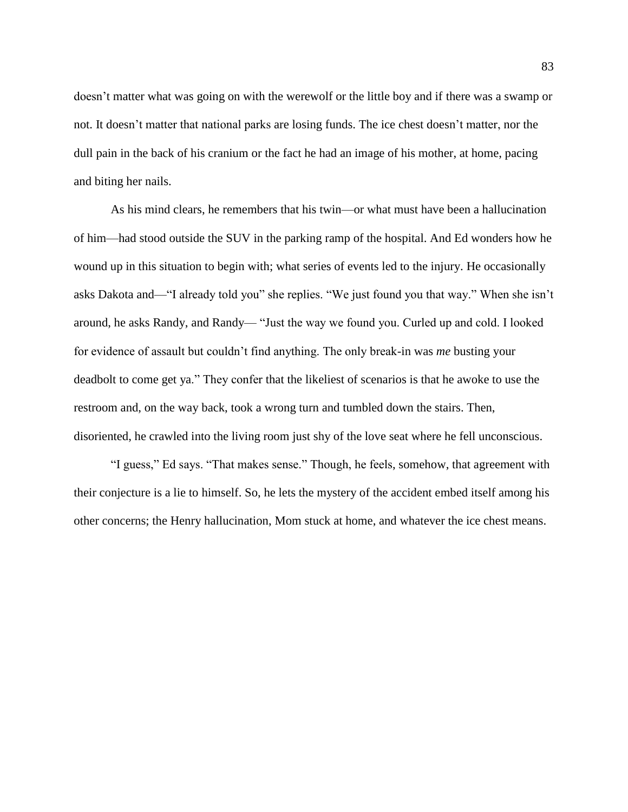doesn't matter what was going on with the werewolf or the little boy and if there was a swamp or not. It doesn't matter that national parks are losing funds. The ice chest doesn't matter, nor the dull pain in the back of his cranium or the fact he had an image of his mother, at home, pacing and biting her nails.

As his mind clears, he remembers that his twin—or what must have been a hallucination of him—had stood outside the SUV in the parking ramp of the hospital. And Ed wonders how he wound up in this situation to begin with; what series of events led to the injury. He occasionally asks Dakota and—"I already told you" she replies. "We just found you that way." When she isn't around, he asks Randy, and Randy— "Just the way we found you. Curled up and cold. I looked for evidence of assault but couldn't find anything. The only break-in was *me* busting your deadbolt to come get ya." They confer that the likeliest of scenarios is that he awoke to use the restroom and, on the way back, took a wrong turn and tumbled down the stairs. Then, disoriented, he crawled into the living room just shy of the love seat where he fell unconscious.

"I guess," Ed says. "That makes sense." Though, he feels, somehow, that agreement with their conjecture is a lie to himself. So, he lets the mystery of the accident embed itself among his other concerns; the Henry hallucination, Mom stuck at home, and whatever the ice chest means.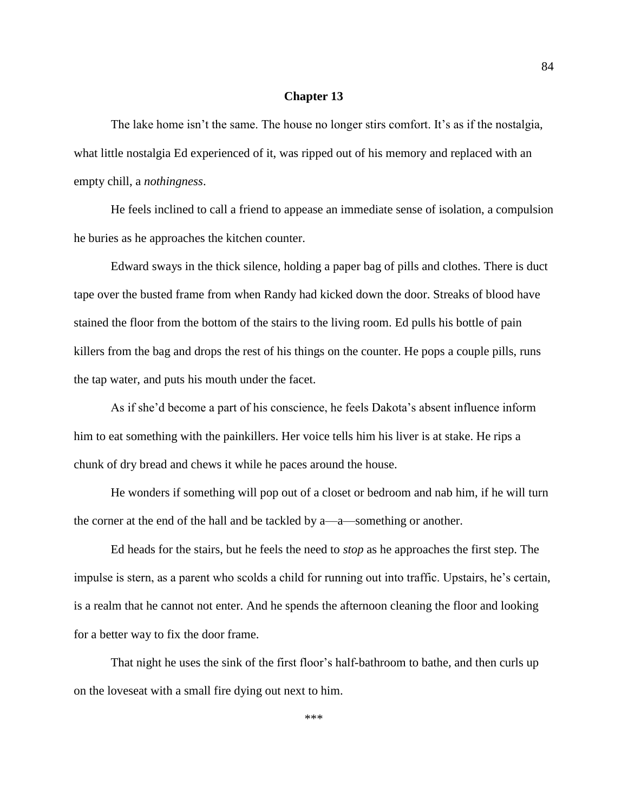## **Chapter 13**

The lake home isn't the same. The house no longer stirs comfort. It's as if the nostalgia, what little nostalgia Ed experienced of it, was ripped out of his memory and replaced with an empty chill, a *nothingness*.

He feels inclined to call a friend to appease an immediate sense of isolation, a compulsion he buries as he approaches the kitchen counter.

Edward sways in the thick silence, holding a paper bag of pills and clothes. There is duct tape over the busted frame from when Randy had kicked down the door. Streaks of blood have stained the floor from the bottom of the stairs to the living room. Ed pulls his bottle of pain killers from the bag and drops the rest of his things on the counter. He pops a couple pills, runs the tap water, and puts his mouth under the facet.

As if she'd become a part of his conscience, he feels Dakota's absent influence inform him to eat something with the painkillers. Her voice tells him his liver is at stake. He rips a chunk of dry bread and chews it while he paces around the house.

He wonders if something will pop out of a closet or bedroom and nab him, if he will turn the corner at the end of the hall and be tackled by a—a—something or another.

Ed heads for the stairs, but he feels the need to *stop* as he approaches the first step. The impulse is stern, as a parent who scolds a child for running out into traffic. Upstairs, he's certain, is a realm that he cannot not enter. And he spends the afternoon cleaning the floor and looking for a better way to fix the door frame.

That night he uses the sink of the first floor's half-bathroom to bathe, and then curls up on the loveseat with a small fire dying out next to him.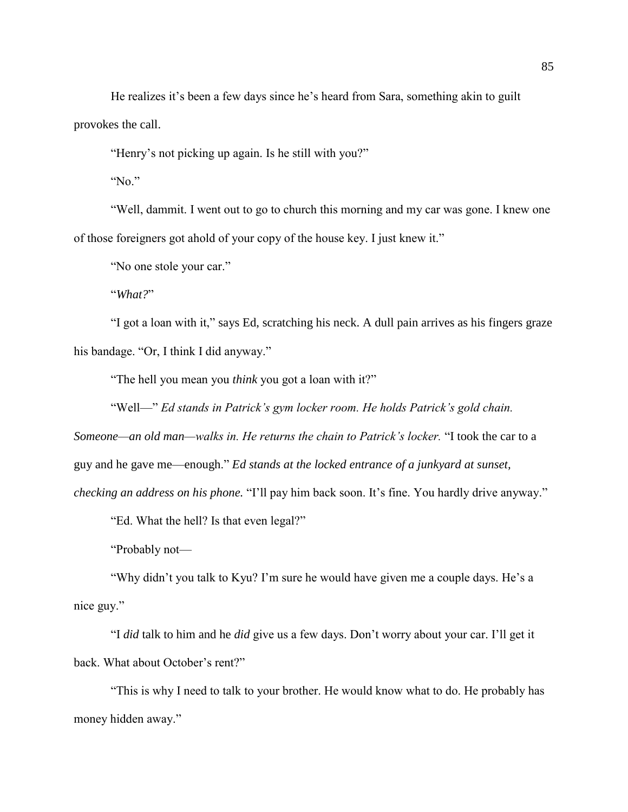He realizes it's been a few days since he's heard from Sara, something akin to guilt provokes the call.

"Henry's not picking up again. Is he still with you?"

"No."

"Well, dammit. I went out to go to church this morning and my car was gone. I knew one of those foreigners got ahold of your copy of the house key. I just knew it."

"No one stole your car."

"*What?*"

"I got a loan with it," says Ed, scratching his neck. A dull pain arrives as his fingers graze his bandage. "Or, I think I did anyway."

"The hell you mean you *think* you got a loan with it?"

"Well—" *Ed stands in Patrick's gym locker room. He holds Patrick's gold chain.* 

*Someone—an old man—walks in. He returns the chain to Patrick's locker.* "I took the car to a

guy and he gave me—enough." *Ed stands at the locked entrance of a junkyard at sunset,* 

*checking an address on his phone.* "I'll pay him back soon. It's fine. You hardly drive anyway."

"Ed. What the hell? Is that even legal?"

"Probably not—

"Why didn't you talk to Kyu? I'm sure he would have given me a couple days. He's a nice guy."

"I *did* talk to him and he *did* give us a few days. Don't worry about your car. I'll get it back. What about October's rent?"

"This is why I need to talk to your brother. He would know what to do. He probably has money hidden away."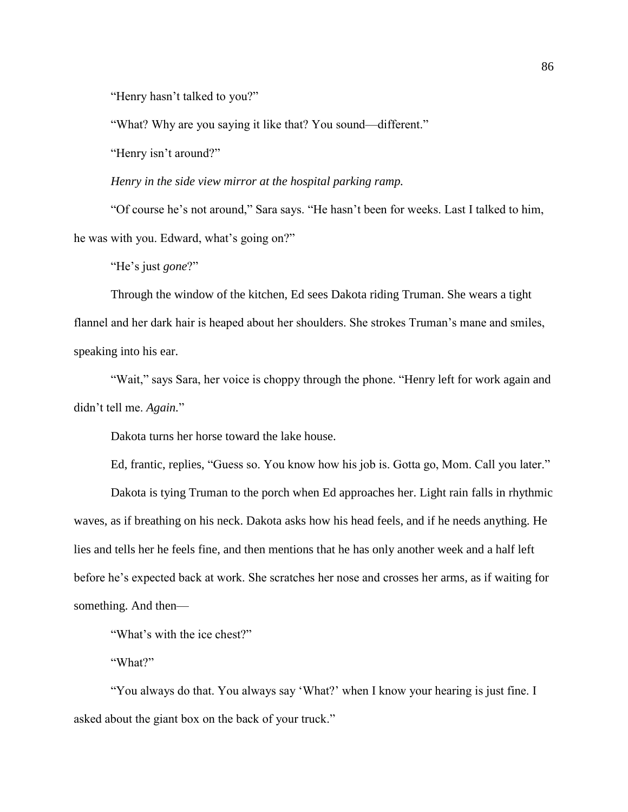"Henry hasn't talked to you?"

"What? Why are you saying it like that? You sound—different."

"Henry isn't around?"

*Henry in the side view mirror at the hospital parking ramp.* 

"Of course he's not around," Sara says. "He hasn't been for weeks. Last I talked to him, he was with you. Edward, what's going on?"

"He's just *gone*?"

Through the window of the kitchen, Ed sees Dakota riding Truman. She wears a tight flannel and her dark hair is heaped about her shoulders. She strokes Truman's mane and smiles, speaking into his ear.

"Wait," says Sara, her voice is choppy through the phone. "Henry left for work again and didn't tell me. *Again.*"

Dakota turns her horse toward the lake house.

Ed, frantic, replies, "Guess so. You know how his job is. Gotta go, Mom. Call you later."

Dakota is tying Truman to the porch when Ed approaches her. Light rain falls in rhythmic waves, as if breathing on his neck. Dakota asks how his head feels, and if he needs anything. He lies and tells her he feels fine, and then mentions that he has only another week and a half left before he's expected back at work. She scratches her nose and crosses her arms, as if waiting for something. And then—

"What's with the ice chest?"

"What?"

"You always do that. You always say 'What?' when I know your hearing is just fine. I asked about the giant box on the back of your truck."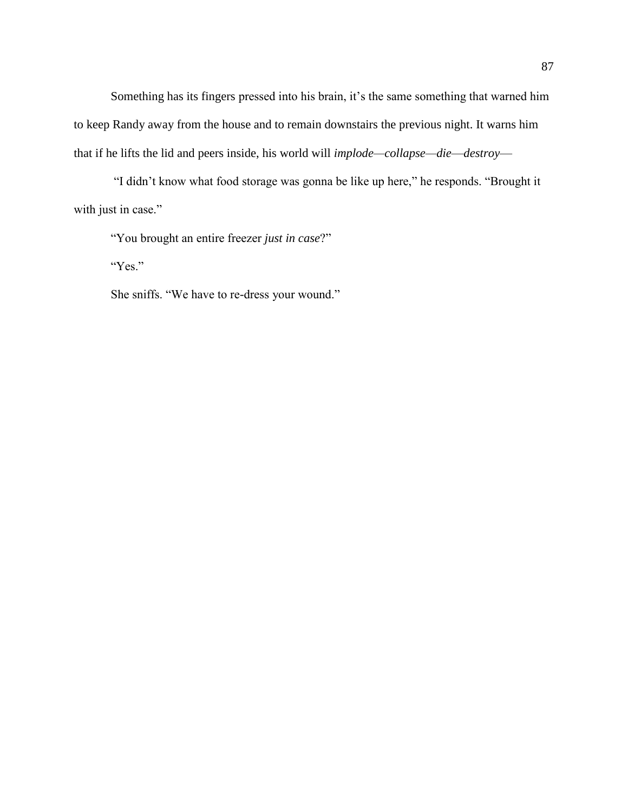Something has its fingers pressed into his brain, it's the same something that warned him to keep Randy away from the house and to remain downstairs the previous night. It warns him that if he lifts the lid and peers inside, his world will *implode—collapse—die*—*destroy*—

"I didn't know what food storage was gonna be like up here," he responds. "Brought it with just in case."

"You brought an entire freezer *just in case*?"

"Yes."

She sniffs. "We have to re-dress your wound."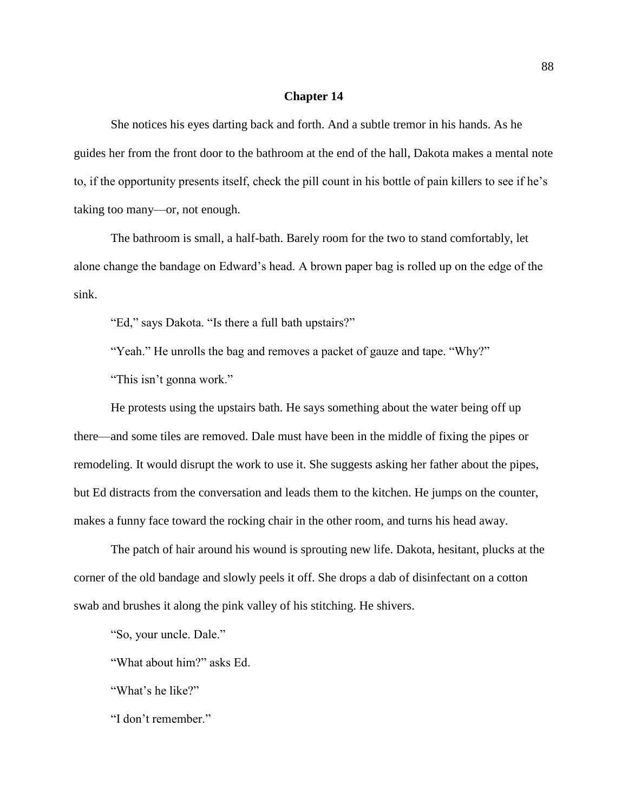## **Chapter 14**

She notices his eyes darting back and forth. And a subtle tremor in his hands. As he guides her from the front door to the bathroom at the end of the hall, Dakota makes a mental note to, if the opportunity presents itself, check the pill count in his bottle of pain killers to see if he's taking too many—or, not enough.

The bathroom is small, a half-bath. Barely room for the two to stand comfortably, let alone change the bandage on Edward's head. A brown paper bag is rolled up on the edge of the sink.

"Ed," says Dakota. "Is there a full bath upstairs?"

"Yeah." He unrolls the bag and removes a packet of gauze and tape. "Why?"

"This isn't gonna work."

He protests using the upstairs bath. He says something about the water being off up there—and some tiles are removed. Dale must have been in the middle of fixing the pipes or remodeling. It would disrupt the work to use it. She suggests asking her father about the pipes, but Ed distracts from the conversation and leads them to the kitchen. He jumps on the counter, makes a funny face toward the rocking chair in the other room, and turns his head away.

The patch of hair around his wound is sprouting new life. Dakota, hesitant, plucks at the corner of the old bandage and slowly peels it off. She drops a dab of disinfectant on a cotton swab and brushes it along the pink valley of his stitching. He shivers.

"So, your uncle. Dale."

"What about him?" asks Ed.

"What's he like?"

"I don't remember."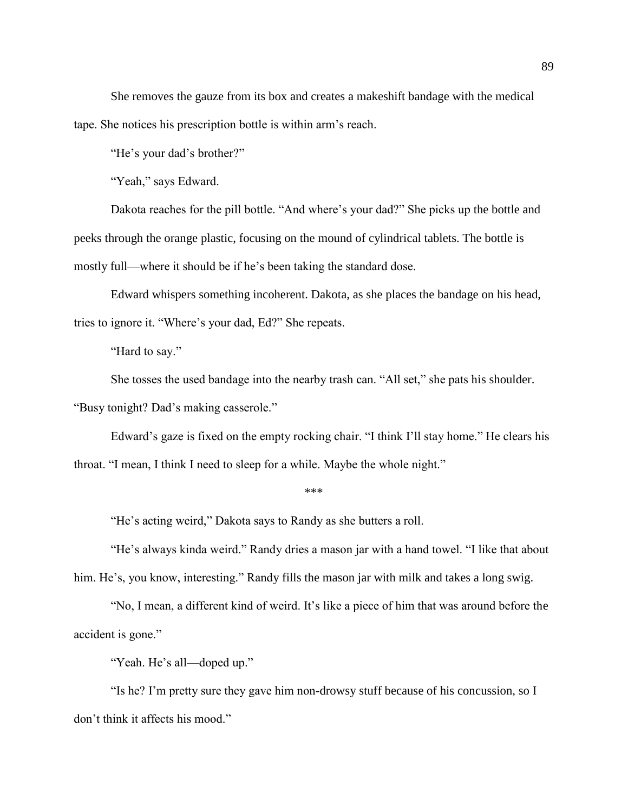She removes the gauze from its box and creates a makeshift bandage with the medical tape. She notices his prescription bottle is within arm's reach.

"He's your dad's brother?"

"Yeah," says Edward.

Dakota reaches for the pill bottle. "And where's your dad?" She picks up the bottle and peeks through the orange plastic, focusing on the mound of cylindrical tablets. The bottle is mostly full—where it should be if he's been taking the standard dose.

Edward whispers something incoherent. Dakota, as she places the bandage on his head, tries to ignore it. "Where's your dad, Ed?" She repeats.

"Hard to say."

She tosses the used bandage into the nearby trash can. "All set," she pats his shoulder.

"Busy tonight? Dad's making casserole."

Edward's gaze is fixed on the empty rocking chair. "I think I'll stay home." He clears his throat. "I mean, I think I need to sleep for a while. Maybe the whole night."

\*\*\*

"He's acting weird," Dakota says to Randy as she butters a roll.

"He's always kinda weird." Randy dries a mason jar with a hand towel. "I like that about him. He's, you know, interesting." Randy fills the mason jar with milk and takes a long swig.

"No, I mean, a different kind of weird. It's like a piece of him that was around before the accident is gone."

"Yeah. He's all—doped up."

"Is he? I'm pretty sure they gave him non-drowsy stuff because of his concussion, so I don't think it affects his mood."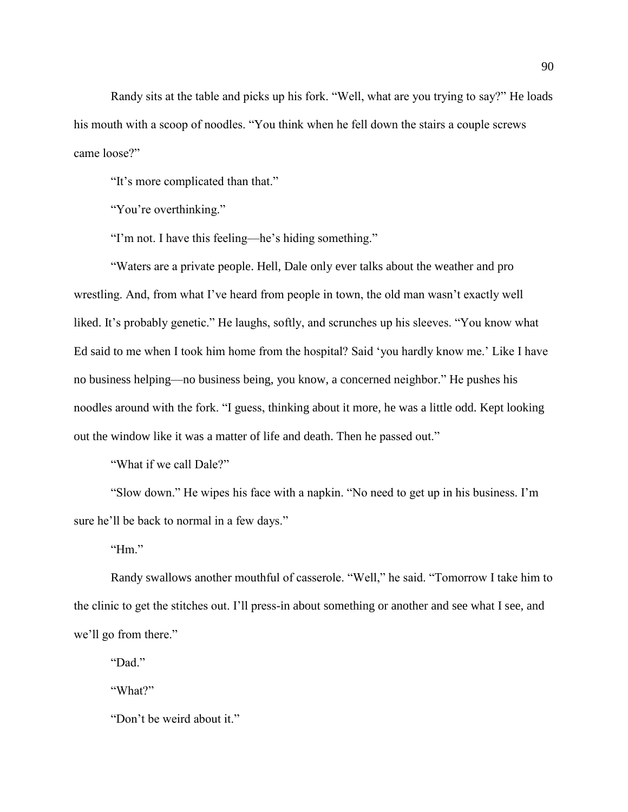Randy sits at the table and picks up his fork. "Well, what are you trying to say?" He loads his mouth with a scoop of noodles. "You think when he fell down the stairs a couple screws came loose?"

"It's more complicated than that."

"You're overthinking."

"I'm not. I have this feeling—he's hiding something."

"Waters are a private people. Hell, Dale only ever talks about the weather and pro wrestling. And, from what I've heard from people in town, the old man wasn't exactly well liked. It's probably genetic." He laughs, softly, and scrunches up his sleeves. "You know what Ed said to me when I took him home from the hospital? Said 'you hardly know me.' Like I have no business helping—no business being, you know, a concerned neighbor." He pushes his noodles around with the fork. "I guess, thinking about it more, he was a little odd. Kept looking out the window like it was a matter of life and death. Then he passed out."

"What if we call Dale?"

"Slow down." He wipes his face with a napkin. "No need to get up in his business. I'm sure he'll be back to normal in a few days."

"Hm."

Randy swallows another mouthful of casserole. "Well," he said. "Tomorrow I take him to the clinic to get the stitches out. I'll press-in about something or another and see what I see, and we'll go from there."

"Dad."

"What?"

"Don't be weird about it."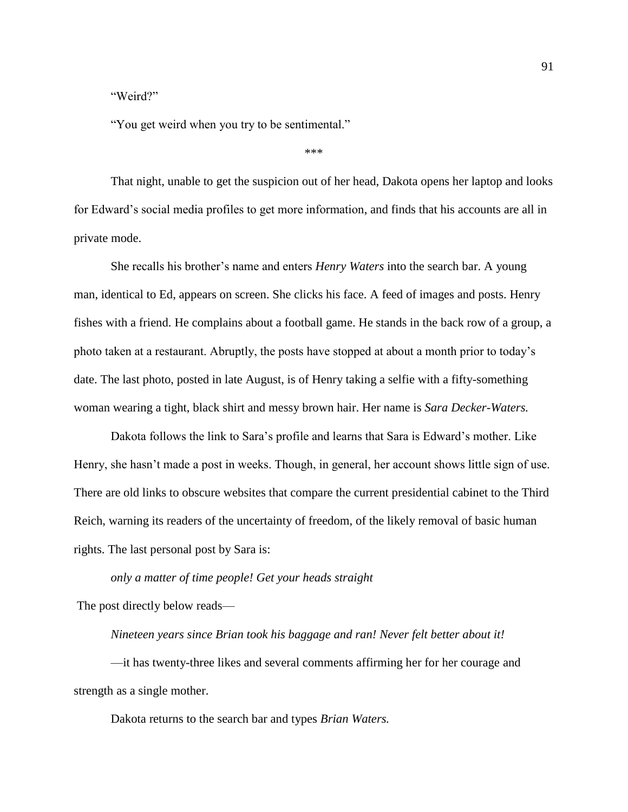## "Weird?"

"You get weird when you try to be sentimental."

```
***
```
That night, unable to get the suspicion out of her head, Dakota opens her laptop and looks for Edward's social media profiles to get more information, and finds that his accounts are all in private mode.

She recalls his brother's name and enters *Henry Waters* into the search bar. A young man, identical to Ed, appears on screen. She clicks his face. A feed of images and posts. Henry fishes with a friend. He complains about a football game. He stands in the back row of a group, a photo taken at a restaurant. Abruptly, the posts have stopped at about a month prior to today's date. The last photo, posted in late August, is of Henry taking a selfie with a fifty-something woman wearing a tight, black shirt and messy brown hair. Her name is *Sara Decker-Waters.* 

Dakota follows the link to Sara's profile and learns that Sara is Edward's mother. Like Henry, she hasn't made a post in weeks. Though, in general, her account shows little sign of use. There are old links to obscure websites that compare the current presidential cabinet to the Third Reich, warning its readers of the uncertainty of freedom, of the likely removal of basic human rights. The last personal post by Sara is:

*only a matter of time people! Get your heads straight* 

The post directly below reads—

*Nineteen years since Brian took his baggage and ran! Never felt better about it!* 

—it has twenty-three likes and several comments affirming her for her courage and strength as a single mother.

Dakota returns to the search bar and types *Brian Waters.*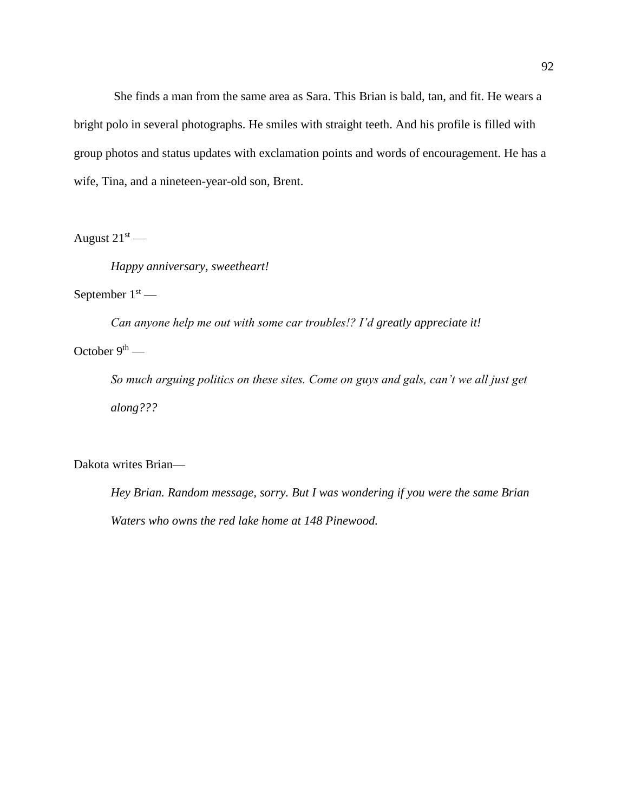She finds a man from the same area as Sara. This Brian is bald, tan, and fit. He wears a bright polo in several photographs. He smiles with straight teeth. And his profile is filled with group photos and status updates with exclamation points and words of encouragement. He has a wife, Tina, and a nineteen-year-old son, Brent.

August  $21<sup>st</sup>$  —

*Happy anniversary, sweetheart!* 

September  $1<sup>st</sup>$  —

*Can anyone help me out with some car troubles!? I'd greatly appreciate it!*

October  $9<sup>th</sup>$  —

*So much arguing politics on these sites. Come on guys and gals, can't we all just get along???*

Dakota writes Brian—

*Hey Brian. Random message, sorry. But I was wondering if you were the same Brian Waters who owns the red lake home at 148 Pinewood.*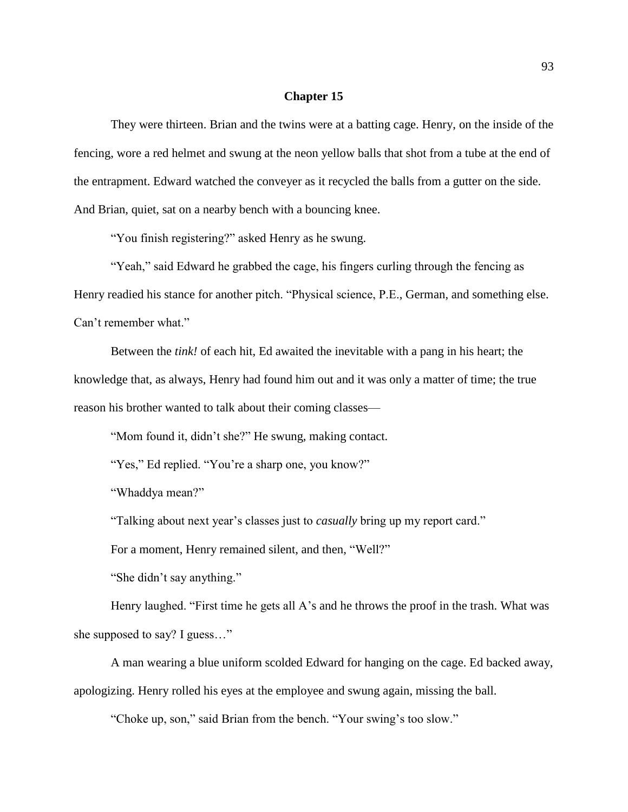## **Chapter 15**

They were thirteen. Brian and the twins were at a batting cage. Henry, on the inside of the fencing, wore a red helmet and swung at the neon yellow balls that shot from a tube at the end of the entrapment. Edward watched the conveyer as it recycled the balls from a gutter on the side. And Brian, quiet, sat on a nearby bench with a bouncing knee.

"You finish registering?" asked Henry as he swung.

"Yeah," said Edward he grabbed the cage, his fingers curling through the fencing as Henry readied his stance for another pitch. "Physical science, P.E., German, and something else. Can't remember what."

Between the *tink!* of each hit, Ed awaited the inevitable with a pang in his heart; the knowledge that, as always, Henry had found him out and it was only a matter of time; the true reason his brother wanted to talk about their coming classes—

"Mom found it, didn't she?" He swung, making contact.

"Yes," Ed replied. "You're a sharp one, you know?"

"Whaddya mean?"

"Talking about next year's classes just to *casually* bring up my report card."

For a moment, Henry remained silent, and then, "Well?"

"She didn't say anything."

Henry laughed. "First time he gets all A's and he throws the proof in the trash. What was she supposed to say? I guess…"

A man wearing a blue uniform scolded Edward for hanging on the cage. Ed backed away, apologizing. Henry rolled his eyes at the employee and swung again, missing the ball.

"Choke up, son," said Brian from the bench. "Your swing's too slow."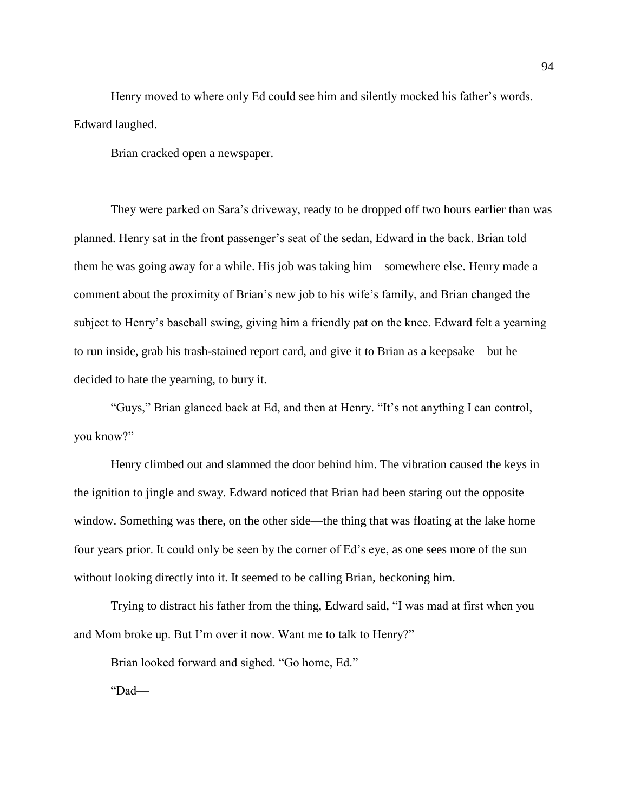Henry moved to where only Ed could see him and silently mocked his father's words. Edward laughed.

Brian cracked open a newspaper.

They were parked on Sara's driveway, ready to be dropped off two hours earlier than was planned. Henry sat in the front passenger's seat of the sedan, Edward in the back. Brian told them he was going away for a while. His job was taking him—somewhere else. Henry made a comment about the proximity of Brian's new job to his wife's family, and Brian changed the subject to Henry's baseball swing, giving him a friendly pat on the knee. Edward felt a yearning to run inside, grab his trash-stained report card, and give it to Brian as a keepsake—but he decided to hate the yearning, to bury it.

"Guys," Brian glanced back at Ed, and then at Henry. "It's not anything I can control, you know?"

Henry climbed out and slammed the door behind him. The vibration caused the keys in the ignition to jingle and sway. Edward noticed that Brian had been staring out the opposite window. Something was there, on the other side—the thing that was floating at the lake home four years prior. It could only be seen by the corner of Ed's eye, as one sees more of the sun without looking directly into it. It seemed to be calling Brian, beckoning him.

Trying to distract his father from the thing, Edward said, "I was mad at first when you and Mom broke up. But I'm over it now. Want me to talk to Henry?"

Brian looked forward and sighed. "Go home, Ed."

"Dad—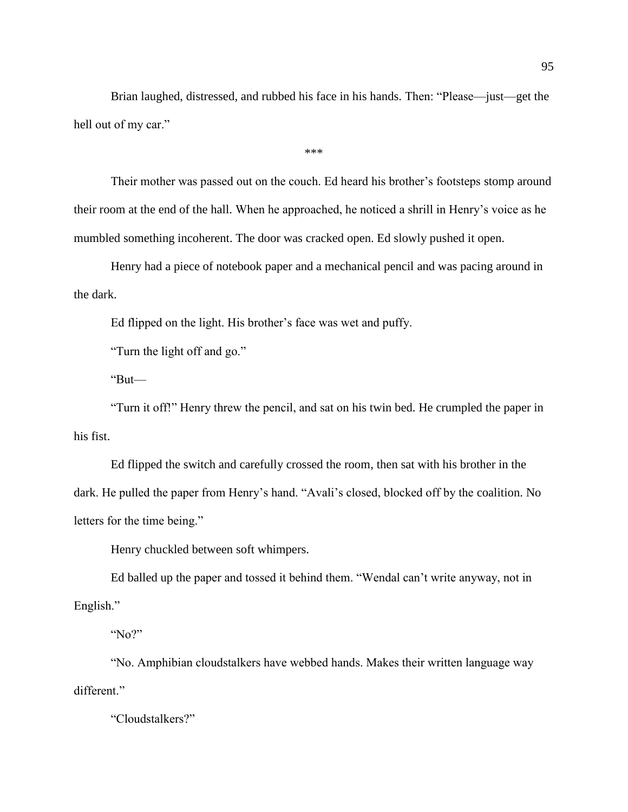Brian laughed, distressed, and rubbed his face in his hands. Then: "Please—just—get the hell out of my car."

\*\*\*

Their mother was passed out on the couch. Ed heard his brother's footsteps stomp around their room at the end of the hall. When he approached, he noticed a shrill in Henry's voice as he mumbled something incoherent. The door was cracked open. Ed slowly pushed it open.

Henry had a piece of notebook paper and a mechanical pencil and was pacing around in the dark.

Ed flipped on the light. His brother's face was wet and puffy.

"Turn the light off and go."

"But—

"Turn it off!" Henry threw the pencil, and sat on his twin bed. He crumpled the paper in his fist.

Ed flipped the switch and carefully crossed the room, then sat with his brother in the dark. He pulled the paper from Henry's hand. "Avali's closed, blocked off by the coalition. No letters for the time being."

Henry chuckled between soft whimpers.

Ed balled up the paper and tossed it behind them. "Wendal can't write anyway, not in English."

"No?"

"No. Amphibian cloudstalkers have webbed hands. Makes their written language way different."

"Cloudstalkers?"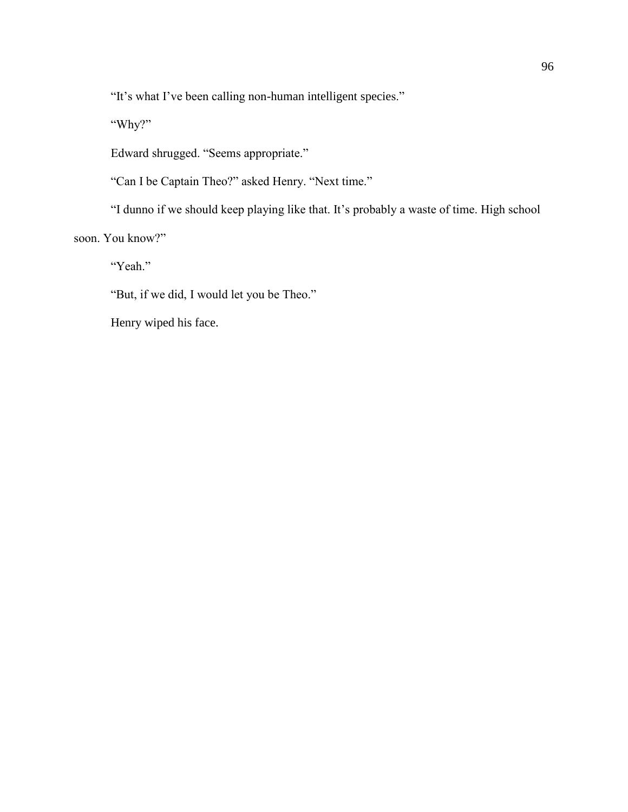"It's what I've been calling non-human intelligent species."

"Why?"

Edward shrugged. "Seems appropriate."

"Can I be Captain Theo?" asked Henry. "Next time."

"I dunno if we should keep playing like that. It's probably a waste of time. High school soon. You know?"

"Yeah."

"But, if we did, I would let you be Theo."

Henry wiped his face.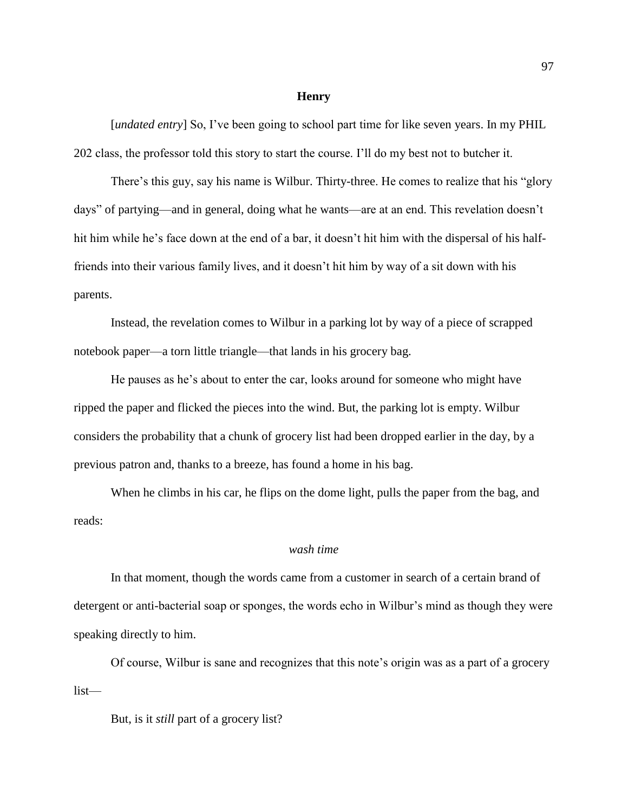#### **Henry**

[*undated entry*] So, I've been going to school part time for like seven years. In my PHIL 202 class, the professor told this story to start the course. I'll do my best not to butcher it.

There's this guy, say his name is Wilbur. Thirty-three. He comes to realize that his "glory days" of partying—and in general, doing what he wants—are at an end. This revelation doesn't hit him while he's face down at the end of a bar, it doesn't hit him with the dispersal of his halffriends into their various family lives, and it doesn't hit him by way of a sit down with his parents.

Instead, the revelation comes to Wilbur in a parking lot by way of a piece of scrapped notebook paper—a torn little triangle—that lands in his grocery bag.

He pauses as he's about to enter the car, looks around for someone who might have ripped the paper and flicked the pieces into the wind. But, the parking lot is empty. Wilbur considers the probability that a chunk of grocery list had been dropped earlier in the day, by a previous patron and, thanks to a breeze, has found a home in his bag.

When he climbs in his car, he flips on the dome light, pulls the paper from the bag, and reads:

## *wash time*

In that moment, though the words came from a customer in search of a certain brand of detergent or anti-bacterial soap or sponges, the words echo in Wilbur's mind as though they were speaking directly to him.

Of course, Wilbur is sane and recognizes that this note's origin was as a part of a grocery list—

But, is it *still* part of a grocery list?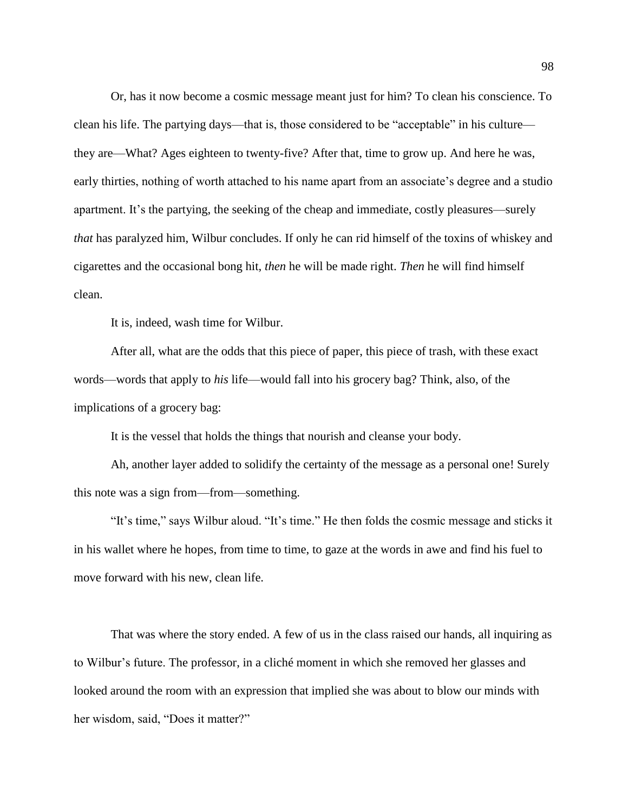Or, has it now become a cosmic message meant just for him? To clean his conscience. To clean his life. The partying days—that is, those considered to be "acceptable" in his culture they are—What? Ages eighteen to twenty-five? After that, time to grow up. And here he was, early thirties, nothing of worth attached to his name apart from an associate's degree and a studio apartment. It's the partying, the seeking of the cheap and immediate, costly pleasures—surely *that* has paralyzed him, Wilbur concludes. If only he can rid himself of the toxins of whiskey and cigarettes and the occasional bong hit, *then* he will be made right. *Then* he will find himself clean.

It is, indeed, wash time for Wilbur.

After all, what are the odds that this piece of paper, this piece of trash, with these exact words—words that apply to *his* life—would fall into his grocery bag? Think, also, of the implications of a grocery bag:

It is the vessel that holds the things that nourish and cleanse your body.

Ah, another layer added to solidify the certainty of the message as a personal one! Surely this note was a sign from—from—something.

"It's time," says Wilbur aloud. "It's time." He then folds the cosmic message and sticks it in his wallet where he hopes, from time to time, to gaze at the words in awe and find his fuel to move forward with his new, clean life.

That was where the story ended. A few of us in the class raised our hands, all inquiring as to Wilbur's future. The professor, in a cliché moment in which she removed her glasses and looked around the room with an expression that implied she was about to blow our minds with her wisdom, said, "Does it matter?"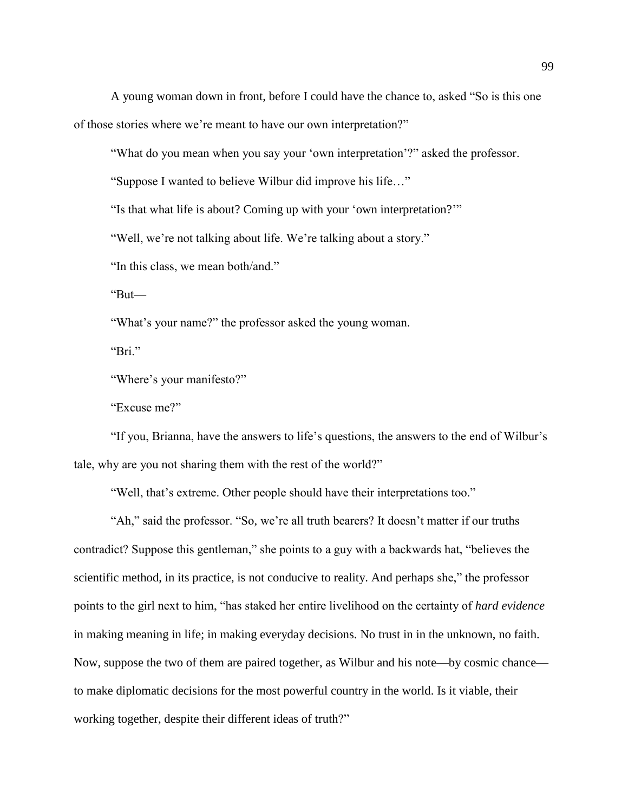A young woman down in front, before I could have the chance to, asked "So is this one of those stories where we're meant to have our own interpretation?"

"What do you mean when you say your 'own interpretation'?" asked the professor.

"Suppose I wanted to believe Wilbur did improve his life…"

"Is that what life is about? Coming up with your 'own interpretation?'"

"Well, we're not talking about life. We're talking about a story."

"In this class, we mean both/and."

"But—

"What's your name?" the professor asked the young woman.

"Bri."

"Where's your manifesto?"

"Excuse me?"

"If you, Brianna, have the answers to life's questions, the answers to the end of Wilbur's tale, why are you not sharing them with the rest of the world?"

"Well, that's extreme. Other people should have their interpretations too."

"Ah," said the professor. "So, we're all truth bearers? It doesn't matter if our truths contradict? Suppose this gentleman," she points to a guy with a backwards hat, "believes the scientific method, in its practice, is not conducive to reality. And perhaps she," the professor points to the girl next to him, "has staked her entire livelihood on the certainty of *hard evidence* in making meaning in life; in making everyday decisions. No trust in in the unknown, no faith. Now, suppose the two of them are paired together, as Wilbur and his note—by cosmic chance to make diplomatic decisions for the most powerful country in the world. Is it viable, their working together, despite their different ideas of truth?"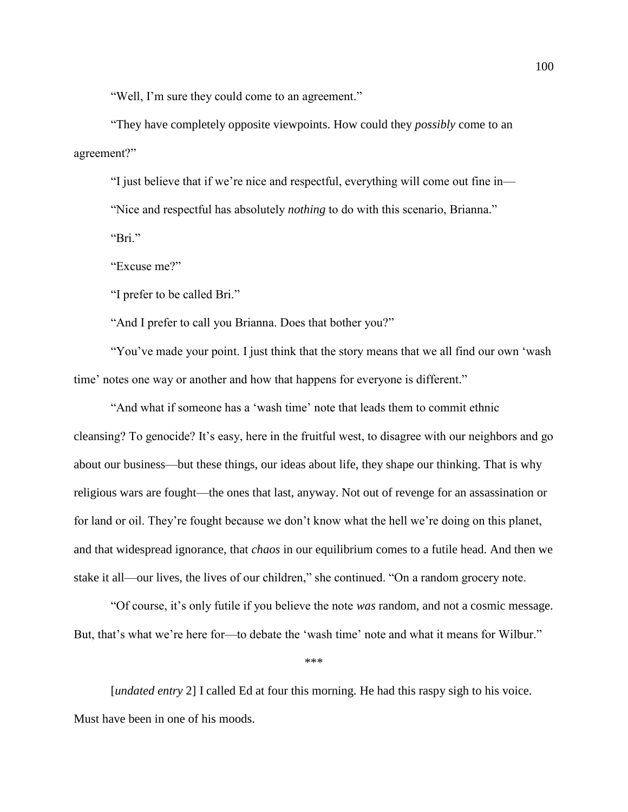"Well, I'm sure they could come to an agreement."

"They have completely opposite viewpoints. How could they *possibly* come to an agreement?"

"I just believe that if we're nice and respectful, everything will come out fine in— "Nice and respectful has absolutely *nothing* to do with this scenario, Brianna." "Bri."

"Excuse me?"

"I prefer to be called Bri."

"And I prefer to call you Brianna. Does that bother you?"

"You've made your point. I just think that the story means that we all find our own 'wash time' notes one way or another and how that happens for everyone is different."

"And what if someone has a 'wash time' note that leads them to commit ethnic cleansing? To genocide? It's easy, here in the fruitful west, to disagree with our neighbors and go about our business—but these things, our ideas about life, they shape our thinking. That is why religious wars are fought—the ones that last, anyway. Not out of revenge for an assassination or for land or oil. They're fought because we don't know what the hell we're doing on this planet, and that widespread ignorance, that *chaos* in our equilibrium comes to a futile head. And then we stake it all—our lives, the lives of our children," she continued. "On a random grocery note.

"Of course, it's only futile if you believe the note *was* random, and not a cosmic message. But, that's what we're here for—to debate the 'wash time' note and what it means for Wilbur."

\*\*\*

[*undated entry* 2] I called Ed at four this morning. He had this raspy sigh to his voice. Must have been in one of his moods.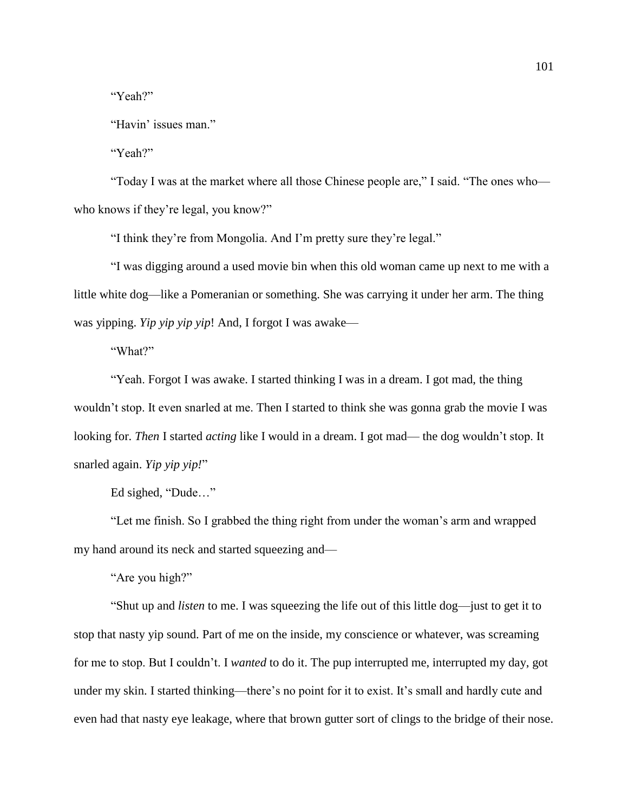"Yeah?"

"Havin' issues man."

"Yeah?"

"Today I was at the market where all those Chinese people are," I said. "The ones who who knows if they're legal, you know?"

"I think they're from Mongolia. And I'm pretty sure they're legal."

"I was digging around a used movie bin when this old woman came up next to me with a little white dog—like a Pomeranian or something. She was carrying it under her arm. The thing was yipping. *Yip yip yip yip*! And, I forgot I was awake—

"What?"

"Yeah. Forgot I was awake. I started thinking I was in a dream. I got mad, the thing wouldn't stop. It even snarled at me. Then I started to think she was gonna grab the movie I was looking for. *Then* I started *acting* like I would in a dream. I got mad— the dog wouldn't stop. It snarled again. *Yip yip yip!*"

Ed sighed, "Dude…"

"Let me finish. So I grabbed the thing right from under the woman's arm and wrapped my hand around its neck and started squeezing and—

"Are you high?"

"Shut up and *listen* to me. I was squeezing the life out of this little dog—just to get it to stop that nasty yip sound. Part of me on the inside, my conscience or whatever, was screaming for me to stop. But I couldn't. I *wanted* to do it. The pup interrupted me, interrupted my day, got under my skin. I started thinking—there's no point for it to exist. It's small and hardly cute and even had that nasty eye leakage, where that brown gutter sort of clings to the bridge of their nose.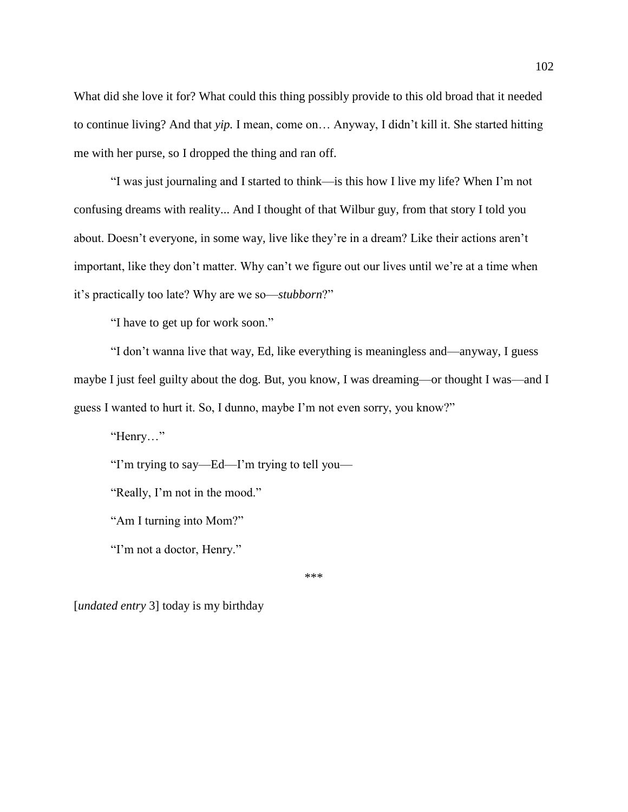What did she love it for? What could this thing possibly provide to this old broad that it needed to continue living? And that *yip.* I mean, come on… Anyway, I didn't kill it. She started hitting me with her purse, so I dropped the thing and ran off.

"I was just journaling and I started to think—is this how I live my life? When I'm not confusing dreams with reality... And I thought of that Wilbur guy, from that story I told you about. Doesn't everyone, in some way, live like they're in a dream? Like their actions aren't important, like they don't matter. Why can't we figure out our lives until we're at a time when it's practically too late? Why are we so—*stubborn*?"

"I have to get up for work soon."

"I don't wanna live that way, Ed, like everything is meaningless and—anyway, I guess maybe I just feel guilty about the dog. But, you know, I was dreaming—or thought I was—and I guess I wanted to hurt it. So, I dunno, maybe I'm not even sorry, you know?"

"Henry…"

"I'm trying to say—Ed—I'm trying to tell you—

"Really, I'm not in the mood."

"Am I turning into Mom?"

"I'm not a doctor, Henry."

\*\*\*

[*undated entry* 3] today is my birthday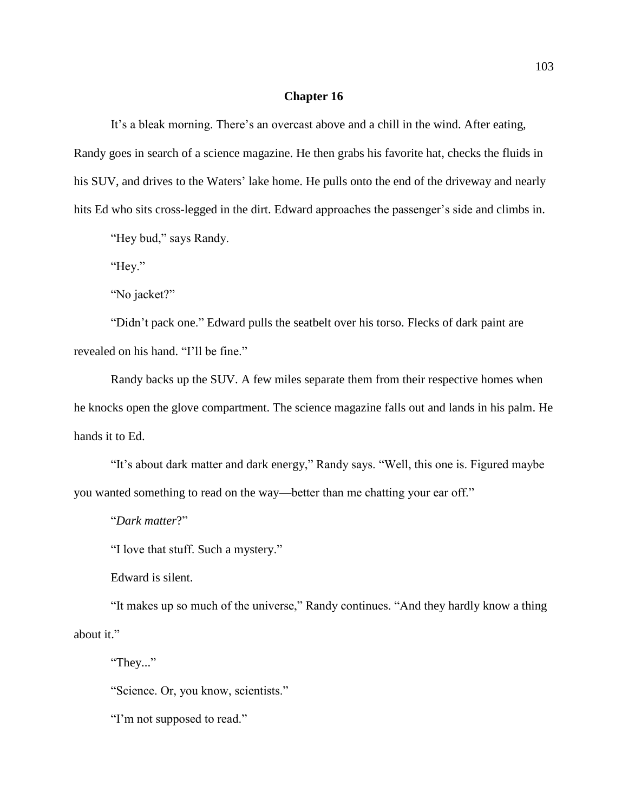## **Chapter 16**

It's a bleak morning. There's an overcast above and a chill in the wind. After eating, Randy goes in search of a science magazine. He then grabs his favorite hat, checks the fluids in his SUV, and drives to the Waters' lake home. He pulls onto the end of the driveway and nearly hits Ed who sits cross-legged in the dirt. Edward approaches the passenger's side and climbs in.

"Hey bud," says Randy.

"Hey."

"No jacket?"

"Didn't pack one." Edward pulls the seatbelt over his torso. Flecks of dark paint are revealed on his hand. "I'll be fine."

Randy backs up the SUV. A few miles separate them from their respective homes when he knocks open the glove compartment. The science magazine falls out and lands in his palm. He hands it to Ed.

"It's about dark matter and dark energy," Randy says. "Well, this one is. Figured maybe you wanted something to read on the way—better than me chatting your ear off."

"*Dark matter*?"

"I love that stuff. Such a mystery."

Edward is silent.

"It makes up so much of the universe," Randy continues. "And they hardly know a thing about it."

"They..."

"Science. Or, you know, scientists."

"I'm not supposed to read."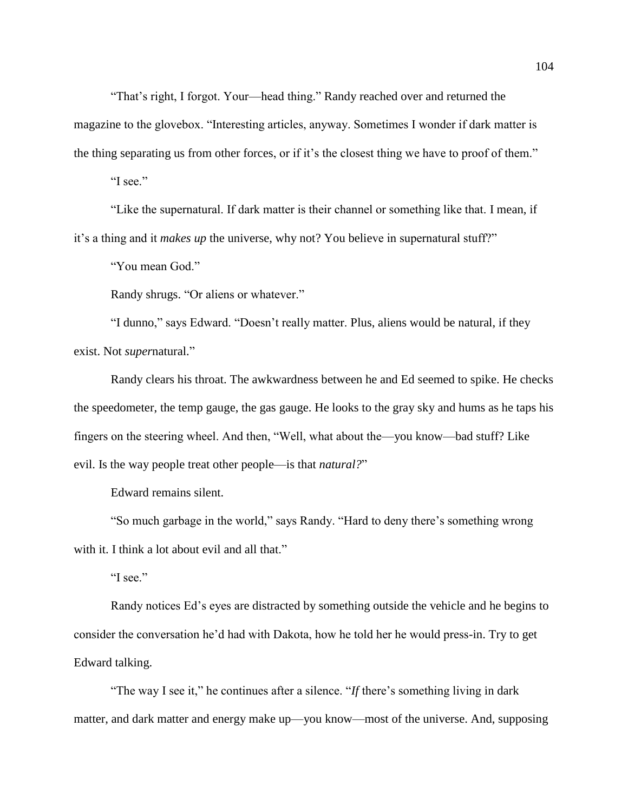"That's right, I forgot. Your—head thing." Randy reached over and returned the magazine to the glovebox. "Interesting articles, anyway. Sometimes I wonder if dark matter is the thing separating us from other forces, or if it's the closest thing we have to proof of them."

"I see."

"Like the supernatural. If dark matter is their channel or something like that. I mean, if it's a thing and it *makes up* the universe, why not? You believe in supernatural stuff?"

"You mean God."

Randy shrugs. "Or aliens or whatever."

"I dunno," says Edward. "Doesn't really matter. Plus, aliens would be natural, if they exist. Not *super*natural."

Randy clears his throat. The awkwardness between he and Ed seemed to spike. He checks the speedometer, the temp gauge, the gas gauge. He looks to the gray sky and hums as he taps his fingers on the steering wheel. And then, "Well, what about the—you know—bad stuff? Like evil. Is the way people treat other people—is that *natural?*"

Edward remains silent.

"So much garbage in the world," says Randy. "Hard to deny there's something wrong with it. I think a lot about evil and all that."

"I see."

Randy notices Ed's eyes are distracted by something outside the vehicle and he begins to consider the conversation he'd had with Dakota, how he told her he would press-in. Try to get Edward talking.

"The way I see it," he continues after a silence. "*If* there's something living in dark matter, and dark matter and energy make up—you know—most of the universe. And, supposing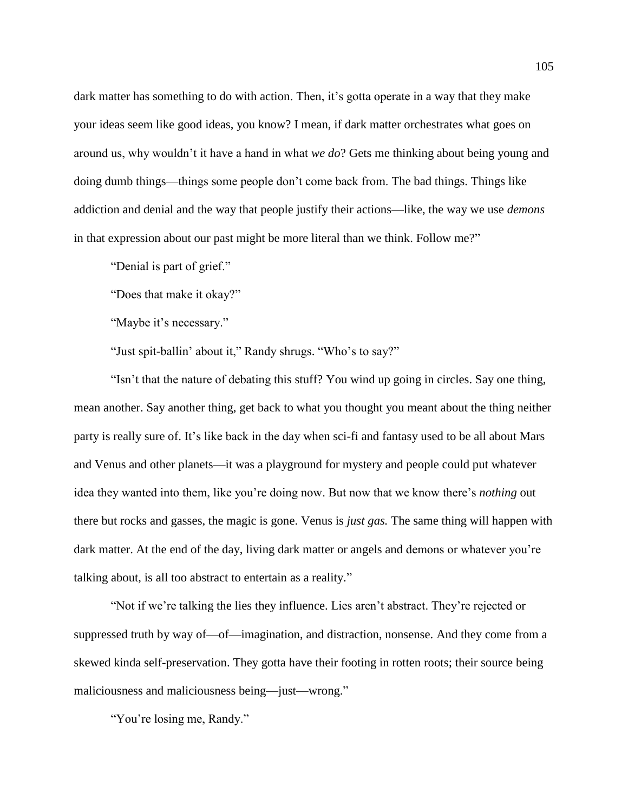dark matter has something to do with action. Then, it's gotta operate in a way that they make your ideas seem like good ideas, you know? I mean, if dark matter orchestrates what goes on around us, why wouldn't it have a hand in what *we do*? Gets me thinking about being young and doing dumb things—things some people don't come back from. The bad things. Things like addiction and denial and the way that people justify their actions—like, the way we use *demons*  in that expression about our past might be more literal than we think. Follow me?"

"Denial is part of grief."

"Does that make it okay?"

"Maybe it's necessary."

"Just spit-ballin' about it," Randy shrugs. "Who's to say?"

"Isn't that the nature of debating this stuff? You wind up going in circles. Say one thing, mean another. Say another thing, get back to what you thought you meant about the thing neither party is really sure of. It's like back in the day when sci-fi and fantasy used to be all about Mars and Venus and other planets—it was a playground for mystery and people could put whatever idea they wanted into them, like you're doing now. But now that we know there's *nothing* out there but rocks and gasses, the magic is gone. Venus is *just gas.* The same thing will happen with dark matter. At the end of the day, living dark matter or angels and demons or whatever you're talking about, is all too abstract to entertain as a reality."

"Not if we're talking the lies they influence. Lies aren't abstract. They're rejected or suppressed truth by way of—of—imagination, and distraction, nonsense. And they come from a skewed kinda self-preservation. They gotta have their footing in rotten roots; their source being maliciousness and maliciousness being—just—wrong."

"You're losing me, Randy."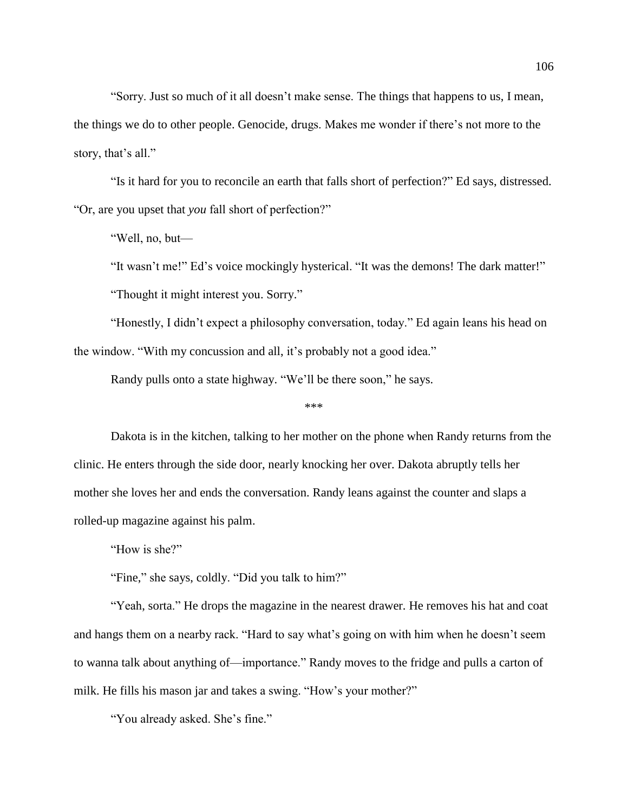"Sorry. Just so much of it all doesn't make sense. The things that happens to us, I mean, the things we do to other people. Genocide, drugs. Makes me wonder if there's not more to the story, that's all."

"Is it hard for you to reconcile an earth that falls short of perfection?" Ed says, distressed. "Or, are you upset that *you* fall short of perfection?"

"Well, no, but—

"It wasn't me!" Ed's voice mockingly hysterical. "It was the demons! The dark matter!" "Thought it might interest you. Sorry."

"Honestly, I didn't expect a philosophy conversation, today." Ed again leans his head on the window. "With my concussion and all, it's probably not a good idea."

Randy pulls onto a state highway. "We'll be there soon," he says.

\*\*\*

Dakota is in the kitchen, talking to her mother on the phone when Randy returns from the clinic. He enters through the side door, nearly knocking her over. Dakota abruptly tells her mother she loves her and ends the conversation. Randy leans against the counter and slaps a rolled-up magazine against his palm.

"How is she?"

"Fine," she says, coldly. "Did you talk to him?"

"Yeah, sorta." He drops the magazine in the nearest drawer. He removes his hat and coat and hangs them on a nearby rack. "Hard to say what's going on with him when he doesn't seem to wanna talk about anything of—importance." Randy moves to the fridge and pulls a carton of milk. He fills his mason jar and takes a swing. "How's your mother?"

"You already asked. She's fine."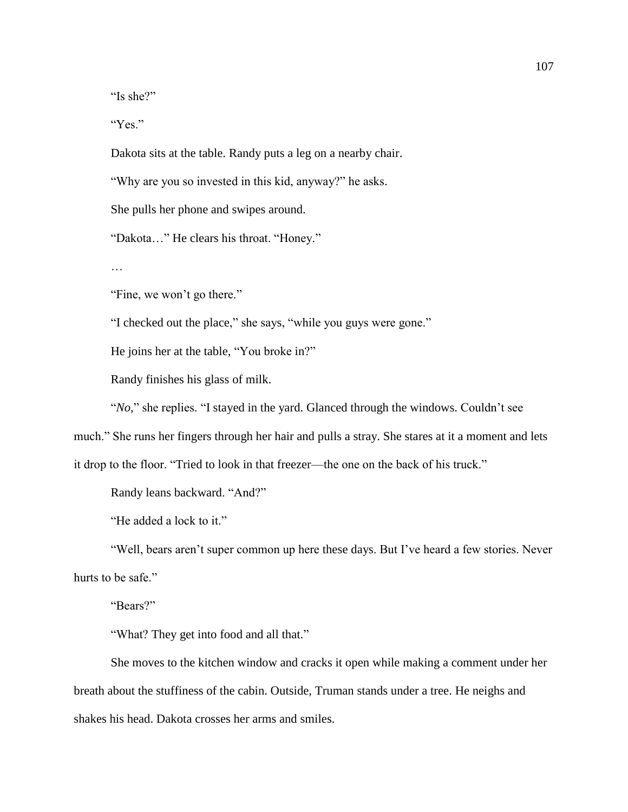"Is she?"

"Yes."

Dakota sits at the table. Randy puts a leg on a nearby chair.

"Why are you so invested in this kid, anyway?" he asks.

She pulls her phone and swipes around.

"Dakota…" He clears his throat. "Honey."

…

"Fine, we won't go there."

"I checked out the place," she says, "while you guys were gone."

He joins her at the table, "You broke in?"

Randy finishes his glass of milk.

"*No,*" she replies. "I stayed in the yard. Glanced through the windows. Couldn't see

much." She runs her fingers through her hair and pulls a stray. She stares at it a moment and lets

it drop to the floor. "Tried to look in that freezer—the one on the back of his truck."

Randy leans backward. "And?"

"He added a lock to it."

"Well, bears aren't super common up here these days. But I've heard a few stories. Never hurts to be safe."

"Bears?"

"What? They get into food and all that."

She moves to the kitchen window and cracks it open while making a comment under her breath about the stuffiness of the cabin. Outside, Truman stands under a tree. He neighs and shakes his head. Dakota crosses her arms and smiles.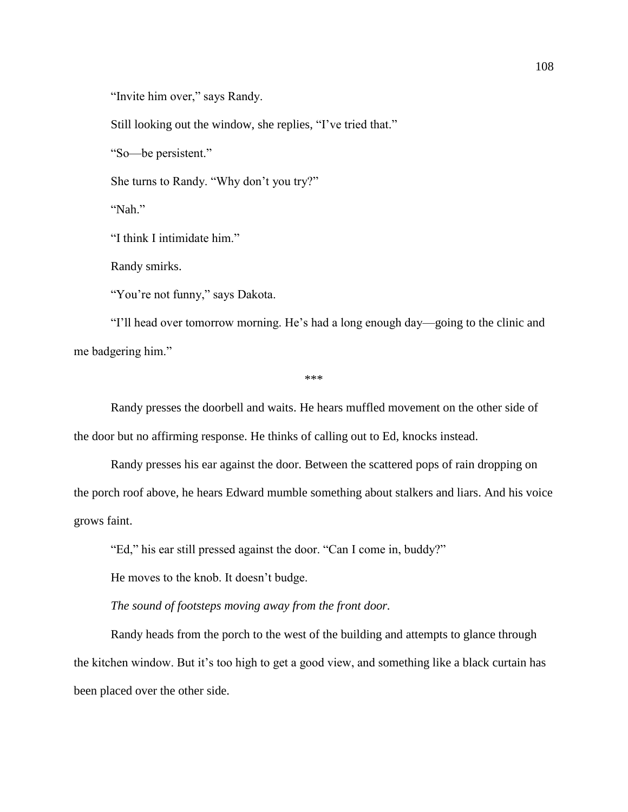"Invite him over," says Randy.

Still looking out the window, she replies, "I've tried that."

"So—be persistent."

She turns to Randy. "Why don't you try?"

"Nah."

"I think I intimidate him."

Randy smirks.

"You're not funny," says Dakota.

"I'll head over tomorrow morning. He's had a long enough day—going to the clinic and me badgering him."

\*\*\*

Randy presses the doorbell and waits. He hears muffled movement on the other side of the door but no affirming response. He thinks of calling out to Ed, knocks instead.

Randy presses his ear against the door. Between the scattered pops of rain dropping on the porch roof above, he hears Edward mumble something about stalkers and liars. And his voice grows faint.

"Ed," his ear still pressed against the door. "Can I come in, buddy?"

He moves to the knob. It doesn't budge.

## *The sound of footsteps moving away from the front door.*

Randy heads from the porch to the west of the building and attempts to glance through the kitchen window. But it's too high to get a good view, and something like a black curtain has been placed over the other side.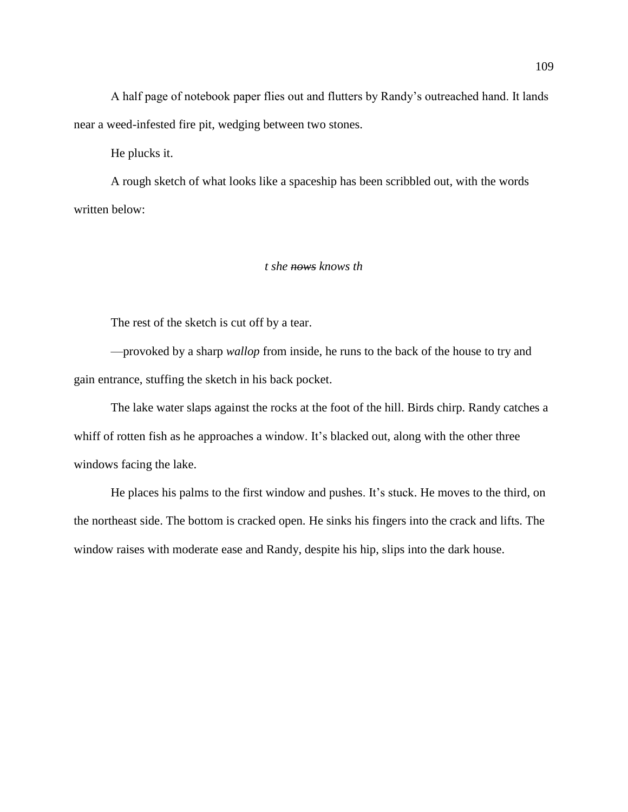A half page of notebook paper flies out and flutters by Randy's outreached hand. It lands near a weed-infested fire pit, wedging between two stones.

He plucks it.

A rough sketch of what looks like a spaceship has been scribbled out, with the words written below:

## *t she nows knows th*

The rest of the sketch is cut off by a tear.

—provoked by a sharp *wallop* from inside, he runs to the back of the house to try and gain entrance, stuffing the sketch in his back pocket.

The lake water slaps against the rocks at the foot of the hill. Birds chirp. Randy catches a whiff of rotten fish as he approaches a window. It's blacked out, along with the other three windows facing the lake.

He places his palms to the first window and pushes. It's stuck. He moves to the third, on the northeast side. The bottom is cracked open. He sinks his fingers into the crack and lifts. The window raises with moderate ease and Randy, despite his hip, slips into the dark house.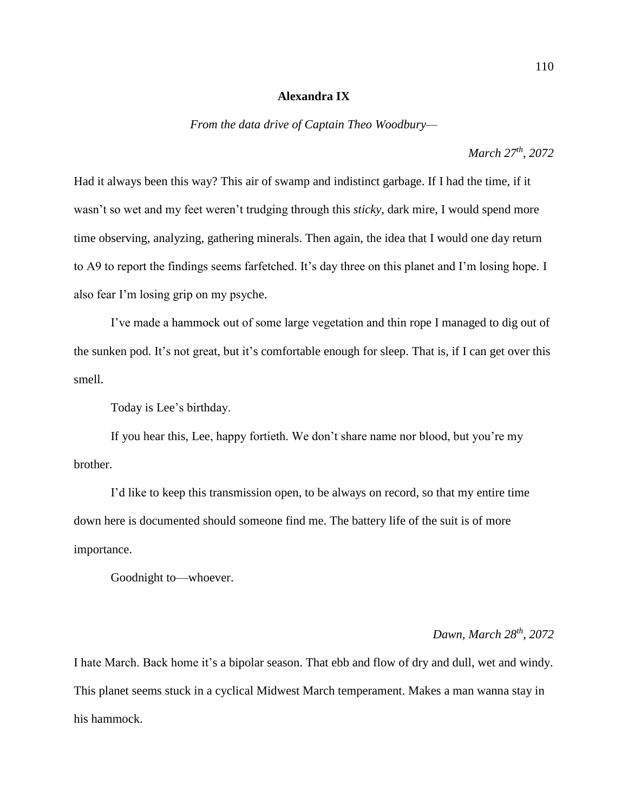## **Alexandra IX**

*From the data drive of Captain Theo Woodbury—*

*March 27th, 2072*

Had it always been this way? This air of swamp and indistinct garbage. If I had the time, if it wasn't so wet and my feet weren't trudging through this *sticky*, dark mire, I would spend more time observing, analyzing, gathering minerals. Then again, the idea that I would one day return to A9 to report the findings seems farfetched. It's day three on this planet and I'm losing hope. I also fear I'm losing grip on my psyche.

I've made a hammock out of some large vegetation and thin rope I managed to dig out of the sunken pod. It's not great, but it's comfortable enough for sleep. That is, if I can get over this smell.

Today is Lee's birthday.

If you hear this, Lee, happy fortieth. We don't share name nor blood, but you're my brother.

I'd like to keep this transmission open, to be always on record, so that my entire time down here is documented should someone find me. The battery life of the suit is of more importance.

Goodnight to—whoever.

## *Dawn, March 28th, 2072*

I hate March. Back home it's a bipolar season. That ebb and flow of dry and dull, wet and windy. This planet seems stuck in a cyclical Midwest March temperament. Makes a man wanna stay in his hammock.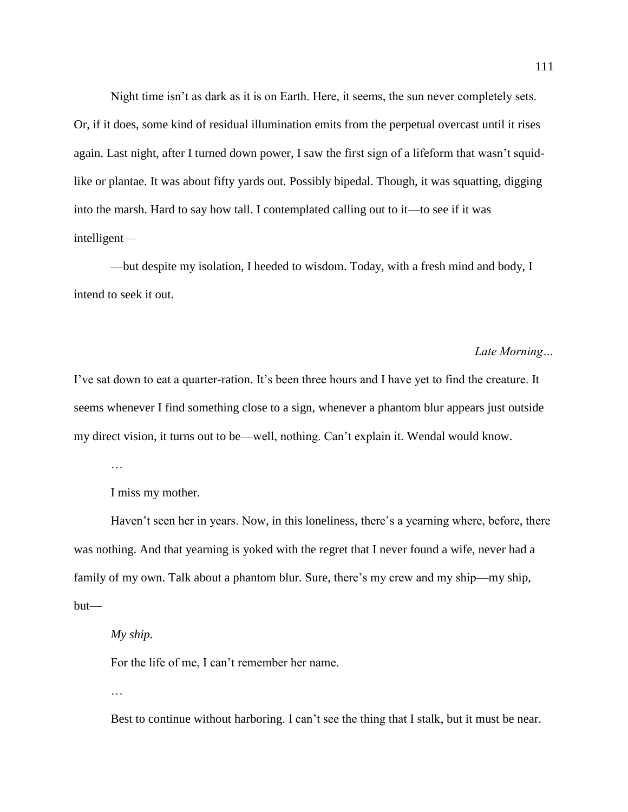Night time isn't as dark as it is on Earth. Here, it seems, the sun never completely sets. Or, if it does, some kind of residual illumination emits from the perpetual overcast until it rises again. Last night, after I turned down power, I saw the first sign of a lifeform that wasn't squidlike or plantae. It was about fifty yards out. Possibly bipedal. Though, it was squatting, digging into the marsh. Hard to say how tall. I contemplated calling out to it—to see if it was intelligent—

—but despite my isolation, I heeded to wisdom. Today, with a fresh mind and body, I intend to seek it out.

## *Late Morning…*

I've sat down to eat a quarter-ration. It's been three hours and I have yet to find the creature. It seems whenever I find something close to a sign, whenever a phantom blur appears just outside my direct vision, it turns out to be—well, nothing. Can't explain it. Wendal would know.

…

I miss my mother.

Haven't seen her in years. Now, in this loneliness, there's a yearning where, before, there was nothing. And that yearning is yoked with the regret that I never found a wife, never had a family of my own. Talk about a phantom blur*.* Sure, there's my crew and my ship—my ship, but—

*My ship.*

For the life of me, I can't remember her name.

…

Best to continue without harboring. I can't see the thing that I stalk, but it must be near.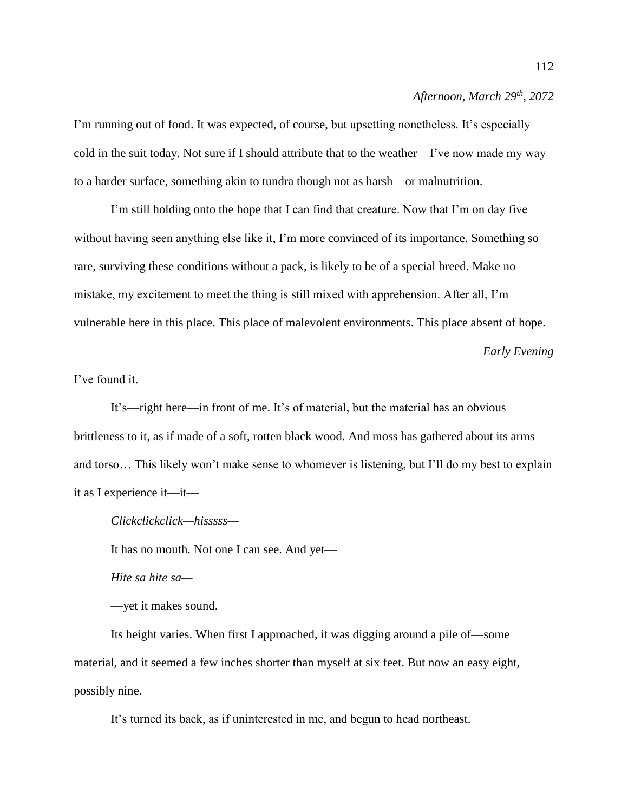## *Afternoon, March 29th, 2072*

I'm running out of food. It was expected, of course, but upsetting nonetheless. It's especially cold in the suit today. Not sure if I should attribute that to the weather—I've now made my way to a harder surface, something akin to tundra though not as harsh—or malnutrition.

I'm still holding onto the hope that I can find that creature. Now that I'm on day five without having seen anything else like it, I'm more convinced of its importance. Something so rare, surviving these conditions without a pack, is likely to be of a special breed. Make no mistake, my excitement to meet the thing is still mixed with apprehension. After all, I'm vulnerable here in this place. This place of malevolent environments. This place absent of hope.

## *Early Evening*

# I've found it.

It's—right here—in front of me. It's of material, but the material has an obvious brittleness to it, as if made of a soft, rotten black wood. And moss has gathered about its arms and torso… This likely won't make sense to whomever is listening, but I'll do my best to explain it as I experience it—it—

*Clickclickclick—hisssss—*

It has no mouth. Not one I can see. And yet—

*Hite sa hite sa—*

—yet it makes sound.

Its height varies. When first I approached, it was digging around a pile of—some material, and it seemed a few inches shorter than myself at six feet. But now an easy eight, possibly nine.

It's turned its back, as if uninterested in me, and begun to head northeast.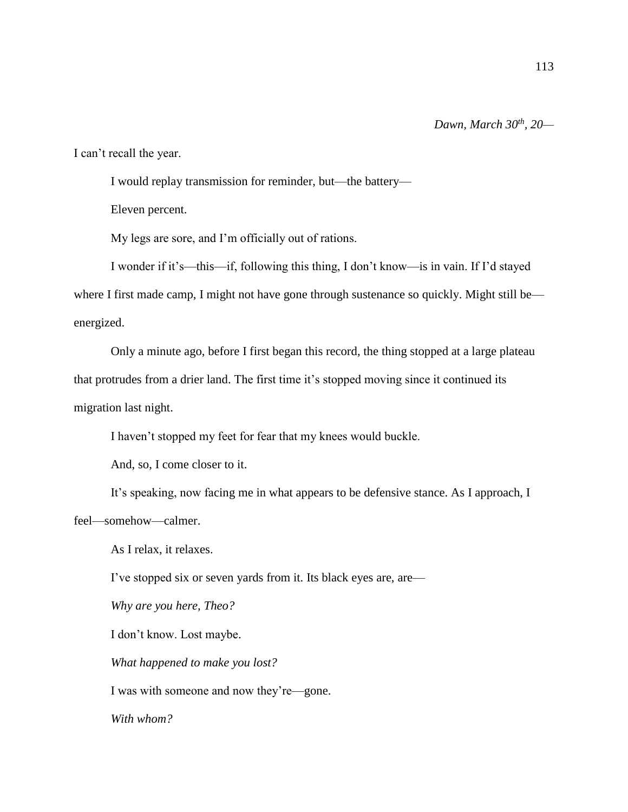113

I can't recall the year.

I would replay transmission for reminder, but—the battery—

Eleven percent.

My legs are sore, and I'm officially out of rations.

I wonder if it's—this—if, following this thing, I don't know—is in vain. If I'd stayed where I first made camp, I might not have gone through sustenance so quickly. Might still be energized.

Only a minute ago, before I first began this record, the thing stopped at a large plateau that protrudes from a drier land. The first time it's stopped moving since it continued its migration last night.

I haven't stopped my feet for fear that my knees would buckle.

And, so, I come closer to it.

It's speaking, now facing me in what appears to be defensive stance. As I approach, I feel—somehow—calmer.

As I relax, it relaxes.

I've stopped six or seven yards from it. Its black eyes are, are—

*Why are you here, Theo?*

I don't know. Lost maybe.

*What happened to make you lost?*

I was with someone and now they're—gone.

*With whom?*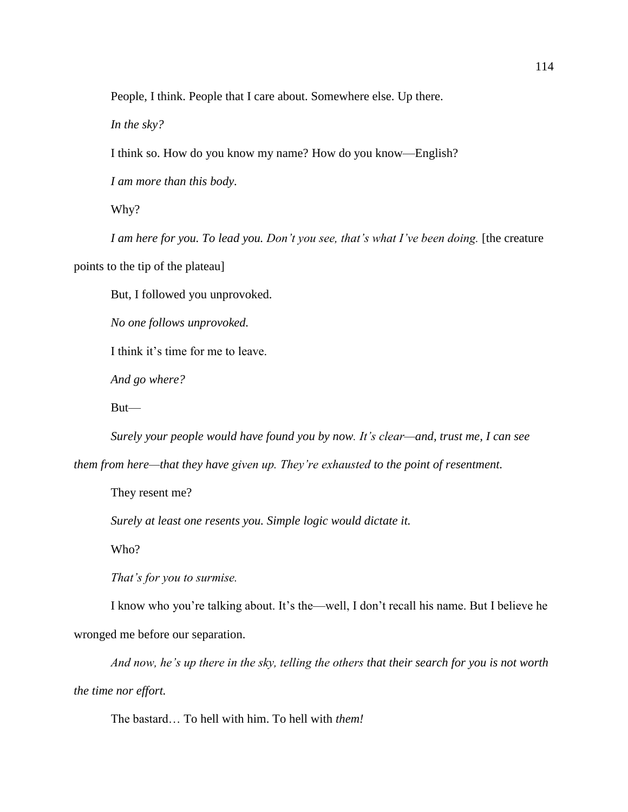People, I think. People that I care about. Somewhere else. Up there.

*In the sky?*

I think so. How do you know my name? How do you know—English?

*I am more than this body.* 

Why?

*I am here for you. To lead you. Don't you see, that's what I've been doing.* [the creature points to the tip of the plateau]

But, I followed you unprovoked.

*No one follows unprovoked.* 

I think it's time for me to leave.

*And go where?* 

But—

*Surely your people would have found you by now. It's clear—and, trust me, I can see* 

*them from here—that they have given up. They're exhausted to the point of resentment.* 

They resent me?

*Surely at least one resents you. Simple logic would dictate it.* 

Who?

*That's for you to surmise.* 

I know who you're talking about. It's the—well, I don't recall his name. But I believe he wronged me before our separation.

*And now, he's up there in the sky, telling the others that their search for you is not worth the time nor effort.* 

The bastard… To hell with him. To hell with *them!*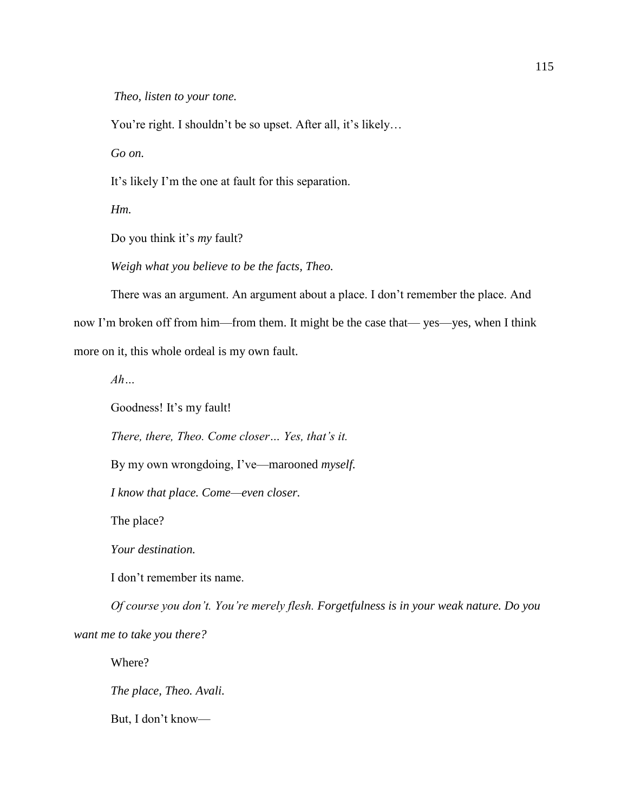*Theo, listen to your tone.*

You're right. I shouldn't be so upset. After all, it's likely…

*Go on.*

It's likely I'm the one at fault for this separation.

*Hm.*

Do you think it's *my* fault?

*Weigh what you believe to be the facts, Theo.* 

There was an argument. An argument about a place. I don't remember the place. And now I'm broken off from him—from them. It might be the case that— yes—yes, when I think more on it, this whole ordeal is my own fault.

*Ah…*

Goodness! It's my fault!

*There, there, Theo. Come closer… Yes, that's it.* 

By my own wrongdoing, I've—marooned *myself.* 

*I know that place. Come—even closer.*

The place?

*Your destination.* 

I don't remember its name.

*Of course you don't. You're merely flesh. Forgetfulness is in your weak nature. Do you want me to take you there?*

Where?

*The place, Theo. Avali.*

But, I don't know—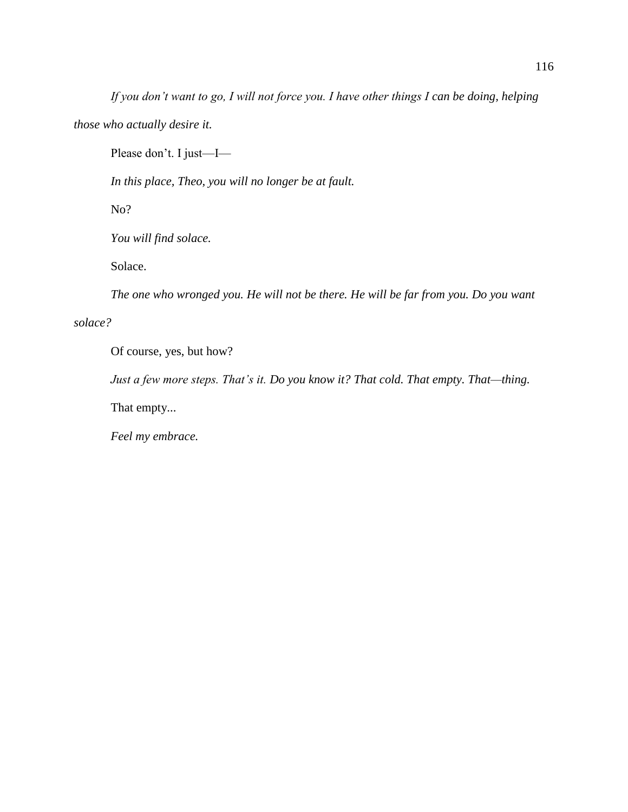*If you don't want to go, I will not force you. I have other things I can be doing, helping* 

*those who actually desire it.* 

Please don't. I just—I—

*In this place, Theo, you will no longer be at fault.* 

No?

*You will find solace.* 

Solace.

*The one who wronged you. He will not be there. He will be far from you. Do you want* 

# *solace?*

Of course, yes, but how?

*Just a few more steps. That's it. Do you know it? That cold. That empty. That—thing.* 

That empty...

*Feel my embrace.*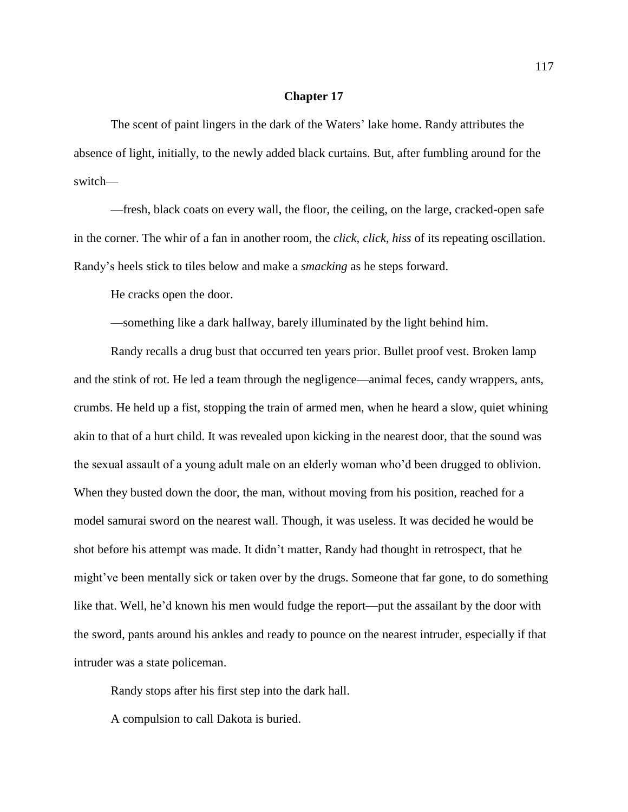The scent of paint lingers in the dark of the Waters' lake home. Randy attributes the absence of light, initially, to the newly added black curtains. But, after fumbling around for the switch—

—fresh, black coats on every wall, the floor, the ceiling, on the large, cracked-open safe in the corner. The whir of a fan in another room, the *click, click, hiss* of its repeating oscillation. Randy's heels stick to tiles below and make a *smacking* as he steps forward.

He cracks open the door.

—something like a dark hallway, barely illuminated by the light behind him.

Randy recalls a drug bust that occurred ten years prior. Bullet proof vest. Broken lamp and the stink of rot. He led a team through the negligence—animal feces, candy wrappers, ants, crumbs. He held up a fist, stopping the train of armed men, when he heard a slow, quiet whining akin to that of a hurt child. It was revealed upon kicking in the nearest door, that the sound was the sexual assault of a young adult male on an elderly woman who'd been drugged to oblivion. When they busted down the door, the man, without moving from his position, reached for a model samurai sword on the nearest wall. Though, it was useless. It was decided he would be shot before his attempt was made. It didn't matter, Randy had thought in retrospect, that he might've been mentally sick or taken over by the drugs. Someone that far gone, to do something like that. Well, he'd known his men would fudge the report—put the assailant by the door with the sword, pants around his ankles and ready to pounce on the nearest intruder, especially if that intruder was a state policeman.

Randy stops after his first step into the dark hall.

A compulsion to call Dakota is buried.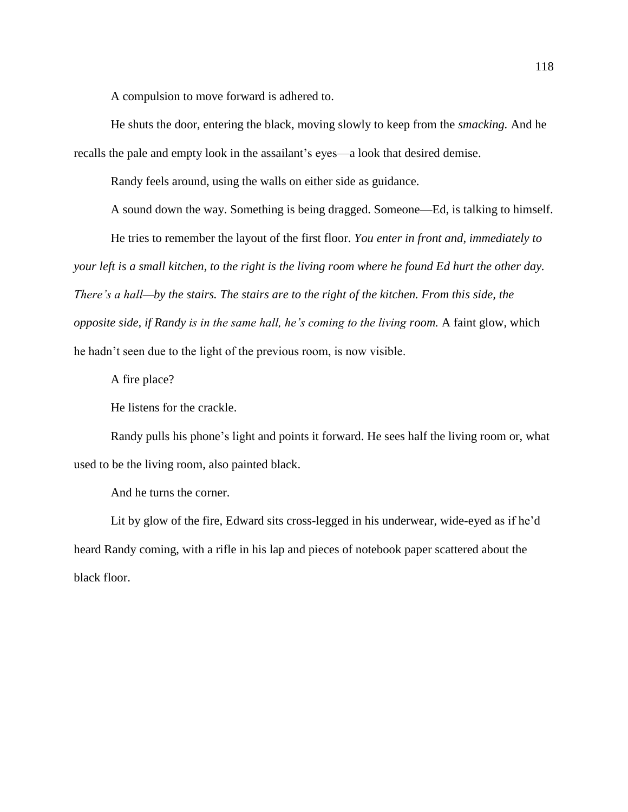A compulsion to move forward is adhered to.

He shuts the door, entering the black, moving slowly to keep from the *smacking.* And he recalls the pale and empty look in the assailant's eyes—a look that desired demise.

Randy feels around, using the walls on either side as guidance.

A sound down the way. Something is being dragged. Someone—Ed, is talking to himself.

He tries to remember the layout of the first floor. *You enter in front and, immediately to your left is a small kitchen, to the right is the living room where he found Ed hurt the other day. There's a hall—by the stairs. The stairs are to the right of the kitchen. From this side, the opposite side, if Randy is in the same hall, he's coming to the living room.* A faint glow, which he hadn't seen due to the light of the previous room, is now visible.

A fire place?

He listens for the crackle.

Randy pulls his phone's light and points it forward. He sees half the living room or, what used to be the living room, also painted black.

And he turns the corner.

Lit by glow of the fire, Edward sits cross-legged in his underwear, wide-eyed as if he'd heard Randy coming, with a rifle in his lap and pieces of notebook paper scattered about the black floor.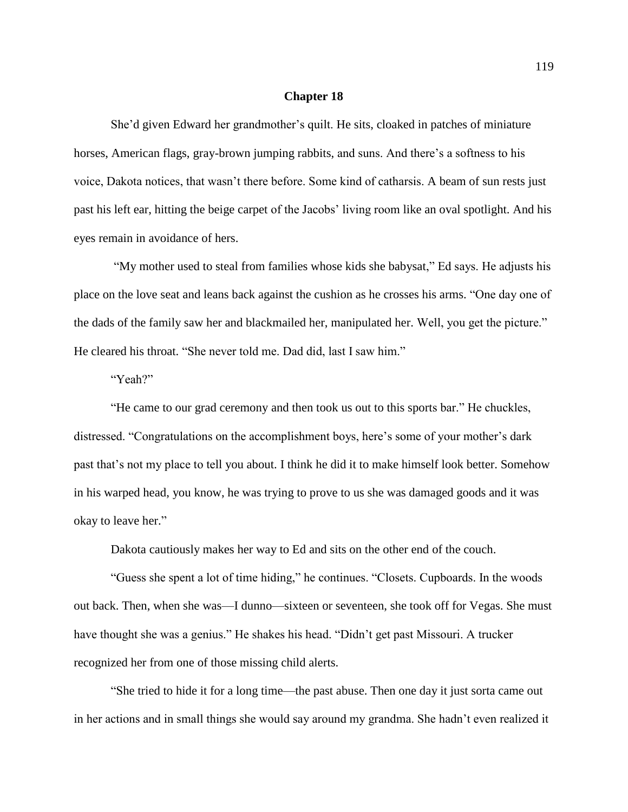She'd given Edward her grandmother's quilt. He sits, cloaked in patches of miniature horses, American flags, gray-brown jumping rabbits, and suns. And there's a softness to his voice, Dakota notices, that wasn't there before. Some kind of catharsis. A beam of sun rests just past his left ear, hitting the beige carpet of the Jacobs' living room like an oval spotlight. And his eyes remain in avoidance of hers.

"My mother used to steal from families whose kids she babysat," Ed says. He adjusts his place on the love seat and leans back against the cushion as he crosses his arms. "One day one of the dads of the family saw her and blackmailed her, manipulated her. Well, you get the picture." He cleared his throat. "She never told me. Dad did, last I saw him."

# "Yeah?"

"He came to our grad ceremony and then took us out to this sports bar." He chuckles, distressed. "Congratulations on the accomplishment boys, here's some of your mother's dark past that's not my place to tell you about. I think he did it to make himself look better. Somehow in his warped head, you know, he was trying to prove to us she was damaged goods and it was okay to leave her."

Dakota cautiously makes her way to Ed and sits on the other end of the couch.

"Guess she spent a lot of time hiding," he continues. "Closets. Cupboards. In the woods out back. Then, when she was—I dunno—sixteen or seventeen, she took off for Vegas. She must have thought she was a genius." He shakes his head. "Didn't get past Missouri. A trucker recognized her from one of those missing child alerts.

"She tried to hide it for a long time—the past abuse. Then one day it just sorta came out in her actions and in small things she would say around my grandma. She hadn't even realized it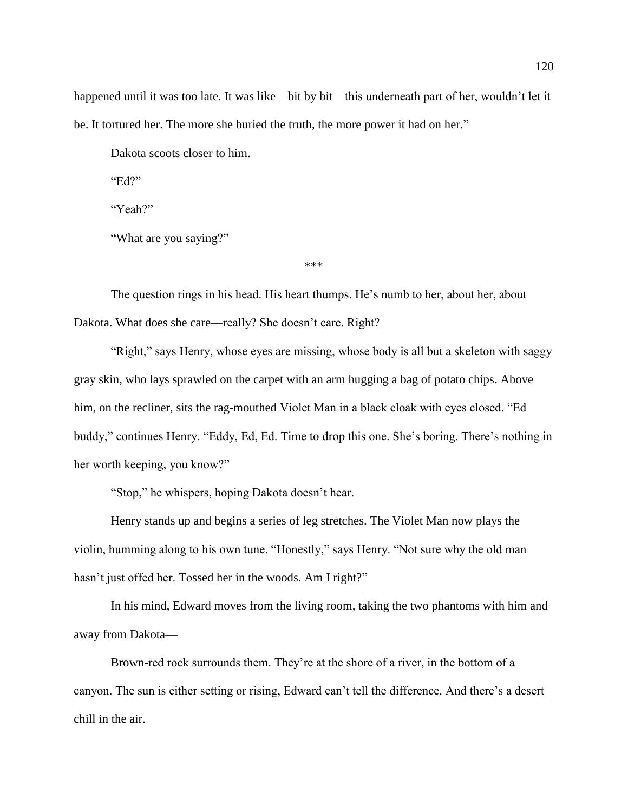happened until it was too late. It was like—bit by bit—this underneath part of her, wouldn't let it be. It tortured her. The more she buried the truth, the more power it had on her."

Dakota scoots closer to him.

"Ed?"

"Yeah?"

"What are you saying?"

\*\*\*

The question rings in his head. His heart thumps. He's numb to her, about her, about Dakota. What does she care—really? She doesn't care. Right?

"Right," says Henry, whose eyes are missing, whose body is all but a skeleton with saggy gray skin, who lays sprawled on the carpet with an arm hugging a bag of potato chips. Above him, on the recliner, sits the rag-mouthed Violet Man in a black cloak with eyes closed. "Ed buddy," continues Henry. "Eddy, Ed, Ed. Time to drop this one. She's boring. There's nothing in her worth keeping, you know?"

"Stop," he whispers, hoping Dakota doesn't hear.

Henry stands up and begins a series of leg stretches. The Violet Man now plays the violin, humming along to his own tune. "Honestly," says Henry. "Not sure why the old man hasn't just offed her. Tossed her in the woods. Am I right?"

In his mind, Edward moves from the living room, taking the two phantoms with him and away from Dakota—

Brown-red rock surrounds them. They're at the shore of a river, in the bottom of a canyon. The sun is either setting or rising, Edward can't tell the difference. And there's a desert chill in the air.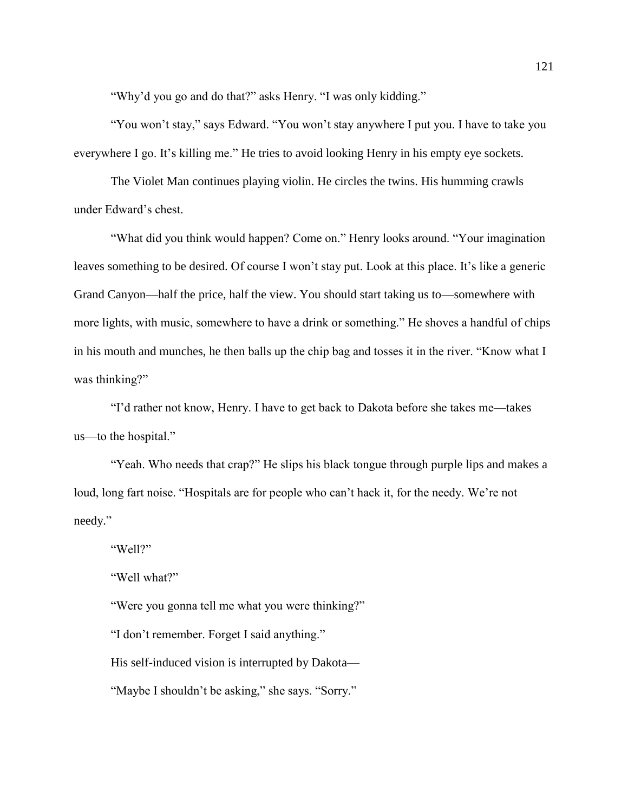"Why'd you go and do that?" asks Henry. "I was only kidding."

"You won't stay," says Edward. "You won't stay anywhere I put you. I have to take you everywhere I go. It's killing me." He tries to avoid looking Henry in his empty eye sockets.

The Violet Man continues playing violin. He circles the twins. His humming crawls under Edward's chest.

"What did you think would happen? Come on." Henry looks around. "Your imagination leaves something to be desired. Of course I won't stay put. Look at this place. It's like a generic Grand Canyon—half the price, half the view. You should start taking us to—somewhere with more lights, with music, somewhere to have a drink or something." He shoves a handful of chips in his mouth and munches, he then balls up the chip bag and tosses it in the river. "Know what I was thinking?"

"I'd rather not know, Henry. I have to get back to Dakota before she takes me—takes us—to the hospital."

"Yeah. Who needs that crap?" He slips his black tongue through purple lips and makes a loud, long fart noise. "Hospitals are for people who can't hack it, for the needy. We're not needy."

"Well?"

"Well what?"

"Were you gonna tell me what you were thinking?"

"I don't remember. Forget I said anything."

His self-induced vision is interrupted by Dakota—

"Maybe I shouldn't be asking," she says. "Sorry."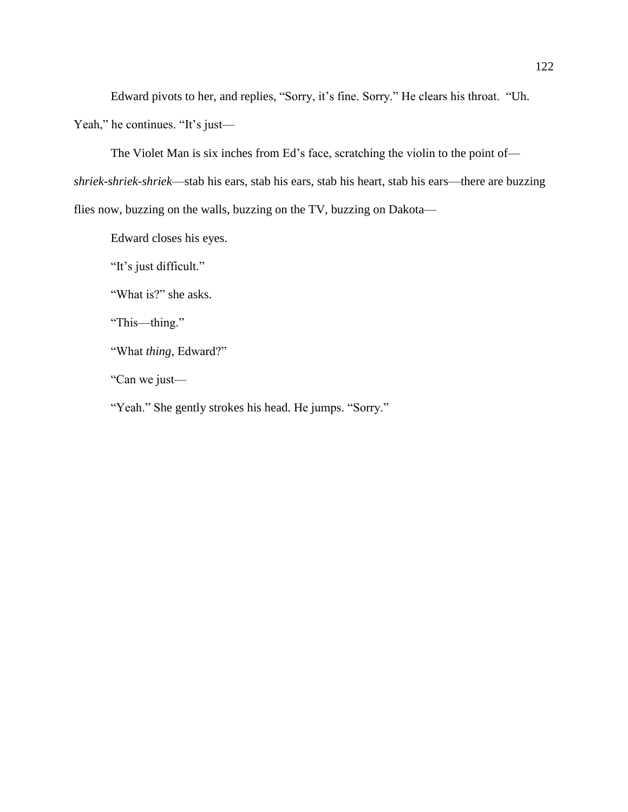Edward pivots to her, and replies, "Sorry, it's fine. Sorry." He clears his throat. "Uh.

Yeah," he continues. "It's just—

The Violet Man is six inches from Ed's face, scratching the violin to the point of—

*shriek-shriek-shriek*—stab his ears, stab his ears, stab his heart, stab his ears—there are buzzing

flies now, buzzing on the walls, buzzing on the TV, buzzing on Dakota—

Edward closes his eyes.

"It's just difficult."

"What is?" she asks.

"This—thing."

"What *thing*, Edward?"

"Can we just—

"Yeah." She gently strokes his head. He jumps. "Sorry."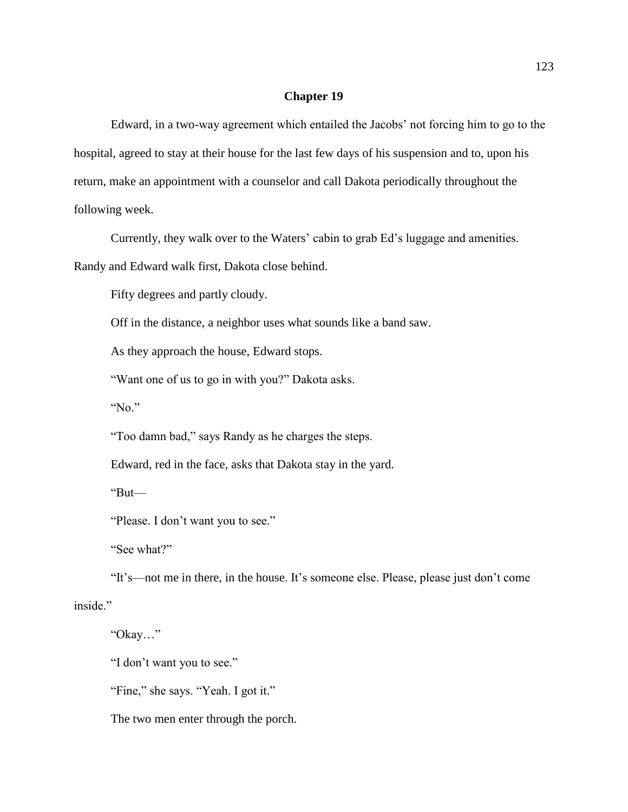Edward, in a two-way agreement which entailed the Jacobs' not forcing him to go to the hospital, agreed to stay at their house for the last few days of his suspension and to, upon his return, make an appointment with a counselor and call Dakota periodically throughout the following week.

Currently, they walk over to the Waters' cabin to grab Ed's luggage and amenities.

Randy and Edward walk first, Dakota close behind.

Fifty degrees and partly cloudy.

Off in the distance, a neighbor uses what sounds like a band saw.

As they approach the house, Edward stops.

"Want one of us to go in with you?" Dakota asks.

"No."

"Too damn bad," says Randy as he charges the steps.

Edward, red in the face, asks that Dakota stay in the yard.

"But—

"Please. I don't want you to see."

"See what?"

"It's—not me in there, in the house. It's someone else. Please, please just don't come inside."

"Okay…"

"I don't want you to see."

"Fine," she says. "Yeah. I got it."

The two men enter through the porch.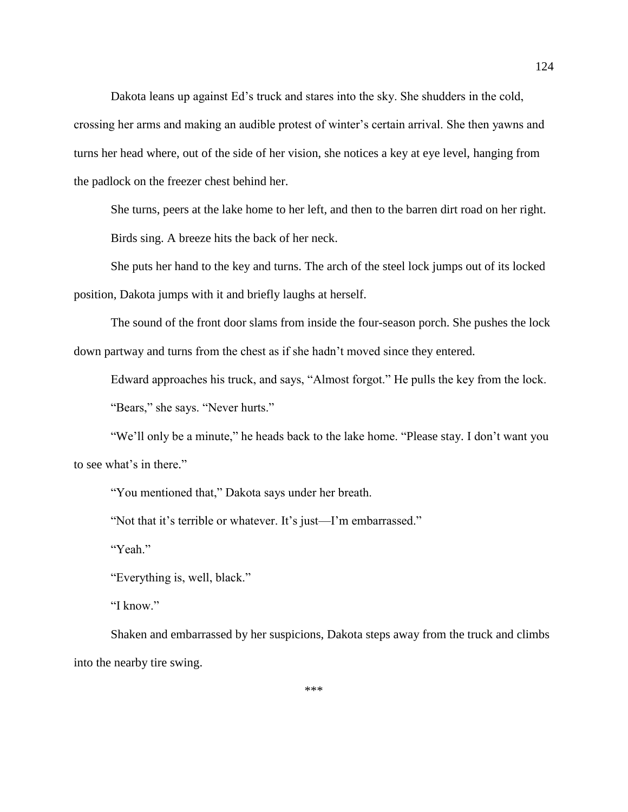Dakota leans up against Ed's truck and stares into the sky. She shudders in the cold,

crossing her arms and making an audible protest of winter's certain arrival. She then yawns and turns her head where, out of the side of her vision, she notices a key at eye level, hanging from the padlock on the freezer chest behind her.

She turns, peers at the lake home to her left, and then to the barren dirt road on her right. Birds sing. A breeze hits the back of her neck.

She puts her hand to the key and turns. The arch of the steel lock jumps out of its locked position, Dakota jumps with it and briefly laughs at herself.

The sound of the front door slams from inside the four-season porch. She pushes the lock down partway and turns from the chest as if she hadn't moved since they entered.

Edward approaches his truck, and says, "Almost forgot." He pulls the key from the lock.

"Bears," she says. "Never hurts."

"We'll only be a minute," he heads back to the lake home. "Please stay. I don't want you to see what's in there."

"You mentioned that," Dakota says under her breath.

"Not that it's terrible or whatever. It's just—I'm embarrassed."

"Yeah."

"Everything is, well, black."

"I know."

Shaken and embarrassed by her suspicions, Dakota steps away from the truck and climbs into the nearby tire swing.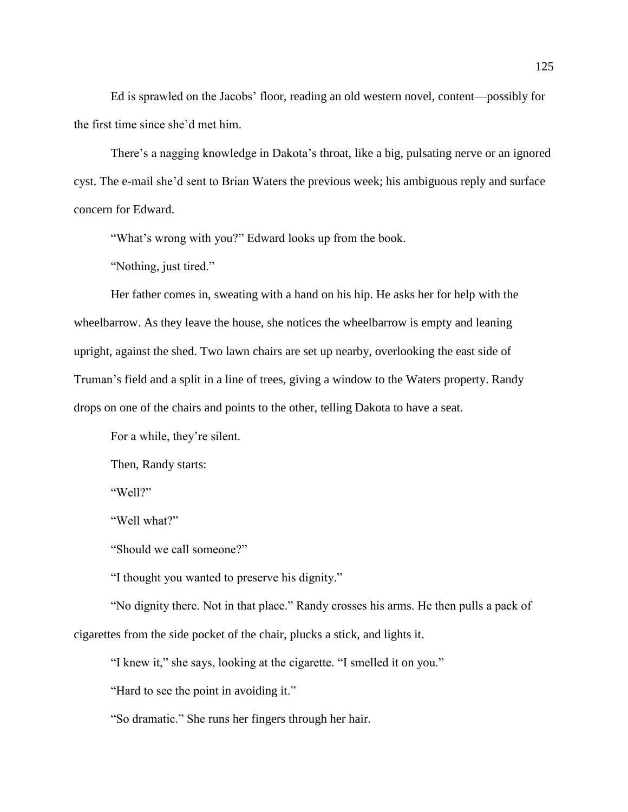Ed is sprawled on the Jacobs' floor, reading an old western novel, content—possibly for the first time since she'd met him.

There's a nagging knowledge in Dakota's throat, like a big, pulsating nerve or an ignored cyst. The e-mail she'd sent to Brian Waters the previous week; his ambiguous reply and surface concern for Edward.

"What's wrong with you?" Edward looks up from the book.

"Nothing, just tired."

Her father comes in, sweating with a hand on his hip. He asks her for help with the wheelbarrow. As they leave the house, she notices the wheelbarrow is empty and leaning upright, against the shed. Two lawn chairs are set up nearby, overlooking the east side of Truman's field and a split in a line of trees, giving a window to the Waters property. Randy drops on one of the chairs and points to the other, telling Dakota to have a seat.

For a while, they're silent.

Then, Randy starts:

"Well?"

"Well what?"

"Should we call someone?"

"I thought you wanted to preserve his dignity."

"No dignity there. Not in that place." Randy crosses his arms. He then pulls a pack of cigarettes from the side pocket of the chair, plucks a stick, and lights it.

"I knew it," she says, looking at the cigarette. "I smelled it on you."

"Hard to see the point in avoiding it."

"So dramatic." She runs her fingers through her hair.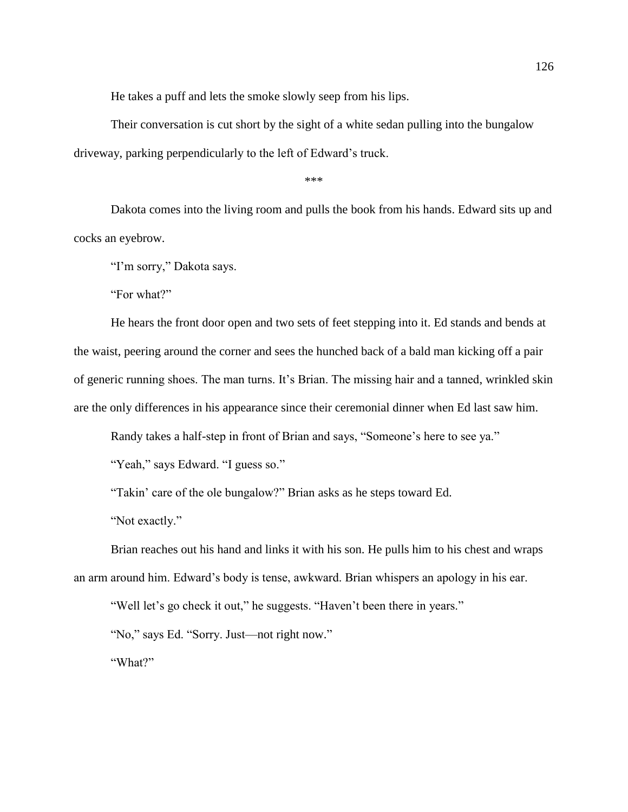He takes a puff and lets the smoke slowly seep from his lips.

Their conversation is cut short by the sight of a white sedan pulling into the bungalow driveway, parking perpendicularly to the left of Edward's truck.

\*\*\*

Dakota comes into the living room and pulls the book from his hands. Edward sits up and cocks an eyebrow.

"I'm sorry," Dakota says.

"For what?"

He hears the front door open and two sets of feet stepping into it. Ed stands and bends at the waist, peering around the corner and sees the hunched back of a bald man kicking off a pair of generic running shoes. The man turns. It's Brian. The missing hair and a tanned, wrinkled skin are the only differences in his appearance since their ceremonial dinner when Ed last saw him.

Randy takes a half-step in front of Brian and says, "Someone's here to see ya."

"Yeah," says Edward. "I guess so."

"Takin' care of the ole bungalow?" Brian asks as he steps toward Ed.

"Not exactly."

Brian reaches out his hand and links it with his son. He pulls him to his chest and wraps an arm around him. Edward's body is tense, awkward. Brian whispers an apology in his ear.

"Well let's go check it out," he suggests. "Haven't been there in years."

"No," says Ed. "Sorry. Just—not right now."

"What?"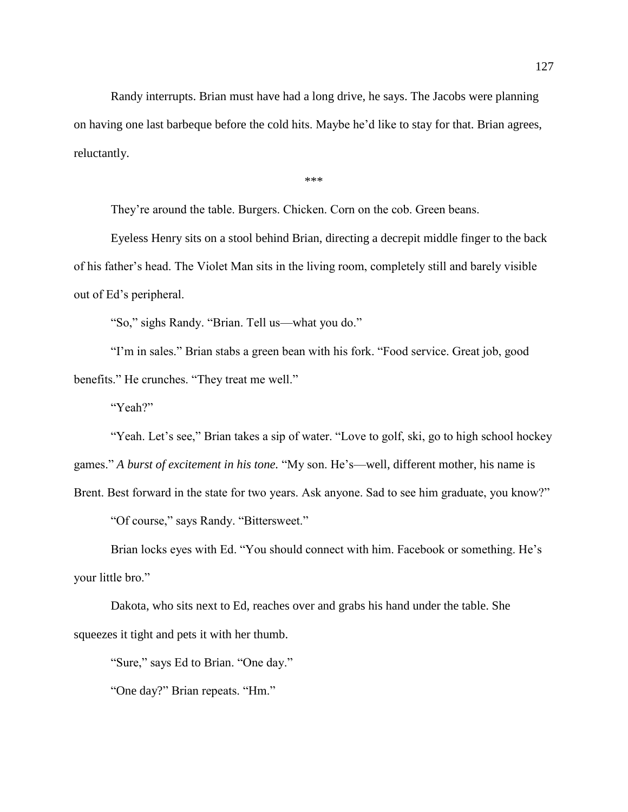Randy interrupts. Brian must have had a long drive, he says. The Jacobs were planning on having one last barbeque before the cold hits. Maybe he'd like to stay for that. Brian agrees, reluctantly.

\*\*\*

They're around the table. Burgers. Chicken. Corn on the cob. Green beans.

Eyeless Henry sits on a stool behind Brian, directing a decrepit middle finger to the back of his father's head. The Violet Man sits in the living room, completely still and barely visible out of Ed's peripheral.

"So," sighs Randy. "Brian. Tell us—what you do."

"I'm in sales." Brian stabs a green bean with his fork. "Food service. Great job, good benefits." He crunches. "They treat me well."

"Yeah?"

"Yeah. Let's see," Brian takes a sip of water. "Love to golf, ski, go to high school hockey

games." *A burst of excitement in his tone.* "My son. He's—well, different mother, his name is

Brent. Best forward in the state for two years. Ask anyone. Sad to see him graduate, you know?" "Of course," says Randy. "Bittersweet."

Brian locks eyes with Ed. "You should connect with him. Facebook or something. He's your little bro."

Dakota, who sits next to Ed, reaches over and grabs his hand under the table. She squeezes it tight and pets it with her thumb.

"Sure," says Ed to Brian. "One day."

"One day?" Brian repeats. "Hm."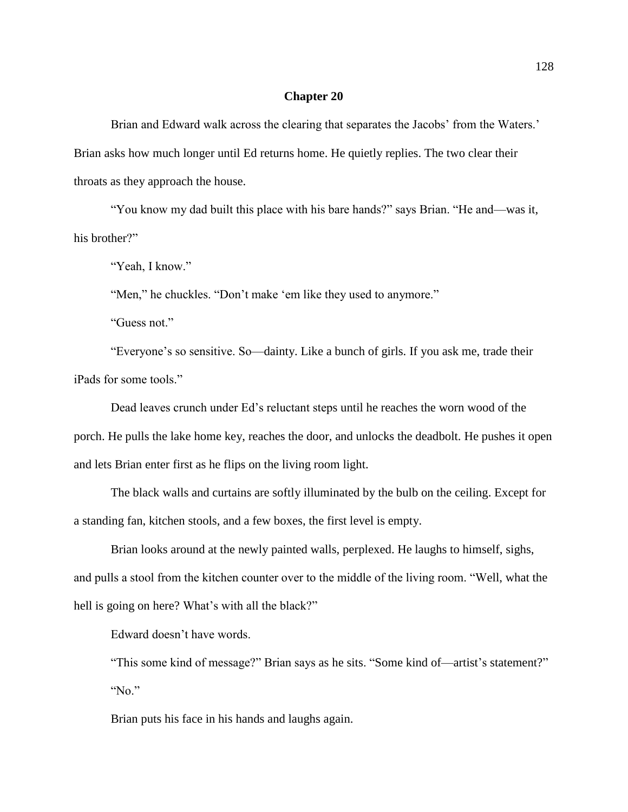Brian and Edward walk across the clearing that separates the Jacobs' from the Waters.' Brian asks how much longer until Ed returns home. He quietly replies. The two clear their throats as they approach the house.

"You know my dad built this place with his bare hands?" says Brian. "He and—was it, his brother?"

"Yeah, I know."

"Men," he chuckles. "Don't make 'em like they used to anymore."

"Guess not."

"Everyone's so sensitive. So—dainty. Like a bunch of girls. If you ask me, trade their iPads for some tools."

Dead leaves crunch under Ed's reluctant steps until he reaches the worn wood of the porch. He pulls the lake home key, reaches the door, and unlocks the deadbolt. He pushes it open and lets Brian enter first as he flips on the living room light.

The black walls and curtains are softly illuminated by the bulb on the ceiling. Except for a standing fan, kitchen stools, and a few boxes, the first level is empty.

Brian looks around at the newly painted walls, perplexed. He laughs to himself, sighs, and pulls a stool from the kitchen counter over to the middle of the living room. "Well, what the hell is going on here? What's with all the black?"

Edward doesn't have words.

"This some kind of message?" Brian says as he sits. "Some kind of—artist's statement?" "No."

Brian puts his face in his hands and laughs again.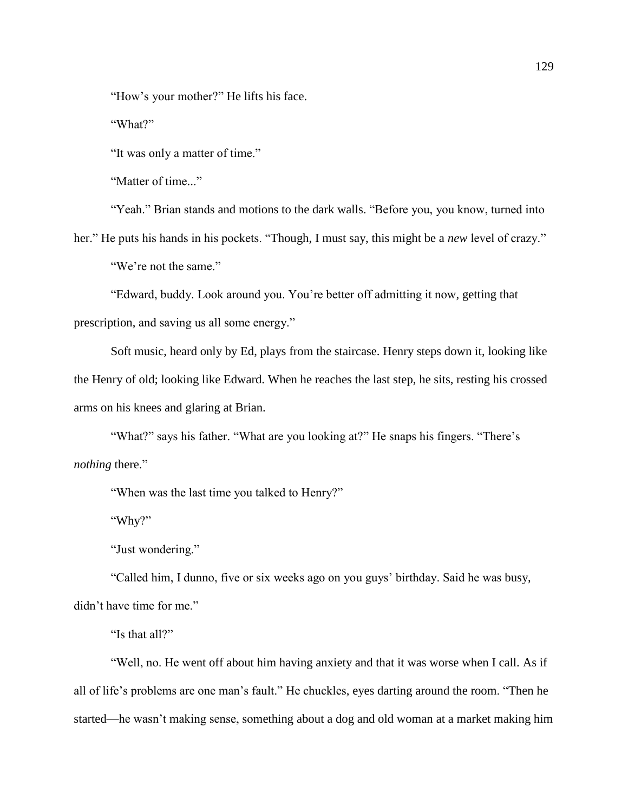"How's your mother?" He lifts his face.

"What?"

"It was only a matter of time."

"Matter of time..."

"Yeah." Brian stands and motions to the dark walls. "Before you, you know, turned into

her." He puts his hands in his pockets. "Though, I must say, this might be a *new* level of crazy."

"We're not the same."

"Edward, buddy. Look around you. You're better off admitting it now, getting that prescription, and saving us all some energy."

Soft music, heard only by Ed, plays from the staircase. Henry steps down it, looking like the Henry of old; looking like Edward. When he reaches the last step, he sits, resting his crossed arms on his knees and glaring at Brian.

"What?" says his father. "What are you looking at?" He snaps his fingers. "There's *nothing* there."

"When was the last time you talked to Henry?"

"Why?"

"Just wondering."

"Called him, I dunno, five or six weeks ago on you guys' birthday. Said he was busy, didn't have time for me."

"Is that all?"

"Well, no. He went off about him having anxiety and that it was worse when I call. As if all of life's problems are one man's fault." He chuckles, eyes darting around the room. "Then he started—he wasn't making sense, something about a dog and old woman at a market making him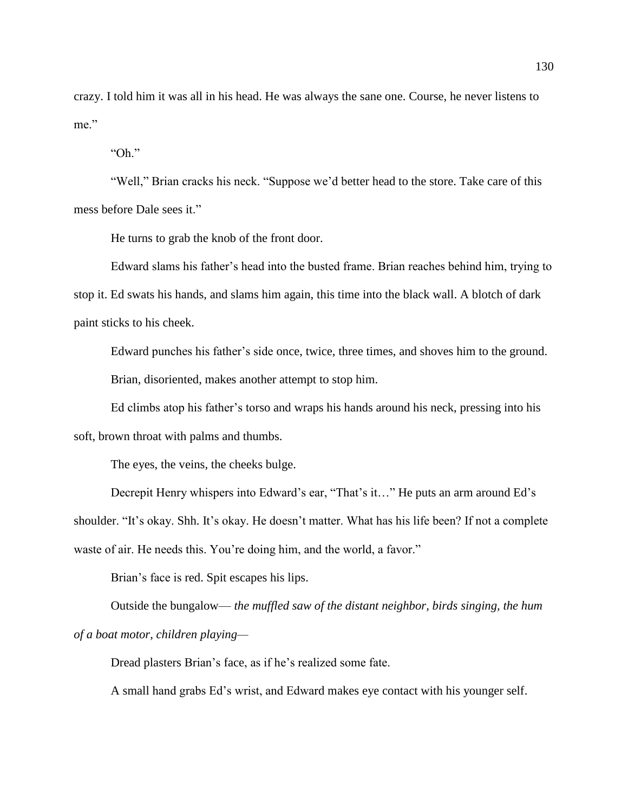crazy. I told him it was all in his head. He was always the sane one. Course, he never listens to me."

"Oh."

"Well," Brian cracks his neck. "Suppose we'd better head to the store. Take care of this mess before Dale sees it."

He turns to grab the knob of the front door.

Edward slams his father's head into the busted frame. Brian reaches behind him, trying to stop it. Ed swats his hands, and slams him again, this time into the black wall. A blotch of dark paint sticks to his cheek.

Edward punches his father's side once, twice, three times, and shoves him to the ground. Brian, disoriented, makes another attempt to stop him.

Ed climbs atop his father's torso and wraps his hands around his neck, pressing into his soft, brown throat with palms and thumbs.

The eyes, the veins, the cheeks bulge.

Decrepit Henry whispers into Edward's ear, "That's it…" He puts an arm around Ed's shoulder. "It's okay. Shh. It's okay. He doesn't matter. What has his life been? If not a complete waste of air. He needs this. You're doing him, and the world, a favor."

Brian's face is red. Spit escapes his lips.

Outside the bungalow— *the muffled saw of the distant neighbor, birds singing, the hum of a boat motor, children playing—*

Dread plasters Brian's face, as if he's realized some fate.

A small hand grabs Ed's wrist, and Edward makes eye contact with his younger self.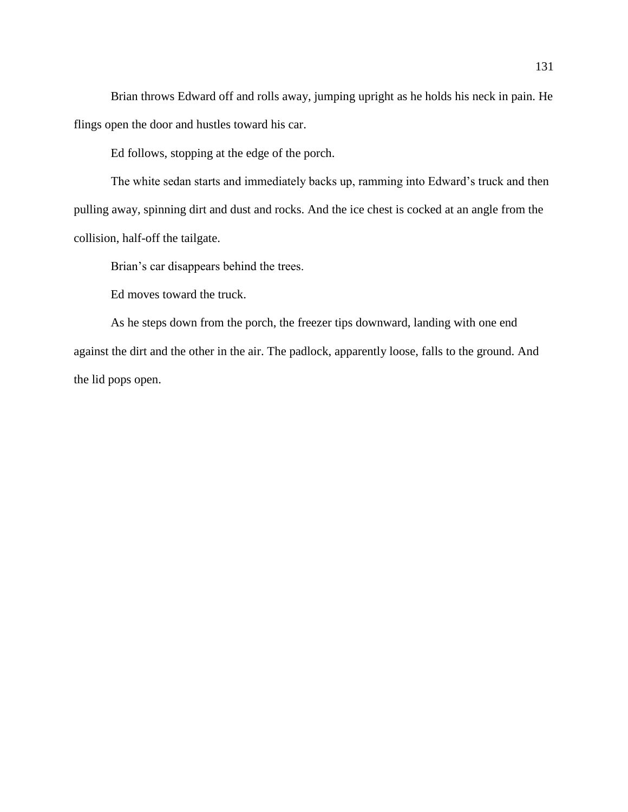Brian throws Edward off and rolls away, jumping upright as he holds his neck in pain. He flings open the door and hustles toward his car.

Ed follows, stopping at the edge of the porch.

The white sedan starts and immediately backs up, ramming into Edward's truck and then pulling away, spinning dirt and dust and rocks. And the ice chest is cocked at an angle from the collision, half-off the tailgate.

Brian's car disappears behind the trees.

Ed moves toward the truck.

As he steps down from the porch, the freezer tips downward, landing with one end against the dirt and the other in the air. The padlock, apparently loose, falls to the ground. And the lid pops open.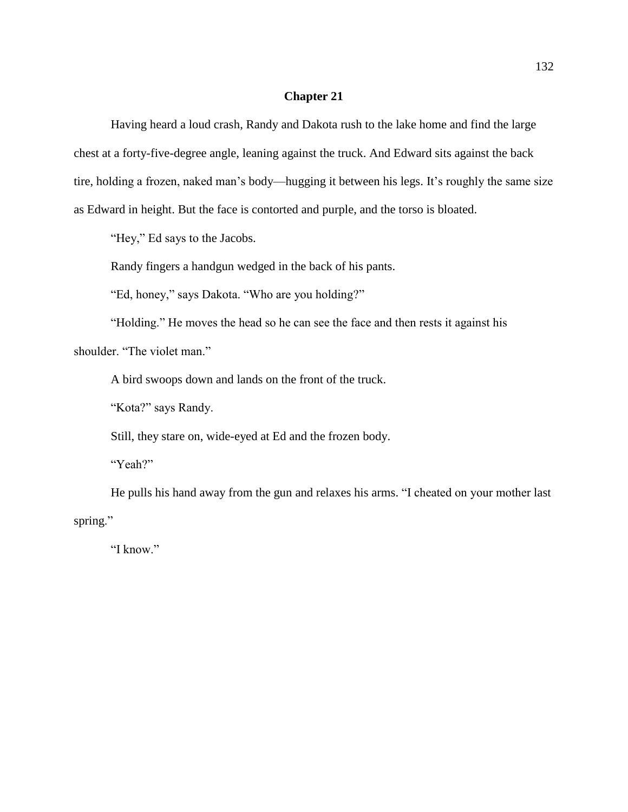Having heard a loud crash, Randy and Dakota rush to the lake home and find the large chest at a forty-five-degree angle, leaning against the truck. And Edward sits against the back tire, holding a frozen, naked man's body—hugging it between his legs. It's roughly the same size as Edward in height. But the face is contorted and purple, and the torso is bloated.

"Hey," Ed says to the Jacobs.

Randy fingers a handgun wedged in the back of his pants.

"Ed, honey," says Dakota. "Who are you holding?"

"Holding." He moves the head so he can see the face and then rests it against his

shoulder. "The violet man."

A bird swoops down and lands on the front of the truck.

"Kota?" says Randy.

Still, they stare on, wide-eyed at Ed and the frozen body.

"Yeah?"

He pulls his hand away from the gun and relaxes his arms. "I cheated on your mother last spring."

"I know."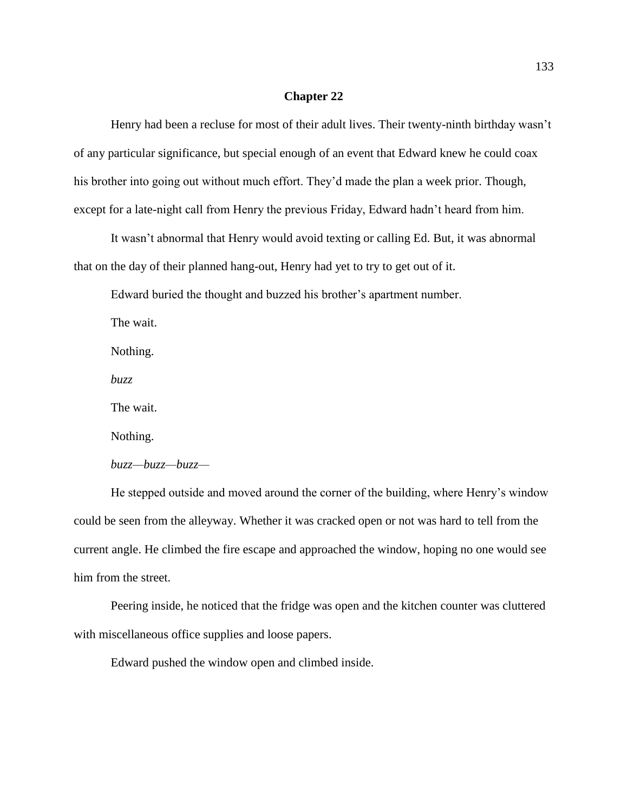Henry had been a recluse for most of their adult lives. Their twenty-ninth birthday wasn't of any particular significance, but special enough of an event that Edward knew he could coax his brother into going out without much effort. They'd made the plan a week prior. Though, except for a late-night call from Henry the previous Friday, Edward hadn't heard from him.

It wasn't abnormal that Henry would avoid texting or calling Ed. But, it was abnormal that on the day of their planned hang-out, Henry had yet to try to get out of it.

Edward buried the thought and buzzed his brother's apartment number.

The wait.

Nothing.

*buzz*

The wait.

Nothing.

*buzz—buzz—buzz—*

He stepped outside and moved around the corner of the building, where Henry's window could be seen from the alleyway. Whether it was cracked open or not was hard to tell from the current angle. He climbed the fire escape and approached the window, hoping no one would see him from the street.

Peering inside, he noticed that the fridge was open and the kitchen counter was cluttered with miscellaneous office supplies and loose papers.

Edward pushed the window open and climbed inside.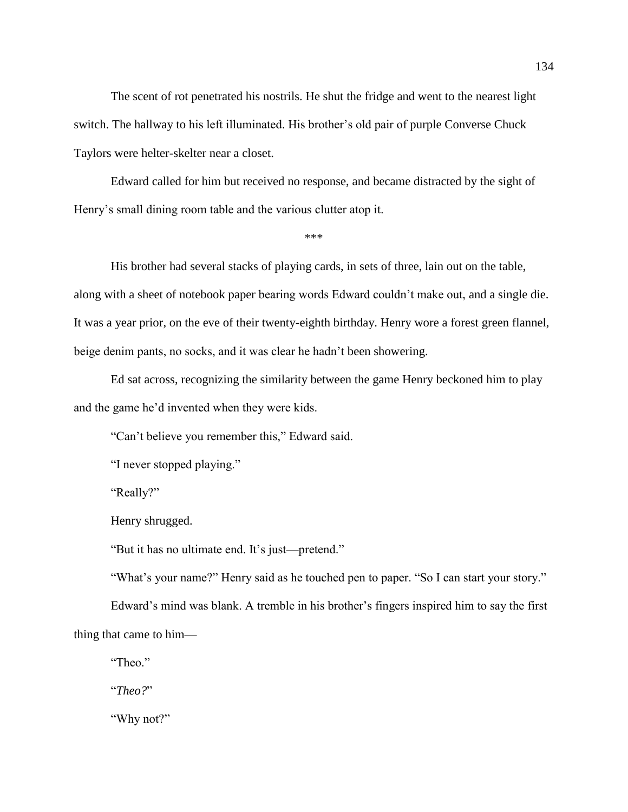The scent of rot penetrated his nostrils. He shut the fridge and went to the nearest light switch. The hallway to his left illuminated. His brother's old pair of purple Converse Chuck Taylors were helter-skelter near a closet.

Edward called for him but received no response, and became distracted by the sight of Henry's small dining room table and the various clutter atop it.

\*\*\*

His brother had several stacks of playing cards, in sets of three, lain out on the table, along with a sheet of notebook paper bearing words Edward couldn't make out, and a single die. It was a year prior, on the eve of their twenty-eighth birthday. Henry wore a forest green flannel, beige denim pants, no socks, and it was clear he hadn't been showering.

Ed sat across, recognizing the similarity between the game Henry beckoned him to play and the game he'd invented when they were kids.

"Can't believe you remember this," Edward said.

"I never stopped playing."

"Really?"

Henry shrugged.

"But it has no ultimate end. It's just—pretend."

"What's your name?" Henry said as he touched pen to paper. "So I can start your story."

Edward's mind was blank. A tremble in his brother's fingers inspired him to say the first thing that came to him—

"Theo."

"*Theo?*"

"Why not?"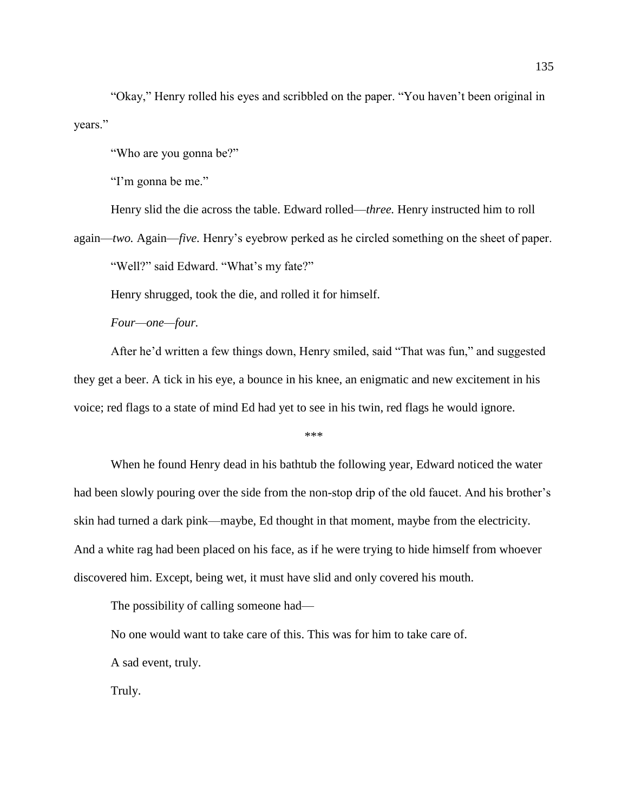"Okay," Henry rolled his eyes and scribbled on the paper. "You haven't been original in years."

"Who are you gonna be?"

"I'm gonna be me."

Henry slid the die across the table. Edward rolled—*three.* Henry instructed him to roll

again—*two.* Again—*five.* Henry's eyebrow perked as he circled something on the sheet of paper. "Well?" said Edward. "What's my fate?"

Henry shrugged, took the die, and rolled it for himself.

*Four—one—four.*

After he'd written a few things down, Henry smiled, said "That was fun," and suggested they get a beer. A tick in his eye, a bounce in his knee, an enigmatic and new excitement in his voice; red flags to a state of mind Ed had yet to see in his twin, red flags he would ignore.

\*\*\*

When he found Henry dead in his bathtub the following year, Edward noticed the water had been slowly pouring over the side from the non-stop drip of the old faucet. And his brother's skin had turned a dark pink—maybe, Ed thought in that moment, maybe from the electricity. And a white rag had been placed on his face, as if he were trying to hide himself from whoever discovered him. Except, being wet, it must have slid and only covered his mouth.

The possibility of calling someone had—

No one would want to take care of this. This was for him to take care of.

A sad event, truly.

Truly.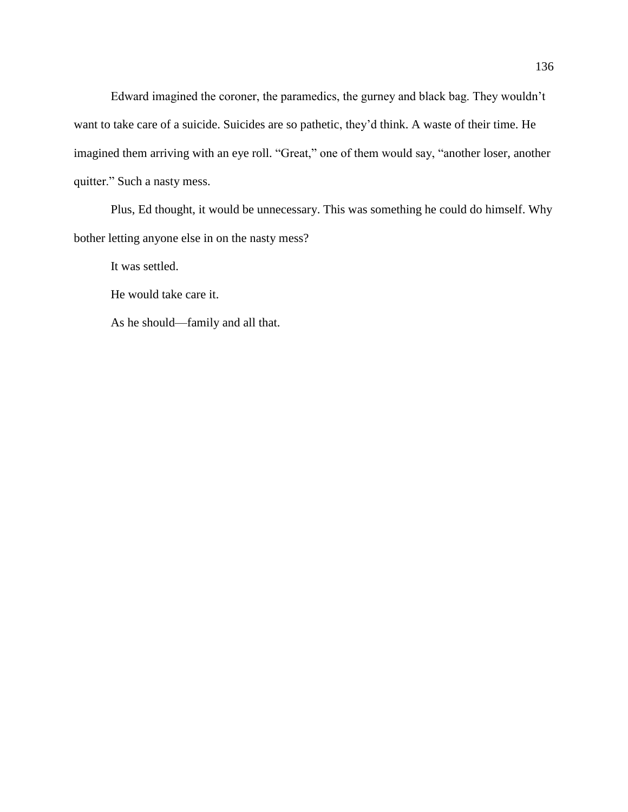Edward imagined the coroner, the paramedics, the gurney and black bag. They wouldn't want to take care of a suicide. Suicides are so pathetic, they'd think. A waste of their time. He imagined them arriving with an eye roll. "Great," one of them would say, "another loser, another quitter." Such a nasty mess.

Plus, Ed thought, it would be unnecessary. This was something he could do himself. Why bother letting anyone else in on the nasty mess?

It was settled.

He would take care it.

As he should—family and all that.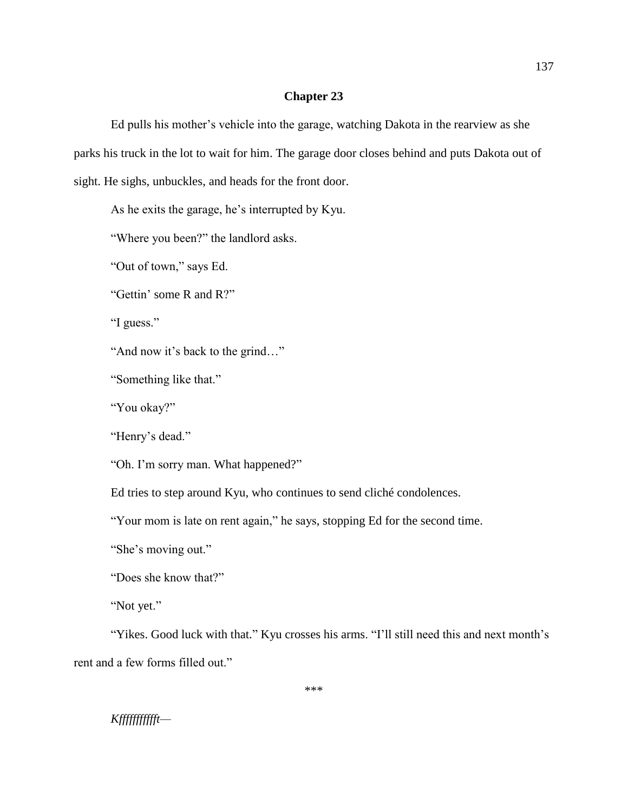Ed pulls his mother's vehicle into the garage, watching Dakota in the rearview as she parks his truck in the lot to wait for him. The garage door closes behind and puts Dakota out of sight. He sighs, unbuckles, and heads for the front door.

As he exits the garage, he's interrupted by Kyu.

"Where you been?" the landlord asks.

"Out of town," says Ed.

"Gettin' some R and R?"

"I guess."

"And now it's back to the grind…"

"Something like that."

"You okay?"

"Henry's dead."

"Oh. I'm sorry man. What happened?"

Ed tries to step around Kyu, who continues to send cliché condolences.

"Your mom is late on rent again," he says, stopping Ed for the second time.

"She's moving out."

"Does she know that?"

"Not yet."

"Yikes. Good luck with that." Kyu crosses his arms. "I'll still need this and next month's rent and a few forms filled out."

## *Kffffffffffft—*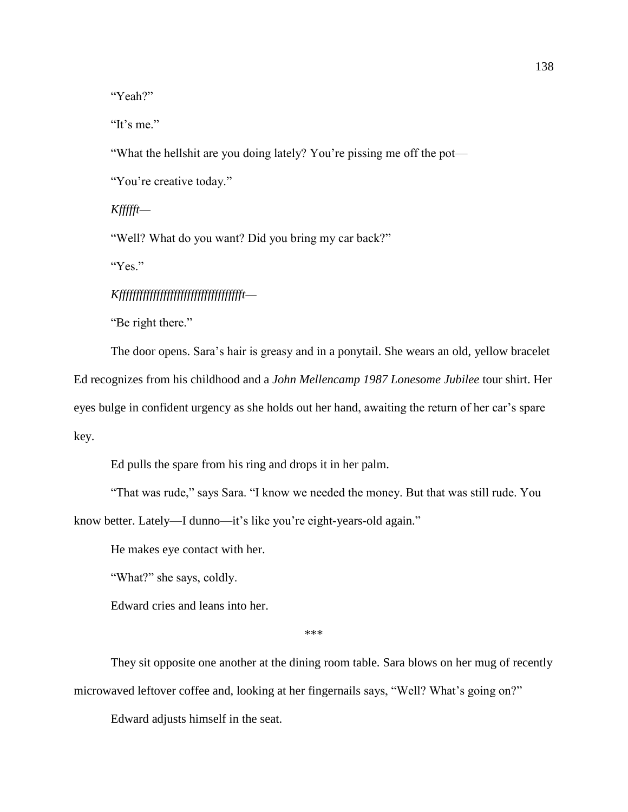"Yeah?"

"It's me."

"What the hellshit are you doing lately? You're pissing me off the pot—

"You're creative today."

*Kffffft—*

"Well? What do you want? Did you bring my car back?"

"Yes."

*Kfffffffffffffffffffffffffffffffffffft—*

"Be right there."

The door opens. Sara's hair is greasy and in a ponytail. She wears an old, yellow bracelet Ed recognizes from his childhood and a *John Mellencamp 1987 Lonesome Jubilee* tour shirt. Her eyes bulge in confident urgency as she holds out her hand, awaiting the return of her car's spare key.

Ed pulls the spare from his ring and drops it in her palm.

"That was rude," says Sara. "I know we needed the money. But that was still rude. You know better. Lately—I dunno—it's like you're eight-years-old again."

He makes eye contact with her.

"What?" she says, coldly.

Edward cries and leans into her.

\*\*\*

They sit opposite one another at the dining room table. Sara blows on her mug of recently microwaved leftover coffee and, looking at her fingernails says, "Well? What's going on?"

Edward adjusts himself in the seat.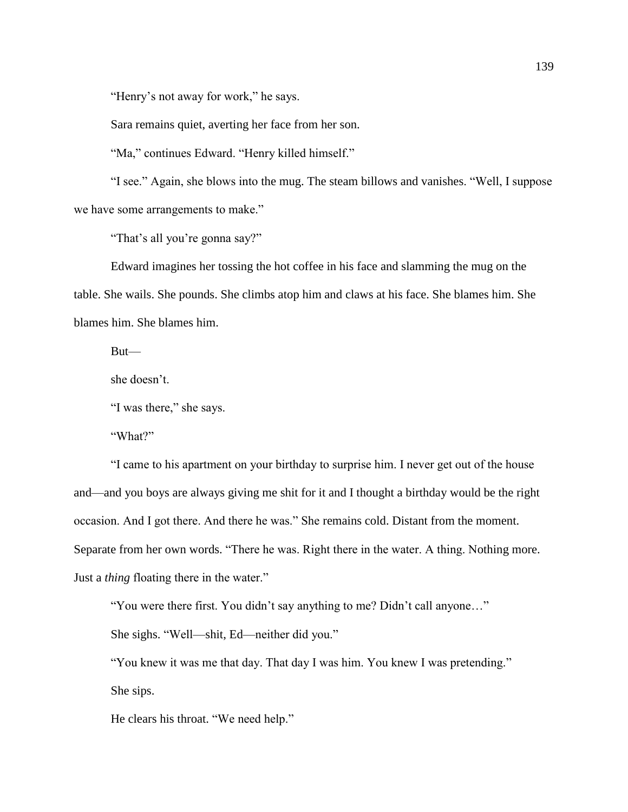"Henry's not away for work," he says.

Sara remains quiet, averting her face from her son.

"Ma," continues Edward. "Henry killed himself."

"I see." Again, she blows into the mug. The steam billows and vanishes. "Well, I suppose we have some arrangements to make."

"That's all you're gonna say?"

Edward imagines her tossing the hot coffee in his face and slamming the mug on the table. She wails. She pounds. She climbs atop him and claws at his face. She blames him. She blames him. She blames him.

But—

she doesn't.

"I was there," she says.

"What?"

"I came to his apartment on your birthday to surprise him. I never get out of the house and—and you boys are always giving me shit for it and I thought a birthday would be the right occasion. And I got there. And there he was." She remains cold. Distant from the moment. Separate from her own words. "There he was. Right there in the water. A thing. Nothing more. Just a *thing* floating there in the water."

"You were there first. You didn't say anything to me? Didn't call anyone…"

She sighs. "Well—shit, Ed—neither did you."

"You knew it was me that day. That day I was him. You knew I was pretending."

She sips.

He clears his throat. "We need help."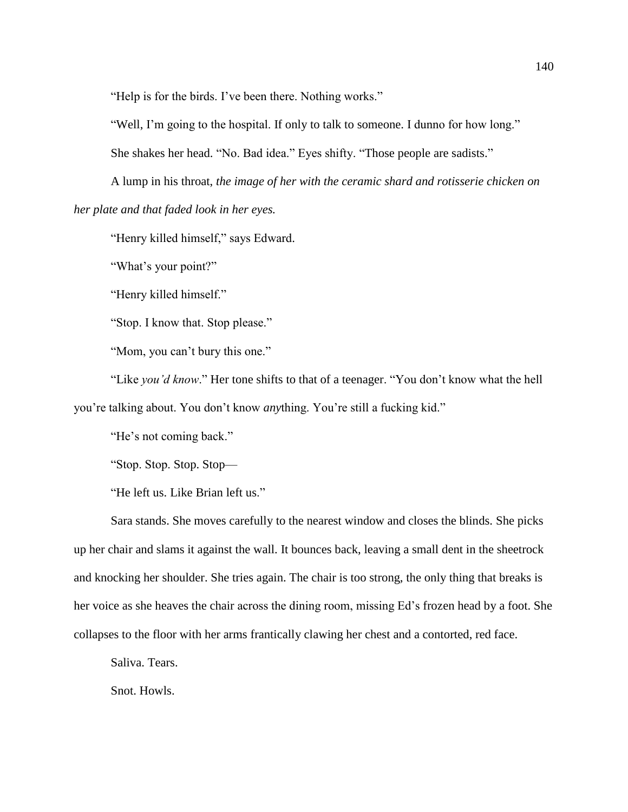"Help is for the birds. I've been there. Nothing works."

"Well, I'm going to the hospital. If only to talk to someone. I dunno for how long."

She shakes her head. "No. Bad idea." Eyes shifty. "Those people are sadists."

A lump in his throat, *the image of her with the ceramic shard and rotisserie chicken on her plate and that faded look in her eyes.*

"Henry killed himself," says Edward.

"What's your point?"

"Henry killed himself."

"Stop. I know that. Stop please."

"Mom, you can't bury this one."

"Like *you'd know*." Her tone shifts to that of a teenager. "You don't know what the hell you're talking about. You don't know *any*thing. You're still a fucking kid."

"He's not coming back."

"Stop. Stop. Stop. Stop—

"He left us. Like Brian left us."

Sara stands. She moves carefully to the nearest window and closes the blinds. She picks up her chair and slams it against the wall. It bounces back, leaving a small dent in the sheetrock and knocking her shoulder. She tries again. The chair is too strong, the only thing that breaks is her voice as she heaves the chair across the dining room, missing Ed's frozen head by a foot. She collapses to the floor with her arms frantically clawing her chest and a contorted, red face.

Saliva. Tears.

Snot. Howls.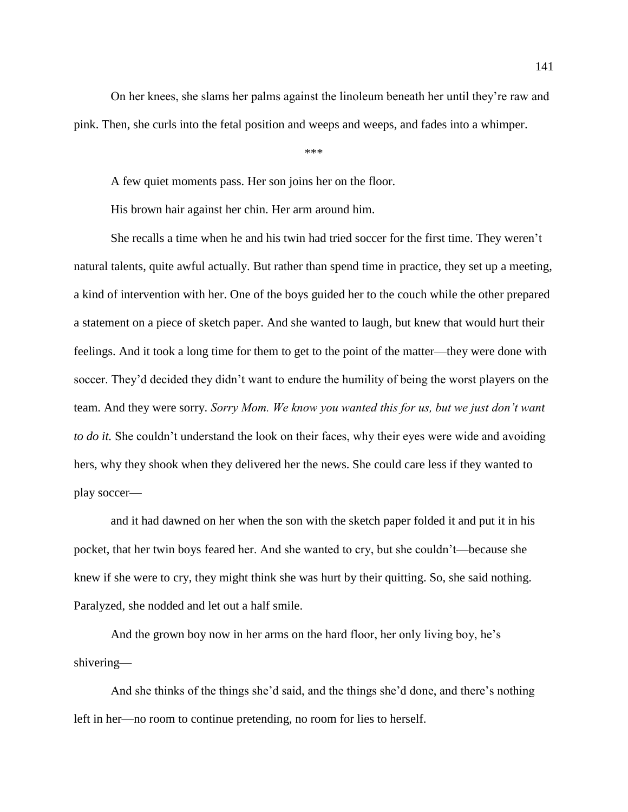On her knees, she slams her palms against the linoleum beneath her until they're raw and pink. Then, she curls into the fetal position and weeps and weeps, and fades into a whimper.

\*\*\*

A few quiet moments pass. Her son joins her on the floor.

His brown hair against her chin. Her arm around him.

She recalls a time when he and his twin had tried soccer for the first time. They weren't natural talents, quite awful actually. But rather than spend time in practice, they set up a meeting, a kind of intervention with her. One of the boys guided her to the couch while the other prepared a statement on a piece of sketch paper. And she wanted to laugh, but knew that would hurt their feelings. And it took a long time for them to get to the point of the matter—they were done with soccer. They'd decided they didn't want to endure the humility of being the worst players on the team. And they were sorry. *Sorry Mom. We know you wanted this for us, but we just don't want to do it.* She couldn't understand the look on their faces, why their eyes were wide and avoiding hers, why they shook when they delivered her the news. She could care less if they wanted to play soccer—

and it had dawned on her when the son with the sketch paper folded it and put it in his pocket, that her twin boys feared her. And she wanted to cry, but she couldn't—because she knew if she were to cry, they might think she was hurt by their quitting. So, she said nothing. Paralyzed, she nodded and let out a half smile.

And the grown boy now in her arms on the hard floor, her only living boy, he's shivering—

And she thinks of the things she'd said, and the things she'd done, and there's nothing left in her—no room to continue pretending, no room for lies to herself.